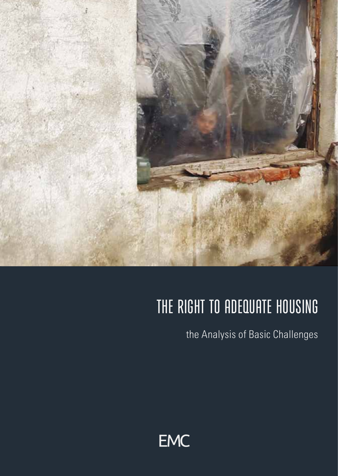

# THE RIGHT TO ADEQUATE HOUSING

the Analysis of Basic Challenges

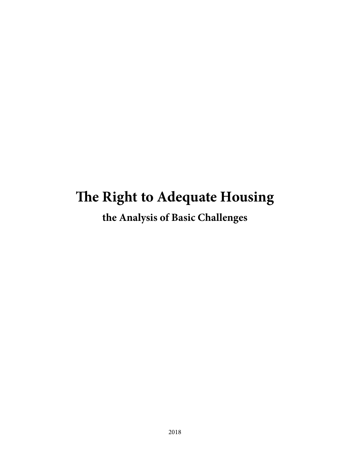## **The Right to Adequate Housing**

**the Analysis of Basic Challenges**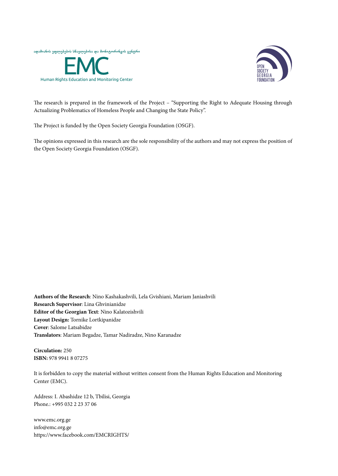



The research is prepared in the framework of the Project – "Supporting the Right to Adequate Housing through Actualizing Problematics of Homeless People and Changing the State Policy".

The Project is funded by the Open Society Georgia Foundation (OSGF).

The opinions expressed in this research are the sole responsibility of the authors and may not express the position of the Open Society Georgia Foundation (OSGF).

**Authors of the Research**: Nino Kashakashvili, Lela Gvishiani, Mariam Janiashvili **Research Supervisor**: Lina Ghvinianidze **Editor of the Georgian Text**: Nino Kalatozishvili **Layout Design:** Tornike Lortkipanidze **Cover**: Salome Latsabidze **Translators**: Mariam Begadze, Tamar Nadiradze, Nino Karanadze

**Circulation:** 250 **ISBN:** 978 9941 8 07275

It is forbidden to copy the material without written consent from the Human Rights Education and Monitoring Center (EMC).

Address: I. Abashidze 12 b, Tbilisi, Georgia Phone.: +995 032 2 23 37 06

www.emc.org.ge info@emc.org.ge https://www.facebook.com/EMCRIGHTS/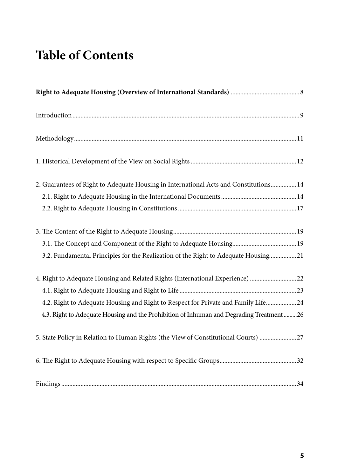## **Table of Contents**

| 2. Guarantees of Right to Adequate Housing in International Acts and Constitutions 14                                                                                                                                                                                                                                                                                                                                                                                                                                                                                            |
|----------------------------------------------------------------------------------------------------------------------------------------------------------------------------------------------------------------------------------------------------------------------------------------------------------------------------------------------------------------------------------------------------------------------------------------------------------------------------------------------------------------------------------------------------------------------------------|
| 3.2. Fundamental Principles for the Realization of the Right to Adequate Housing21                                                                                                                                                                                                                                                                                                                                                                                                                                                                                               |
| 4. Right to Adequate Housing and Related Rights (International Experience)  22<br>4.2. Right to Adequate Housing and Right to Respect for Private and Family Life24<br>4.3. Right to Adequate Housing and the Prohibition of Inhuman and Degrading Treatment 26                                                                                                                                                                                                                                                                                                                  |
| 5. State Policy in Relation to Human Rights (the View of Constitutional Courts) 27                                                                                                                                                                                                                                                                                                                                                                                                                                                                                               |
|                                                                                                                                                                                                                                                                                                                                                                                                                                                                                                                                                                                  |
| $\label{prop:main} Findings. \underline{\hbox{}} \underline{\hbox{}} \underline{\hbox{}} \underline{\hbox{}} \underline{\hbox{}} \underline{\hbox{}} \underline{\hbox{}} \underline{\hbox{}} \underline{\hbox{}} \underline{\hbox{}} \underline{\hbox{}} \underline{\hbox{}} \underline{\hbox{}} \underline{\hbox{}} \underline{\hbox{}} \underline{\hbox{}} \underline{\hbox{}} \underline{\hbox{}} \underline{\hbox{}} \underline{\hbox{}} \underline{\hbox{}} \underline{\hbox{}} \underline{\hbox{}} \underline{\hbox{}} \underline{\hbox{}} \underline{\hbox{}} \underline$ |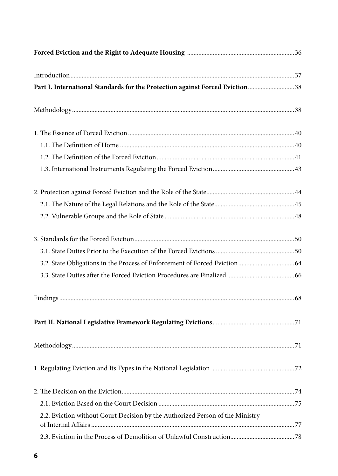| Part I. International Standards for the Protection against Forced Eviction38  |  |
|-------------------------------------------------------------------------------|--|
|                                                                               |  |
|                                                                               |  |
|                                                                               |  |
|                                                                               |  |
|                                                                               |  |
|                                                                               |  |
|                                                                               |  |
|                                                                               |  |
|                                                                               |  |
|                                                                               |  |
| 3.2. State Obligations in the Process of Enforcement of Forced Eviction  64   |  |
|                                                                               |  |
|                                                                               |  |
|                                                                               |  |
|                                                                               |  |
|                                                                               |  |
|                                                                               |  |
|                                                                               |  |
| 2.2. Eviction without Court Decision by the Authorized Person of the Ministry |  |
|                                                                               |  |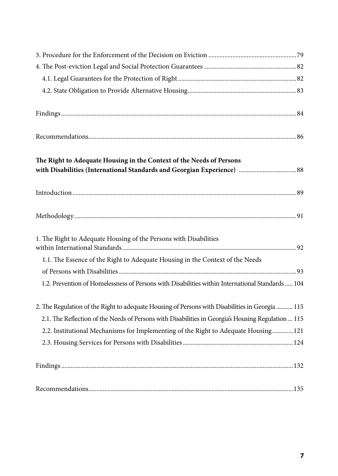| The Right to Adequate Housing in the Context of the Needs of Persons                               |
|----------------------------------------------------------------------------------------------------|
|                                                                                                    |
|                                                                                                    |
|                                                                                                    |
|                                                                                                    |
|                                                                                                    |
| 1. The Right to Adequate Housing of the Persons with Disabilities                                  |
|                                                                                                    |
| 1.1. The Essence of the Right to Adequate Housing in the Context of the Needs                      |
|                                                                                                    |
| 1.2. Prevention of Homelessness of Persons with Disabilities within International Standards  104   |
|                                                                                                    |
| 2. The Regulation of the Right to adequate Housing of Persons with Disabilities in Georgia  115    |
| 2.1. The Reflection of the Needs of Persons with Disabilities in Georgia's Housing Regulation  115 |
| 2.2. Institutional Mechanisms for Implementing of the Right to Adequate Housing 121                |
|                                                                                                    |
|                                                                                                    |
|                                                                                                    |
|                                                                                                    |
|                                                                                                    |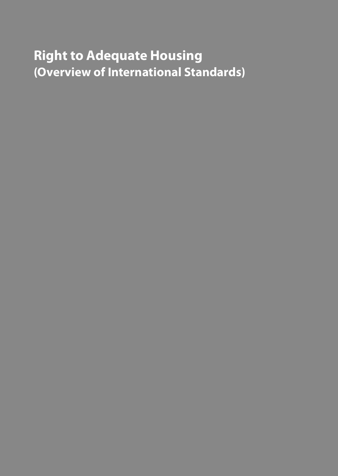## **Right to Adequate Housing (Overview of International Standards)**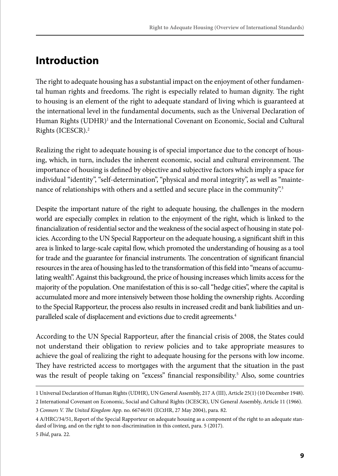### **Introduction**

The right to adequate housing has a substantial impact on the enjoyment of other fundamental human rights and freedoms. The right is especially related to human dignity. The right to housing is an element of the right to adequate standard of living which is guaranteed at the international level in the fundamental documents, such as the Universal Declaration of Human Rights (UDHR)<sup>1</sup> and the International Covenant on Economic, Social and Cultural Rights (ICESCR).2

Realizing the right to adequate housing is of special importance due to the concept of housing, which, in turn, includes the inherent economic, social and cultural environment. The importance of housing is defined by objective and subjective factors which imply a space for individual "identity", "self-determination", "physical and moral integrity", as well as "maintenance of relationships with others and a settled and secure place in the community".<sup>3</sup>

Despite the important nature of the right to adequate housing, the challenges in the modern world are especially complex in relation to the enjoyment of the right, which is linked to the financialization of residential sector and the weakness of the social aspect of housing in state policies. According to the UN Special Rapporteur on the adequate housing, a significant shift in this area is linked to large-scale capital flow, which promoted the understanding of housing as a tool for trade and the guarantee for financial instruments. The concentration of significant financial resources in the area of housing has led to the transformation of this field into "means of accumulating wealth". Against this background, the price of housing increases which limits access for the majority of the population. One manifestation of this is so-call "hedge cities", where the capital is accumulated more and more intensively between those holding the ownership rights. According to the Special Rapporteur, the process also results in increased credit and bank liabilities and unparalleled scale of displacement and evictions due to credit agreements.<sup>4</sup>

According to the UN Special Rapporteur, after the financial crisis of 2008, the States could not understand their obligation to review policies and to take appropriate measures to achieve the goal of realizing the right to adequate housing for the persons with low income. They have restricted access to mortgages with the argument that the situation in the past was the result of people taking on "excess" financial responsibility.<sup>5</sup> Also, some countries

<sup>1</sup> Universal Declaration of Human Rights (UDHR), UN General Assembly, 217 A (III), Article 25(1) (10 December 1948).

<sup>2</sup> International Covenant on Economic, Social and Cultural Rights (ICESCR), UN General Assembly, Article 11 (1966). 3 *Connors V. The United Kingdom* App. no. 66746/01 (ECtHR, 27 May 2004), para. 82.

<sup>4</sup> A/HRC/34/51, Report of the Special Rapporteur on adequate housing as a component of the right to an adequate standard of living, and on the right to non-discrimination in this context, para. 5 (2017). 5 *Ibid*, para. 22.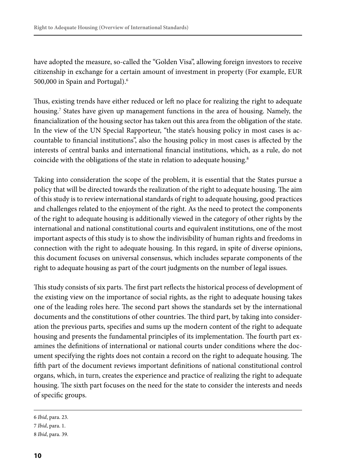have adopted the measure, so-called the "Golden Visa", allowing foreign investors to receive citizenship in exchange for a certain amount of investment in property (For example, EUR 500,000 in Spain and Portugal).6

Thus, existing trends have either reduced or left no place for realizing the right to adequate housing.7 States have given up management functions in the area of housing. Namely, the financialization of the housing sector has taken out this area from the obligation of the state. In the view of the UN Special Rapporteur, "the state's housing policy in most cases is accountable to financial institutions", also the housing policy in most cases is affected by the interests of central banks and international financial institutions, which, as a rule, do not coincide with the obligations of the state in relation to adequate housing.<sup>8</sup>

Taking into consideration the scope of the problem, it is essential that the States pursue a policy that will be directed towards the realization of the right to adequate housing. The aim of this study is to review international standards of right to adequate housing, good practices and challenges related to the enjoyment of the right. As the need to protect the components of the right to adequate housing is additionally viewed in the category of other rights by the international and national constitutional courts and equivalent institutions, one of the most important aspects of this study is to show the indivisibility of human rights and freedoms in connection with the right to adequate housing. In this regard, in spite of diverse opinions, this document focuses on universal consensus, which includes separate components of the right to adequate housing as part of the court judgments on the number of legal issues.

This study consists of six parts. The first part reflects the historical process of development of the existing view on the importance of social rights, as the right to adequate housing takes one of the leading roles here. The second part shows the standards set by the international documents and the constitutions of other countries. The third part, by taking into consideration the previous parts, specifies and sums up the modern content of the right to adequate housing and presents the fundamental principles of its implementation. The fourth part examines the definitions of international or national courts under conditions where the document specifying the rights does not contain a record on the right to adequate housing. The fifth part of the document reviews important definitions of national constitutional control organs, which, in turn, creates the experience and practice of realizing the right to adequate housing. The sixth part focuses on the need for the state to consider the interests and needs of specific groups.

<sup>6</sup> *Ibid*, para. 23.

<sup>7</sup> *Ibid*, para. 1.

<sup>8</sup> *Ibid*, para. 39.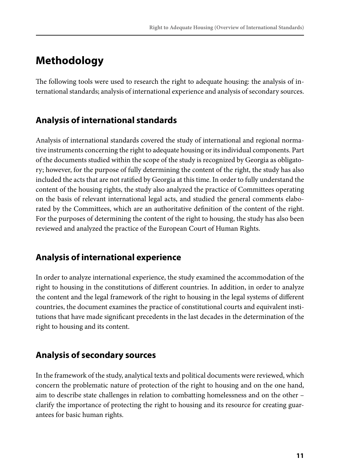### **Methodology**

The following tools were used to research the right to adequate housing: the analysis of international standards; analysis of international experience and analysis of secondary sources.

#### **Analysis of international standards**

Analysis of international standards covered the study of international and regional normative instruments concerning the right to adequate housing or its individual components. Part of the documents studied within the scope of the study is recognized by Georgia as obligatory; however, for the purpose of fully determining the content of the right, the study has also included the acts that are not ratified by Georgia at this time. In order to fully understand the content of the housing rights, the study also analyzed the practice of Committees operating on the basis of relevant international legal acts, and studied the general comments elaborated by the Committees, which are an authoritative definition of the content of the right. For the purposes of determining the content of the right to housing, the study has also been reviewed and analyzed the practice of the European Court of Human Rights.

#### **Analysis of international experience**

In order to analyze international experience, the study examined the accommodation of the right to housing in the constitutions of different countries. In addition, in order to analyze the content and the legal framework of the right to housing in the legal systems of different countries, the document examines the practice of constitutional courts and equivalent institutions that have made significant precedents in the last decades in the determination of the right to housing and its content.

#### **Analysis of secondary sources**

In the framework of the study, analytical texts and political documents were reviewed, which concern the problematic nature of protection of the right to housing and on the one hand, aim to describe state challenges in relation to combatting homelessness and on the other – clarify the importance of protecting the right to housing and its resource for creating guarantees for basic human rights.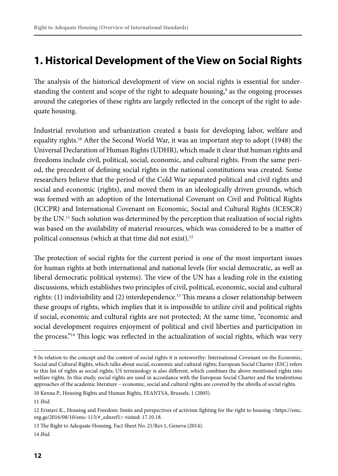### **1. Historical Development of the View on Social Rights**

The analysis of the historical development of view on social rights is essential for understanding the content and scope of the right to adequate housing,<sup>9</sup> as the ongoing processes around the categories of these rights are largely reflected in the concept of the right to adequate housing.

Industrial revolution and urbanization created a basis for developing labor, welfare and equality rights.10 After the Second World War, it was an important step to adopt (1948) the Universal Declaration of Human Rights (UDHR), which made it clear that human rights and freedoms include civil, political, social, economic, and cultural rights. From the same period, the precedent of defining social rights in the national constitutions was created. Some researchers believe that the period of the Cold War separated political and civil rights and social and economic (rights), and moved them in an ideologically driven grounds, which was formed with an adoption of the International Covenant on Civil and Political Rights (ICCPR) and International Covenant on Economic, Social and Cultural Rights (ICESCR) by the UN.<sup>11</sup> Such solution was determined by the perception that realization of social rights was based on the availability of material resources, which was considered to be a matter of political consensus (which at that time did not exist).<sup>12</sup>

The protection of social rights for the current period is one of the most important issues for human rights at both international and national levels (for social democratic, as well as liberal democratic political systems). The view of the UN has a leading role in the existing discussions, which establishes two principles of civil, political, economic, social and cultural rights:  $(1)$  indivisibility and  $(2)$  interdependence.<sup>13</sup> This means a closer relationship between these groups of rights, which implies that it is impossible to utilize civil and political rights if social, economic and cultural rights are not protected; At the same time, "economic and social development requires enjoyment of political and civil liberties and participation in the process."<sup>14</sup> This logic was reflected in the actualization of social rights, which was very

10 Kenna P., Housing Rights and Human Rights, FEANTSA, Brussels, 1 (2005).

<sup>9</sup> In relation to the concept and the content of social rights it is noteworthy: International Covenant on the Economic, Social and Cultural Rights, which talks about social, economic and cultural rights; European Social Charter (ESC) refers to this list of rights as social rights; US terminology is also different, which combines the above mentioned rights into welfare rights. In this study, social rights are used in accordance with the European Social Charter and the tendentious approaches of the academic literature – economic, social and cultural rights are covered by the ubrella of social rights.

<sup>11</sup> *Ibid*.

<sup>12</sup> Eristavi K., Housing and Freedom: limits and perspectives of activism fighting for the right to housing <https://emc. org.ge/2016/08/10/emc-113/#\_ednref1> visited: 17.10.18.

<sup>13</sup> The Right to Adequate Housing, Fact Sheet No. 21/Rev.1, Geneva (2014). 14 *Ibid*.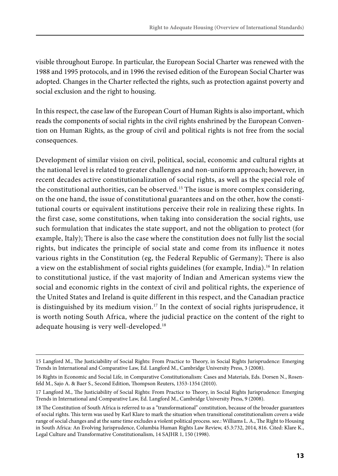visible throughout Europe. In particular, the European Social Charter was renewed with the 1988 and 1995 protocols, and in 1996 the revised edition of the European Social Charter was adopted. Changes in the Charter reflected the rights, such as protection against poverty and social exclusion and the right to housing.

In this respect, the case law of the European Court of Human Rights is also important, which reads the components of social rights in the civil rights enshrined by the European Convention on Human Rights, as the group of civil and political rights is not free from the social consequences.

Development of similar vision on civil, political, social, economic and cultural rights at the national level is related to greater challenges and non-uniform approach; however, in recent decades active constitutionalization of social rights, as well as the special role of the constitutional authorities, can be observed.15 The issue is more complex considering, on the one hand, the issue of constitutional guarantees and on the other, how the constitutional courts or equivalent institutions perceive their role in realizing these rights. In the first case, some constitutions, when taking into consideration the social rights, use such formulation that indicates the state support, and not the obligation to protect (for example, Italy); There is also the case where the constitution does not fully list the social rights, but indicates the principle of social state and come from its influence it notes various rights in the Constitution (eg, the Federal Republic of Germany); There is also a view on the establishment of social rights guidelines (for example, India).<sup>16</sup> In relation to constitutional justice, if the vast majority of Indian and American systems view the social and economic rights in the context of civil and political rights, the experience of the United States and Ireland is quite different in this respect, and the Canadian practice is distinguished by its medium vision.<sup>17</sup> In the context of social rights jurisprudence, it is worth noting South Africa, where the judicial practice on the content of the right to adequate housing is very well-developed.<sup>18</sup>

<sup>15</sup> Langford M., The Justiciability of Social Rights: From Practice to Theory, in Social Rights Jurisprudence: Emerging Trends in International and Comparative Law, Ed. Langford M., Cambridge University Press, 3 (2008).

<sup>16</sup> Rights in Economic and Social Life, in Comparative Constitutionalism: Cases and Materials, Eds. Dorsen N., Rosenfeld M., Sajo A. & Baer S., Second Edition, Thompson Reuters, 1353-1354 (2010).

<sup>17</sup> Langford M., The Justiciability of Social Rights: From Practice to Theory, in Social Rights Jurisprudence: Emerging Trends in International and Comparative Law, Ed. Langford M., Cambridge University Press, 9 (2008).

<sup>18</sup> The Constitution of South Africa is referred to as a "transformational" constitution, because of the broader guarantees of social rights. This term was used by Karl Klare to mark the situation when transitional constitutionalism covers a wide range of social changes and at the same time excludes a violent political process. see.: Williams L. A., The Right to Housing in South Africa: An Evolving Jurisprudence, Columbia Human Rights Law Review, 45.3:732, 2014, 816. Cited: Klare K., Legal Culture and Transformative Constitutionalism, 14 SAJHR 1, 150 (1998).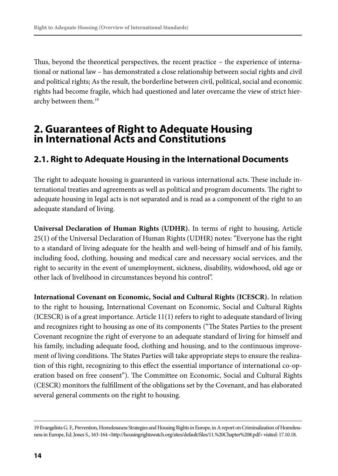Thus, beyond the theoretical perspectives, the recent practice – the experience of international or national law – has demonstrated a close relationship between social rights and civil and political rights; As the result, the borderline between civil, political, social and economic rights had become fragile, which had questioned and later overcame the view of strict hierarchy between them.<sup>19</sup>

#### **2. Guarantees of Right to Adequate Housing in International Acts and Constitutions**

#### **2.1. Right to Adequate Housing in the International Documents**

The right to adequate housing is guaranteed in various international acts. These include international treaties and agreements as well as political and program documents. The right to adequate housing in legal acts is not separated and is read as a component of the right to an adequate standard of living.

**Universal Declaration of Human Rights (UDHR).** In terms of right to housing, Article 25(1) of the Universal Declaration of Human Rights (UDHR) notes: "Everyone has the right to a standard of living adequate for the health and well-being of himself and of his family, including food, clothing, housing and medical care and necessary social services, and the right to security in the event of unemployment, sickness, disability, widowhood, old age or other lack of livelihood in circumstances beyond his control".

**International Covenant on Economic, Social and Cultural Rights (ICESCR).** In relation to the right to housing, International Covenant on Economic, Social and Cultural Rights (ICESCR) is of a great importance. Article 11(1) refers to right to adequate standard of living and recognizes right to housing as one of its components ("The States Parties to the present Covenant recognize the right of everyone to an adequate standard of living for himself and his family, including adequate food, clothing and housing, and to the continuous improvement of living conditions. The States Parties will take appropriate steps to ensure the realization of this right, recognizing to this effect the essential importance of international co-operation based on free consent"). The Committee on Economic, Social and Cultural Rights (CESCR) monitors the fulfillment of the obligations set by the Covenant, and has elaborated several general comments on the right to housing.

<sup>19</sup> Evangelista G. F., Prevention, Homelessness Strategies and Housing Rights in Europe, in A report on Criminalization of Homelessness in Europe, Ed. Jones S., 163-164 <http://housingrightswatch.org/sites/default/files/11.%20Chapter%208.pdf> visited: 17.10.18.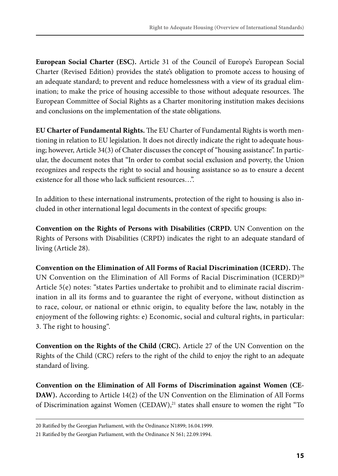**European Social Charter (ESC).** Article 31 of the Council of Europe's European Social Charter (Revised Edition) provides the state's obligation to promote access to housing of an adequate standard; to prevent and reduce homelessness with a view of its gradual elimination; to make the price of housing accessible to those without adequate resources. The European Committee of Social Rights as a Charter monitoring institution makes decisions and conclusions on the implementation of the state obligations.

**EU Charter of Fundamental Rights.** The EU Charter of Fundamental Rights is worth mentioning in relation to EU legislation. It does not directly indicate the right to adequate housing; however, Article 34(3) of Chater discusses the concept of "housing assistance". In particular, the document notes that "In order to combat social exclusion and poverty, the Union recognizes and respects the right to social and housing assistance so as to ensure a decent existence for all those who lack sufficient resources…".

In addition to these international instruments, protection of the right to housing is also included in other international legal documents in the context of specific groups:

**Convention on the Rights of Persons with Disabilities (CRPD.** UN Convention on the Rights of Persons with Disabilities (CRPD) indicates the right to an adequate standard of living (Article 28).

**Convention on the Elimination of All Forms of Racial Discrimination (ICERD).** The UN Convention on the Elimination of All Forms of Racial Discrimination (ICERD)<sup>20</sup> Article 5(e) notes: "states Parties undertake to prohibit and to eliminate racial discrimination in all its forms and to guarantee the right of everyone, without distinction as to race, colour, or national or ethnic origin, to equality before the law, notably in the enjoyment of the following rights: e) Economic, social and cultural rights, in particular: 3. The right to housing".

**Convention on the Rights of the Child (CRC).** Article 27 of the UN Convention on the Rights of the Child (CRC) refers to the right of the child to enjoy the right to an adequate standard of living.

**Convention on the Elimination of All Forms of Discrimination against Women (CE-DAW).** According to Article 14(2) of the UN Convention on the Elimination of All Forms of Discrimination against Women  $(CEDAW)^{21}$  states shall ensure to women the right "To

<sup>20</sup> Ratified by the Georgian Parliament, with the Ordinance N1899; 16.04.1999.

<sup>21</sup> Ratified by the Georgian Parliament, with the Ordinance N 561; 22.09.1994.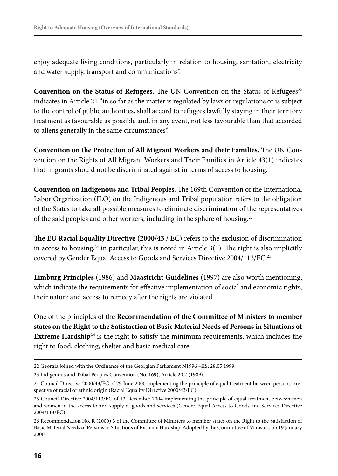enjoy adequate living conditions, particularly in relation to housing, sanitation, electricity and water supply, transport and communications".

**Convention on the Status of Refugees.** The UN Convention on the Status of Refugees $^{22}$ indicates in Article 21 "in so far as the matter is regulated by laws or regulations or is subject to the control of public authorities, shall accord to refugees lawfully staying in their territory treatment as favourable as possible and, in any event, not less favourable than that accorded to aliens generally in the same circumstances".

**Convention on the Protection of All Migrant Workers and their Families.** The UN Convention on the Rights of All Migrant Workers and Their Families in Article 43(1) indicates that migrants should not be discriminated against in terms of access to housing.

**Convention on Indigenous and Tribal Peoples**. The 169th Convention of the International Labor Organization (ILO) on the Indigenous and Tribal population refers to the obligation of the States to take all possible measures to eliminate discrimination of the representatives of the said peoples and other workers, including in the sphere of housing.23

**The EU Racial Equality Directive (2000/43 / EC)** refers to the exclusion of discrimination in access to housing, $24$  in particular, this is noted in Article 3(1). The right is also implicitly covered by Gender Equal Access to Goods and Services Directive 2004/113/EC.<sup>25</sup>

**Limburg Principles** (1986) and **Maastricht Guidelines** (1997) are also worth mentioning, which indicate the requirements for effective implementation of social and economic rights, their nature and access to remedy after the rights are violated.

One of the principles of the **Recommendation of the Committee of Ministers to member states on the Right to the Satisfaction of Basic Material Needs of Persons in Situations of Extreme Hardship<sup>26</sup>** is the right to satisfy the minimum requirements, which includes the right to food, clothing, shelter and basic medical care.

<sup>22</sup> Georgia joined with the Ordinance of the Georgian Parliament N1996 –IIS; 28.05.1999.

<sup>23</sup> Indigenous and Tribal Peoples Convention (No. 169), Article 20.2 (1989).

<sup>24</sup> Council Directive 2000/43/EC of 29 June 2000 implementing the principle of equal treatment between persons irrespective of racial or ethnic origin (Racial Equality Directive 2000/43/EC).

<sup>25</sup> Council Directive 2004/113/EC of 13 December 2004 implementing the principle of equal treatment between men and women in the access to and supply of goods and services (Gender Equal Access to Goods and Services Directive 2004/113/EC).

<sup>26</sup> Recommendation No. R (2000) 3 of the Committee of Ministers to member states on the Right to the Satisfaction of Basic Material Needs of Persons in Situations of Extreme Hardship, Adopted by the Committee of Ministers on 19 January 2000.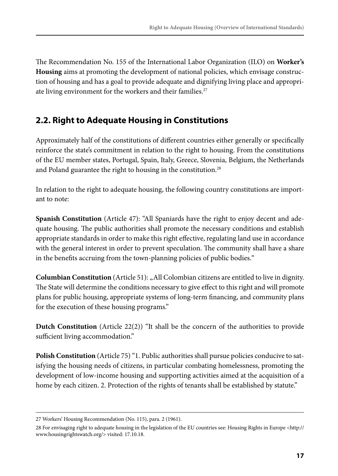The Recommendation No. 155 of the International Labor Organization (ILO) on **Worker's Housing** aims at promoting the development of national policies, which envisage construction of housing and has a goal to provide adequate and dignifying living place and appropriate living environment for the workers and their families.<sup>27</sup>

#### **2.2. Right to Adequate Housing in Constitutions**

Approximately half of the constitutions of different countries either generally or specifically reinforce the state's commitment in relation to the right to housing. From the constitutions of the EU member states, Portugal, Spain, Italy, Greece, Slovenia, Belgium, the Netherlands and Poland guarantee the right to housing in the constitution.<sup>28</sup>

In relation to the right to adequate housing, the following country constitutions are important to note:

**Spanish Constitution** (Article 47): "All Spaniards have the right to enjoy decent and adequate housing. The public authorities shall promote the necessary conditions and establish appropriate standards in order to make this right effective, regulating land use in accordance with the general interest in order to prevent speculation. The community shall have a share in the benefits accruing from the town-planning policies of public bodies."

**Columbian Constitution** (Article 51): "All Colombian citizens are entitled to live in dignity. The State will determine the conditions necessary to give effect to this right and will promote plans for public housing, appropriate systems of long-term financing, and community plans for the execution of these housing programs."

**Dutch Constitution** (Article 22(2)) "It shall be the concern of the authorities to provide sufficient living accommodation."

**Polish Constitution** (Article 75) "1. Public authorities shall pursue policies conducive to satisfying the housing needs of citizens, in particular combating homelessness, promoting the development of low-income housing and supporting activities aimed at the acquisition of a home by each citizen. 2. Protection of the rights of tenants shall be established by statute."

<sup>27</sup> Workers' Housing Recommendation (No. 115), para. 2 (1961).

<sup>28</sup> For envisaging right to adequate housing in the legislation of the EU countries see: Housing Rights in Europe <http:// www.housingrightswatch.org/> visited: 17.10.18.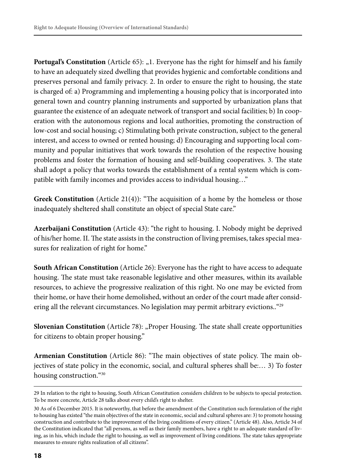**Portugal's Constitution** (Article 65): "1. Everyone has the right for himself and his family to have an adequately sized dwelling that provides hygienic and comfortable conditions and preserves personal and family privacy. 2. In order to ensure the right to housing, the state is charged of: a) Programming and implementing a housing policy that is incorporated into general town and country planning instruments and supported by urbanization plans that guarantee the existence of an adequate network of transport and social facilities; b) In cooperation with the autonomous regions and local authorities, promoting the construction of low-cost and social housing; c) Stimulating both private construction, subject to the general interest, and access to owned or rented housing; d) Encouraging and supporting local community and popular initiatives that work towards the resolution of the respective housing problems and foster the formation of housing and self-building cooperatives. 3. The state shall adopt a policy that works towards the establishment of a rental system which is compatible with family incomes and provides access to individual housing…"

Greek Constitution (Article 21(4)): "The acquisition of a home by the homeless or those inadequately sheltered shall constitute an object of special State care."

**Azerbaijani Constitution** (Article 43): "the right to housing. I. Nobody might be deprived of his/her home. II. The state assists in the construction of living premises, takes special measures for realization of right for home."

**South African Constitution** (Article 26): Everyone has the right to have access to adequate housing. The state must take reasonable legislative and other measures, within its available resources, to achieve the progressive realization of this right. No one may be evicted from their home, or have their home demolished, without an order of the court made after considering all the relevant circumstances. No legislation may permit arbitrary evictions..<sup>"29</sup>

**Slovenian Constitution** (Article 78): "Proper Housing. The state shall create opportunities for citizens to obtain proper housing."

**Armenian Constitution** (Article 86): "The main objectives of state policy. The main objectives of state policy in the economic, social, and cultural spheres shall be:… 3) To foster housing construction."30

<sup>29</sup> In relation to the right to housing, South African Constitution considers children to be subjects to special protection. To be more concrete, Article 28 talks about every child's right to shelter.

<sup>30</sup> As of 6 December 2015. It is noteworthy, that before the amendment of the Constitution such formulation of the right to housing has existed "the main objectives of the state in economic, social and cultural spheres are: 3) to promote housing construction and contribute to the improvement of the living conditions of every citizen." (Article 48). Also, Article 34 of the Constitution indicated that "all persons, as well as their family members, have a right to an adequate standard of living, as in his, which include the right to housing, as well as improvement of living conditions. The state takes appropriate measures to ensure rights realization of all citizens".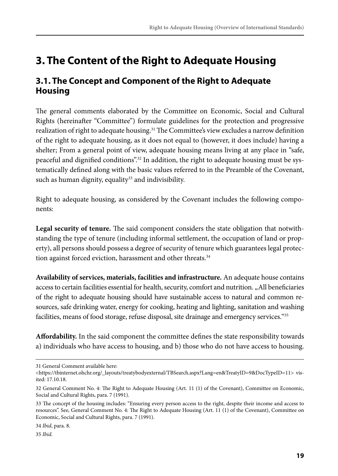## **3. The Content of the Right to Adequate Housing**

#### **3.1. The Concept and Component of the Right to Adequate Housing**

The general comments elaborated by the Committee on Economic, Social and Cultural Rights (hereinafter "Committee") formulate guidelines for the protection and progressive realization of right to adequate housing.<sup>31</sup> The Committee's view excludes a narrow definition of the right to adequate housing, as it does not equal to (however, it does include) having a shelter; From a general point of view, adequate housing means living at any place in "safe, peaceful and dignified conditions".<sup>32</sup> In addition, the right to adequate housing must be systematically defined along with the basic values referred to in the Preamble of the Covenant, such as human dignity, equality<sup>33</sup> and indivisibility.

Right to adequate housing, as considered by the Covenant includes the following components:

**Legal security of tenure.** The said component considers the state obligation that notwithstanding the type of tenure (including informal settlement, the occupation of land or property), all persons should possess a degree of security of tenure which guarantees legal protection against forced eviction, harassment and other threats.<sup>34</sup>

**Availability of services, materials, facilities and infrastructure.** An adequate house contains access to certain facilities essential for health, security, comfort and nutrition. "All beneficiaries of the right to adequate housing should have sustainable access to natural and common resources, safe drinking water, energy for cooking, heating and lighting, sanitation and washing facilities, means of food storage, refuse disposal, site drainage and emergency services.<sup>"35</sup>

**Affordability.** In the said component the committee defines the state responsibility towards a) individuals who have access to housing, and b) those who do not have access to housing.

<sup>31</sup> General Comment available here:

<sup>&</sup>lt;https://tbinternet.ohchr.org/\_layouts/treatybodyexternal/TBSearch.aspx?Lang=en&TreatyID=9&DocTypeID=11> visited: 17.10.18.

<sup>32</sup> General Comment No. 4: The Right to Adequate Housing (Art. 11 (1) of the Covenant), Committee on Economic, Social and Cultural Rights, para. 7 (1991).

<sup>33</sup> The concept of the housing includes: "Ensuring every person access to the right, despite their income and access to resources". See, General Comment No. 4: The Right to Adequate Housing (Art. 11 (1) of the Covenant), Committee on Economic, Social and Cultural Rights, para. 7 (1991).

<sup>34</sup> *Ibid*, para. 8.

<sup>35</sup> *Ibid*.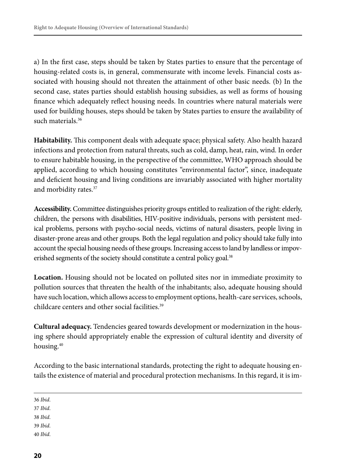a) In the first case, steps should be taken by States parties to ensure that the percentage of housing-related costs is, in general, commensurate with income levels. Financial costs associated with housing should not threaten the attainment of other basic needs. (b) In the second case, states parties should establish housing subsidies, as well as forms of housing finance which adequately reflect housing needs. In countries where natural materials were used for building houses, steps should be taken by States parties to ensure the availability of such materials.<sup>36</sup>

**Habitability.** This component deals with adequate space; physical safety. Also health hazard infections and protection from natural threats, such as cold, damp, heat, rain, wind. In order to ensure habitable housing, in the perspective of the committee, WHO approach should be applied, according to which housing constitutes "environmental factor", since, inadequate and deficient housing and living conditions are invariably associated with higher mortality and morbidity rates.37

**Accessibility.** Committee distinguishes priority groups entitled to realization of the right: elderly, children, the persons with disabilities, HIV-positive individuals, persons with persistent medical problems, persons with psycho-social needs, victims of natural disasters, people living in disaster-prone areas and other groups. Both the legal regulation and policy should take fully into account the special housing needs of these groups. Increasing access to land by landless or impoverished segments of the society should constitute a central policy goal.<sup>38</sup>

**Location.** Housing should not be located on polluted sites nor in immediate proximity to pollution sources that threaten the health of the inhabitants; also, adequate housing should have such location, which allows access to employment options, health-care services, schools, childcare centers and other social facilities.<sup>39</sup>

**Cultural adequacy.** Tendencies geared towards development or modernization in the housing sphere should appropriately enable the expression of cultural identity and diversity of housing.<sup>40</sup>

According to the basic international standards, protecting the right to adequate housing entails the existence of material and procedural protection mechanisms. In this regard, it is im-

36 *Ibid*.

37 *Ibid*.

38 *Ibid*.

- 39 *Ibid*.
- 40 *Ibid*.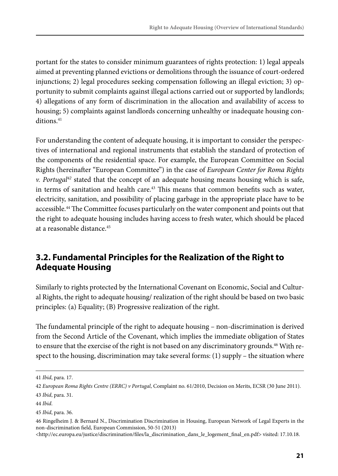portant for the states to consider minimum guarantees of rights protection: 1) legal appeals aimed at preventing planned evictions or demolitions through the issuance of court-ordered injunctions; 2) legal procedures seeking compensation following an illegal eviction; 3) opportunity to submit complaints against illegal actions carried out or supported by landlords; 4) allegations of any form of discrimination in the allocation and availability of access to housing; 5) complaints against landlords concerning unhealthy or inadequate housing conditions.<sup>41</sup>

For understanding the content of adequate housing, it is important to consider the perspectives of international and regional instruments that establish the standard of protection of the components of the residential space. For example, the European Committee on Social Rights (hereinafter "European Committee") in the case of *European Center for Roma Rights v. Portugal42* stated that the concept of an adequate housing means housing which is safe, in terms of sanitation and health care.<sup>43</sup> This means that common benefits such as water, electricity, sanitation, and possibility of placing garbage in the appropriate place have to be accessible.<sup>44</sup> The Committee focuses particularly on the water component and points out that the right to adequate housing includes having access to fresh water, which should be placed at a reasonable distance.45

#### **3.2. Fundamental Principles for the Realization of the Right to Adequate Housing**

Similarly to rights protected by the International Covenant on Economic, Social and Cultural Rights, the right to adequate housing/ realization of the right should be based on two basic principles: (a) Equality; (B) Progressive realization of the right.

The fundamental principle of the right to adequate housing – non-discrimination is derived from the Second Article of the Covenant, which implies the immediate obligation of States to ensure that the exercise of the right is not based on any discriminatory grounds.<sup>46</sup> With respect to the housing, discrimination may take several forms: (1) supply – the situation where

<sup>41</sup> *Ibid*, para. 17.

<sup>42</sup> *European Roma Rights Centre (ERRC) v Portugal*, Complaint no. 61/2010, Decision on Merits, ECSR (30 June 2011). 43 *Ibid*, para. 31.

<sup>44</sup> *Ibid*.

<sup>45</sup> *Ibid*, para. 36.

<sup>46</sup> Ringelheim J. & Bernard N., Discrimination Discrimination in Housing, European Network of Legal Experts in the non-discrimination field, European Commission, 50-51 (2013)

<sup>&</sup>lt;http://ec.europa.eu/justice/discrimination/files/la\_discrimination\_dans\_le\_logement\_final\_en.pdf> visited: 17.10.18.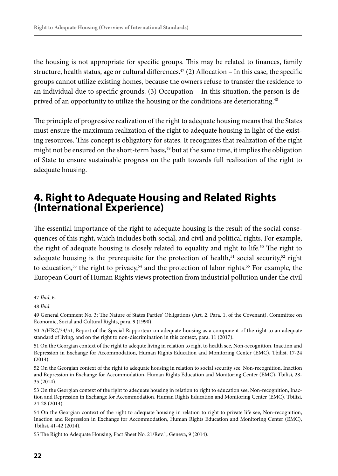the housing is not appropriate for specific groups. This may be related to finances, family structure, health status, age or cultural differences.<sup>47</sup> (2) Allocation – In this case, the specific groups cannot utilize existing homes, because the owners refuse to transfer the residence to an individual due to specific grounds. (3) Occupation – In this situation, the person is deprived of an opportunity to utilize the housing or the conditions are deteriorating.<sup>48</sup>

The principle of progressive realization of the right to adequate housing means that the States must ensure the maximum realization of the right to adequate housing in light of the existing resources. This concept is obligatory for states. It recognizes that realization of the right might not be ensured on the short-term basis, $49$  but at the same time, it implies the obligation of State to ensure sustainable progress on the path towards full realization of the right to adequate housing.

#### **4. Right to Adequate Housing and Related Rights (International Experience)**

The essential importance of the right to adequate housing is the result of the social consequences of this right, which includes both social, and civil and political rights. For example, the right of adequate housing is closely related to equality and right to life.50 The right to adequate housing is the prerequisite for the protection of health,<sup>51</sup> social security,<sup>52</sup> right to education,<sup>53</sup> the right to privacy,<sup>54</sup> and the protection of labor rights.<sup>55</sup> For example, the European Court of Human Rights views protection from industrial pollution under the civil

<sup>47</sup> *Ibid*, 6.

<sup>48</sup> *Ibid*.

<sup>49</sup> General Comment No. 3: The Nature of States Parties' Obligations (Art. 2, Para. 1, of the Covenant), Committee on Economic, Social and Cultural Rights, para. 9 (1990).

<sup>50</sup> A/HRC/34/51, Report of the Special Rapporteur on adequate housing as a component of the right to an adequate standard of living, and on the right to non-discrimination in this context, para. 11 (2017).

<sup>51</sup> On the Georgian context of the right to adequte living in relation to right to health see, Non-recognition, Inaction and Repression in Exchange for Accommodation, Human Rights Education and Monitoring Center (EMC), Tbilisi, 17-24 (2014).

<sup>52</sup> On the Georgian context of the right to adequate housing in relation to social security see, Non-recognition, Inaction and Repression in Exchange for Accommodation, Human Rights Education and Monitoring Center (EMC), Tbilisi, 28- 35 (2014).

<sup>53</sup> On the Georgian context of the right to adequate housing in relation to right to education see, Non-recognition, Inaction and Repression in Exchange for Accommodation, Human Rights Education and Monitoring Center (EMC), Tbilisi, 24-28 (2014).

<sup>54</sup> On the Georgian context of the right to adequate housing in relation to right to private life see, Non-recognition, Inaction and Repression in Exchange for Accommodation, Human Rights Education and Monitoring Center (EMC), Tbilisi, 41-42 (2014).

<sup>55</sup> The Right to Adequate Housing, Fact Sheet No. 21/Rev.1, Geneva, 9 (2014).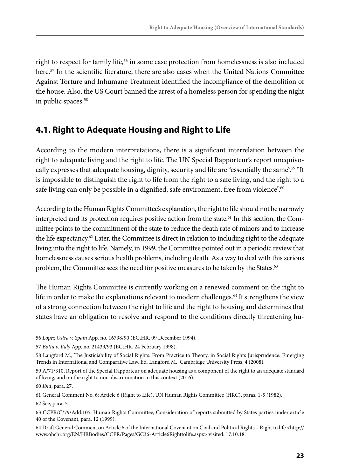right to respect for family life,<sup>56</sup> in some case protection from homelessness is also included here.<sup>57</sup> In the scientific literature, there are also cases when the United Nations Committee Against Torture and Inhumane Treatment identified the incompliance of the demolition of the house. Also, the US Court banned the arrest of a homeless person for spending the night in public spaces.58

#### **4.1. Right to Adequate Housing and Right to Life**

According to the modern interpretations, there is a significant interrelation between the right to adequate living and the right to life. The UN Special Rapporteur's report unequivocally expresses that adequate housing, dignity, security and life are "essentially the same".<sup>59</sup> "It is impossible to distinguish the right to life from the right to a safe living, and the right to a safe living can only be possible in a dignified, safe environment, free from violence".<sup>60</sup>

According to the Human Rights Committee's explanation, the right to life should not be narrowly interpreted and its protection requires positive action from the state.<sup>61</sup> In this section, the Committee points to the commitment of the state to reduce the death rate of minors and to increase the life expectancy.<sup>62</sup> Later, the Committee is direct in relation to including right to the adequate living into the right to life. Namely, in 1999, the Committee pointed out in a periodic review that homelessness causes serious health problems, including death. As a way to deal with this serious problem, the Committee sees the need for positive measures to be taken by the States.<sup>63</sup>

The Human Rights Committee is currently working on a renewed comment on the right to life in order to make the explanations relevant to modern challenges.<sup>64</sup> It strengthens the view of a strong connection between the right to life and the right to housing and determines that states have an obligation to resolve and respond to the conditions directly threatening hu-

<sup>56</sup> *López Ostra v. Spain* App. no. 16798/90 (ECtHR, 09 December 1994).

<sup>57</sup> *Botta v. Italy* App. no. 21439/93 (ECtHR, 24 February 1998).

<sup>58</sup> Langford M., The Justiciability of Social Rights: From Practice to Theory, in Social Rights Jurisprudence: Emerging Trends in International and Comparative Law, Ed. Langford M., Cambridge University Press, 4 (2008).

<sup>59</sup> A/71/310, Report of the Special Rapporteur on adequate housing as a component of the right to an adequate standard of living, and on the right to non-discrimination in this context (2016).

<sup>60</sup> *Ibid*, para. 27.

<sup>61</sup> General Comment No. 6: Article 6 (Right to Life), UN Human Rights Committee (HRC), paras. 1-5 (1982).

<sup>62</sup> See, para. 5.

<sup>63</sup> CCPR/C/79/Add.105, Human Rights Committee, Consideration of reports submitted by States parties under article 40 of the Covenant, para. 12 (1999).

<sup>64</sup> Draft General Comment on Article 6 of the International Covenant on Civil and Political Rights – Right to life <http:// www.ohchr.org/EN/HRBodies/CCPR/Pages/GC36-Article6Righttolife.aspx> visited: 17.10.18.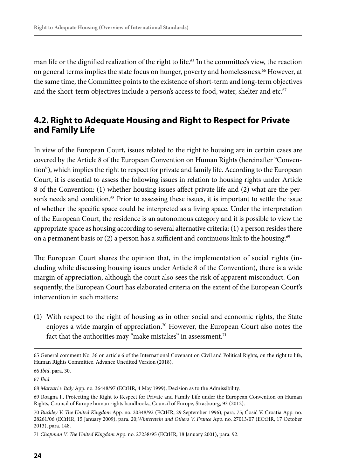man life or the dignified realization of the right to life.<sup>65</sup> In the committee's view, the reaction on general terms implies the state focus on hunger, poverty and homelessness.<sup>66</sup> However, at the same time, the Committee points to the existence of short-term and long-term objectives and the short-term objectives include a person's access to food, water, shelter and etc.<sup>67</sup>

#### **4.2. Right to Adequate Housing and Right to Respect for Private and Family Life**

In view of the European Court, issues related to the right to housing are in certain cases are covered by the Article 8 of the European Convention on Human Rights (hereinafter "Convention"), which implies the right to respect for private and family life. According to the European Court, it is essential to assess the following issues in relation to housing rights under Article 8 of the Convention: (1) whether housing issues affect private life and (2) what are the person's needs and condition.<sup>68</sup> Prior to assessing these issues, it is important to settle the issue of whether the specific space could be interpreted as a living space. Under the interpretation of the European Court, the residence is an autonomous category and it is possible to view the appropriate space as housing according to several alternative criteria: (1) a person resides there on a permanent basis or  $(2)$  a person has a sufficient and continuous link to the housing.<sup>69</sup>

The European Court shares the opinion that, in the implementation of social rights (including while discussing housing issues under Article 8 of the Convention), there is a wide margin of appreciation, although the court also sees the risk of apparent misconduct. Consequently, the European Court has elaborated criteria on the extent of the European Court's intervention in such matters:

(1) With respect to the right of housing as in other social and economic rights, the State enjoyes a wide margin of appreciation.<sup>70</sup> However, the European Court also notes the fact that the authorities may "make mistakes" in assessment.<sup>71</sup>

<sup>65</sup> General comment No. 36 on article 6 of the International Covenant on Civil and Political Rights, on the right to life, Human Rights Committee, Advance Unedited Version (2018).

<sup>66</sup> *Ibid*, para. 30.

<sup>67</sup> *Ibid*.

<sup>68</sup> *Marzari v Italy* App. no. 36448/97 (ECtHR, 4 May 1999), Decision as to the Admissibility.

<sup>69</sup> Roagna I., Protecting the Right to Respect for Private and Family Life under the European Convention on Human Rights, Council of Europe human rights handbooks, Council of Europe, Strasbourg, 93 (2012).

<sup>70</sup> *Buckley V. The United Kingdom* App. no. 20348/92 (ECtHR, 29 September 1996), para. 75; Ćosić V. Croatia App. no. 28261/06 (ECtHR, 15 January 2009), para. 20;*Winterstein and Others V. France* App. no. 27013/07 (ECtHR, 17 October 2013), para. 148.

<sup>71</sup> *Chapman V. The United Kingdom* App. no. 27238/95 (ECtHR, 18 January 2001), para. 92.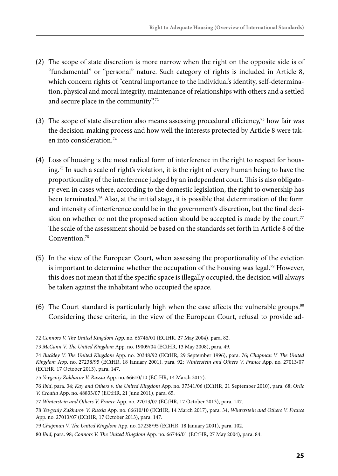- (2) The scope of state discretion is more narrow when the right on the opposite side is of "fundamental" or "personal" nature. Such category of rights is included in Article 8, which concern rights of "central importance to the individual's identity, self-determination, physical and moral integrity, maintenance of relationships with others and a settled and secure place in the community".<sup>72</sup>
- (3) The scope of state discretion also means assessing procedural efficiency,<sup>73</sup> how fair was the decision-making process and how well the interests protected by Article 8 were taken into consideration.74
- (4) Loss of housing is the most radical form of interference in the right to respect for housing.*<sup>75</sup>* In such a scale of right's violation, it is the right of every human being to have the proportionality of the interference judged by an independent court. This is also obligatory even in cases where, according to the domestic legislation, the right to ownership has been terminated.76 Also, at the initial stage, it is possible that determination of the form and intensity of interference could be in the government's discretion, but the final decision on whether or not the proposed action should be accepted is made by the court. $77$ The scale of the assessment should be based on the standards set forth in Article 8 of the Convention<sup>78</sup>
- (5) In the view of the European Court, when assessing the proportionality of the eviction is important to determine whether the occupation of the housing was legal.<sup>79</sup> However, this does not mean that if the specific space is illegally occupied, the decision will always be taken against the inhabitant who occupied the space.
- (6) The Court standard is particularly high when the case affects the vulnerable groups.<sup>80</sup> Considering these criteria, in the view of the European Court, refusal to provide ad-

<sup>72</sup> *Connors V. The United Kingdom* App. no. 66746/01 (ECtHR, 27 May 2004), para. 82.

<sup>73</sup> *McCann V. The United Kingdom* App. no. 19009/04 (ECtHR, 13 May 2008), para. 49.

<sup>74</sup> *Buckley V. The United Kingdom* App. no. 20348/92 (ECtHR, 29 September 1996), para. 76; *Chapman V. The United Kingdom* App. no. 27238/95 (ECtHR, 18 January 2001), para. 92; *Winterstein and Others V. France* App. no. 27013/07 (ECtHR, 17 October 2013), para. 147.

<sup>75</sup> *Yevgeniy Zakharov V. Russia* App. no. 66610/10 (ECtHR, 14 March 2017).

<sup>76</sup> *Ibid*, para. 34; *Kay and Others v. the United Kingdom* App. no. 37341/06 (ECtHR, 21 September 2010), para. 68; *Orlic V. Croatia* App. no. 48833/07 (ECtHR, 21 June 2011), para. 65.

<sup>77</sup> *Winterstein and Others V. France* App. no. 27013/07 (ECtHR, 17 October 2013), para. 147.

<sup>78</sup> *Yevgeniy Zakharov V. Russia* App. no. 66610/10 (ECtHR, 14 March 2017), para. 34; *Winterstein and Others V. France* App. no. 27013/07 (ECtHR, 17 October 2013), para. 147.

<sup>79</sup> *Chapman V. The United Kingdom* App. no. 27238/95 (ECtHR, 18 January 2001), para. 102.

<sup>80</sup> *Ibid*, para. 98; *Connors V. The United Kingdom* App. no. 66746/01 (ECtHR, 27 May 2004), para. 84.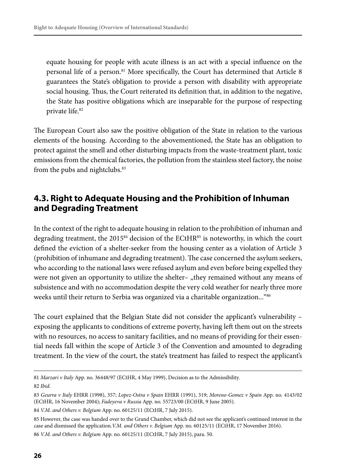equate housing for people with acute illness is an act with a special influence on the personal life of a person.81 More specifically, the Court has determined that Article 8 guarantees the State's obligation to provide a person with disability with appropriate social housing. Thus, the Court reiterated its definition that, in addition to the negative, the State has positive obligations which are inseparable for the purpose of respecting private life.<sup>82</sup>

The European Court also saw the positive obligation of the State in relation to the various elements of the housing. According to the abovementioned, the State has an obligation to protect against the smell and other disturbing impacts from the waste-treatment plant, toxic emissions from the chemical factories, the pollution from the stainless steel factory, the noise from the pubs and nightclubs.<sup>83</sup>

#### **4.3. Right to Adequate Housing and the Prohibition of Inhuman and Degrading Treatment**

In the context of the right to adequate housing in relation to the prohibition of inhuman and degrading treatment, the 2015<sup>84</sup> decision of the ECtHR<sup>85</sup> is noteworthy, in which the court defined the eviction of a shelter-seeker from the housing center as a violation of Article 3 (prohibition of inhumane and degrading treatment). The case concerned the asylum seekers, who according to the national laws were refused asylum and even before being expelled they were not given an opportunity to utilize the shelter– "they remained without any means of subsistence and with no accommodation despite the very cold weather for nearly three more weeks until their return to Serbia was organized via a charitable organization...<sup>"86</sup>

The court explained that the Belgian State did not consider the applicant's vulnerability – exposing the applicants to conditions of extreme poverty, having left them out on the streets with no resources, no access to sanitary facilities, and no means of providing for their essential needs fall within the scope of Article 3 of the Convention and amounted to degrading treatment. In the view of the court, the state's treatment has failed to respect the applicant's

<sup>81</sup> *Marzari v Italy* App. no. 36448/97 (ECtHR, 4 May 1999), Decision as to the Admissibility. 82 *Ibid*.

<sup>83</sup> *Geurra v Italy* EHRR (1998), 357; *Lopez-Ostra v Spain* EHRR (1991), 319; *Moreno-Gomez v Spain* App. no. 4143/02 (ECtHR, 16 November 2004); *Fadeyeva v Russia* App. no. 55723/00 (ECtHR, 9 June 2005).

<sup>84</sup> *V.M. and Others v. Belgium* App. no. 60125/11 (ECtHR, 7 July 2015).

<sup>85</sup> However, the case was handed over to the Grand Chamber, which did not see the applicant's continued interest in the case and dismissed the application.*V.M. and Others v. Belgium* App. no. 60125/11 (ECtHR, 17 November 2016). 86 *V.M. and Others v. Belgium* App. no. 60125/11 (ECtHR, 7 July 2015), para. 50.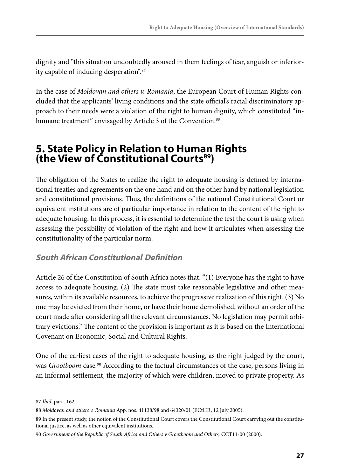dignity and "this situation undoubtedly aroused in them feelings of fear, anguish or inferiority capable of inducing desperation".87

In the case of *Moldovan and others v. Romania*, the European Court of Human Rights concluded that the applicants' living conditions and the state official's racial discriminatory approach to their needs were a violation of the right to human dignity, which constituted "inhumane treatment" envisaged by Article 3 of the Convention.<sup>88</sup>

#### **5. State Policy in Relation to Human Rights (the View of Constitutional Courts89)**

The obligation of the States to realize the right to adequate housing is defined by international treaties and agreements on the one hand and on the other hand by national legislation and constitutional provisions. Thus, the definitions of the national Constitutional Court or equivalent institutions are of particular importance in relation to the content of the right to adequate housing. In this process, it is essential to determine the test the court is using when assessing the possibility of violation of the right and how it articulates when assessing the constitutionality of the particular norm.

#### **South African Constitutional Definition**

Article 26 of the Constitution of South Africa notes that: "(1) Everyone has the right to have access to adequate housing. (2) The state must take reasonable legislative and other measures, within its available resources, to achieve the progressive realization of this right. (3) No one may be evicted from their home, or have their home demolished, without an order of the court made after considering all the relevant circumstances. No legislation may permit arbitrary evictions." The content of the provision is important as it is based on the International Covenant on Economic, Social and Cultural Rights.

One of the earliest cases of the right to adequate housing, as the right judged by the court, was *Grootboom* case*.* 90 According to the factual circumstances of the case, persons living in an informal settlement, the majority of which were children, moved to private property. As

<sup>87</sup> *Ibid*, para. 162.

<sup>88</sup> *Moldovan and others v. Romania* App. nos. 41138/98 and 64320/01 (ECtHR, 12 July 2005).

<sup>89</sup> In the present study, the notion of the Constitutional Court covers the Constitutional Court carrying out the constitutional justice, as well as other equivalent institutions.

<sup>90</sup> *Government of the Republic of South Africa and Others v Grootboom and Others,* CCT11-00 (2000).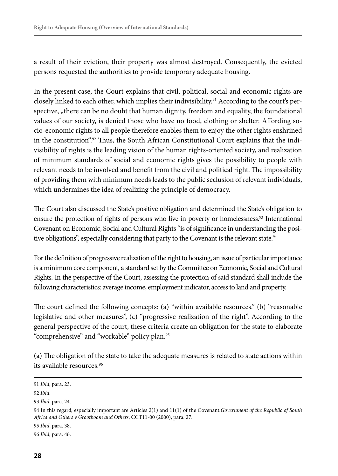a result of their eviction, their property was almost destroyed. Consequently, the evicted persons requested the authorities to provide temporary adequate housing.

In the present case, the Court explains that civil, political, social and economic rights are closely linked to each other, which implies their indivisibility.<sup>91</sup> According to the court's perspective, "there can be no doubt that human dignity, freedom and equality, the foundational values of our society, is denied those who have no food, clothing or shelter. Affording socio-economic rights to all people therefore enables them to enjoy the other rights enshrined in the constitution".<sup>92</sup> Thus, the South African Constitutional Court explains that the indivisibility of rights is the leading vision of the human rights-oriented society, and realization of minimum standards of social and economic rights gives the possibility to people with relevant needs to be involved and benefit from the civil and political right. The impossibility of providing them with minimum needs leads to the public seclusion of relevant individuals, which undermines the idea of realizing the principle of democracy.

The Court also discussed the State's positive obligation and determined the State's obligation to ensure the protection of rights of persons who live in poverty or homelessness.<sup>93</sup> International Covenant on Economic, Social and Cultural Rights "is of significance in understanding the positive obligations", especially considering that party to the Covenant is the relevant state.<sup>94</sup>

For the definition of progressive realization of the right to housing, an issue of particular importance is a minimum core component, a standard set by the Committee on Economic, Social and Cultural Rights. In the perspective of the Court, assessing the protection of said standard shall include the following characteristics: average income, employment indicator, access to land and property.

The court defined the following concepts: (a) "within available resources." (b) "reasonable legislative and other measures", (c) "progressive realization of the right". According to the general perspective of the court, these criteria create an obligation for the state to elaborate "comprehensive" and "workable" policy plan.<sup>95</sup>

(a) The obligation of the state to take the adequate measures is related to state actions within its available resources.96

<sup>91</sup> *Ibid*, para. 23.

<sup>92</sup> *Ibid*.

<sup>93</sup> *Ibid*, para. 24.

<sup>94</sup> In this regard, especially important are Articles 2(1) and 11(1) of the Covenant.*Government of the Republic of South Africa and Others v Grootboom and Others*, CCT11-00 (2000), para. 27.

<sup>95</sup> *Ibid*, para. 38.

<sup>96</sup> *Ibid*, para. 46.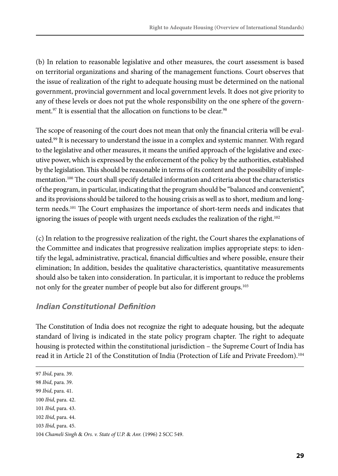(b) In relation to reasonable legislative and other measures, the court assessment is based on territorial organizations and sharing of the management functions. Court observes that the issue of realization of the right to adequate housing must be determined on the national government, provincial government and local government levels. It does not give priority to any of these levels or does not put the whole responsibility on the one sphere of the government.<sup>97</sup> It is essential that the allocation on functions to be clear.<sup>98</sup>

The scope of reasoning of the court does not mean that only the financial criteria will be evaluated.<sup>99</sup> It is necessary to understand the issue in a complex and systemic manner. With regard to the legislative and other measures, it means the unified approach of the legislative and executive power, which is expressed by the enforcement of the policy by the authorities, established by the legislation. This should be reasonable in terms of its content and the possibility of implementation.<sup>100</sup> The court shall specify detailed information and criteria about the characteristics of the program, in particular, indicating that the program should be "balanced and convenient", and its provisions should be tailored to the housing crisis as well as to short, medium and longterm needs.<sup>101</sup> The Court emphasizes the importance of short-term needs and indicates that ignoring the issues of people with urgent needs excludes the realization of the right.<sup>102</sup>

(c) In relation to the progressive realization of the right, the Court shares the explanations of the Committee and indicates that progressive realization implies appropriate steps: to identify the legal, administrative, practical, financial difficulties and where possible, ensure their elimination; In addition, besides the qualitative characteristics, quantitative measurements should also be taken into consideration. In particular, it is important to reduce the problems not only for the greater number of people but also for different groups.<sup>103</sup>

#### **Indian Constitutional Definition**

The Constitution of India does not recognize the right to adequate housing, but the adequate standard of living is indicated in the state policy program chapter. The right to adequate housing is protected within the constitutional jurisdiction – the Supreme Court of India has read it in Article 21 of the Constitution of India (Protection of Life and Private Freedom).104

<sup>97</sup> *Ibid*, para. 39.

<sup>98</sup> *Ibid*, para. 39.

<sup>99</sup> *Ibid*, para. 41.

<sup>100</sup> *Ibid*, para. 42.

<sup>101</sup> *Ibid*, para. 43.

<sup>102</sup> *Ibid*, para. 44.

<sup>103</sup> *Ibid*, para. 45.

<sup>104</sup> *Chameli Singh* & *Ors. v. State of U.P.* & *Anr.* (1996) 2 SCC 549.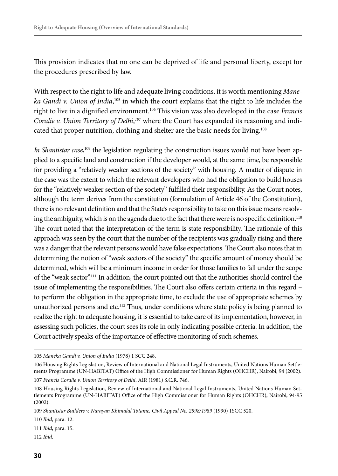This provision indicates that no one can be deprived of life and personal liberty, except for the procedures prescribed by law.

With respect to the right to life and adequate living conditions, it is worth mentioning *Maneka Gandi v. Union of India*, 105 in which the court explains that the right to life includes the right to live in a dignified environment.106 This vision was also developed in the case *Francis Coralie v. Union Territory of Delhi*, *107* where the Court has expanded its reasoning and indicated that proper nutrition, clothing and shelter are the basic needs for living.<sup>108</sup>

In Shantistar case,<sup>109</sup> the legislation regulating the construction issues would not have been applied to a specific land and construction if the developer would, at the same time, be responsible for providing a "relatively weaker sections of the society" with housing. A matter of dispute in the case was the extent to which the relevant developers who had the obligation to build houses for the "relatively weaker section of the society" fulfilled their responsibility. As the Court notes, although the term derives from the constitution (formulation of Article 46 of the Constitution), there is no relevant definition and that the State's responsibility to take on this issue means resolving the ambiguity, which is on the agenda due to the fact that there were is no specific definition.<sup>110</sup> The court noted that the interpretation of the term is state responsibility. The rationale of this approach was seen by the court that the number of the recipients was gradually rising and there was a danger that the relevant persons would have false expectations. The Court also notes that in determining the notion of "weak sectors of the society" the specific amount of money should be determined, which will be a minimum income in order for those families to fall under the scope of the "weak sector".111 In addition, the court pointed out that the authorities should control the issue of implementing the responsibilities. The Court also offers certain criteria in this regard – to perform the obligation in the appropriate time, to exclude the use of appropriate schemes by unauthorized persons and etc.112 Thus, under conditions where state policy is being planned to realize the right to adequate housing, it is essential to take care of its implementation, however, in assessing such policies, the court sees its role in only indicating possible criteria. In addition, the Court actively speaks of the importance of effective monitoring of such schemes.

112 *Ibid*.

<sup>105</sup> *Maneka Gandi v. Union of India* (1978) 1 SCC 248.

<sup>106</sup> Housing Rights Legislation, Review of International and National Legal Instruments, United Nations Human Settlements Programme (UN-HABITAT) Office of the High Commissioner for Human Rights (OHCHR), Nairobi, 94 (2002). 107 *Francis Coralie v. Union Territory of Delhi*, AIR (1981) S.C.R. 746.

<sup>108</sup> Housing Rights Legislation, Review of International and National Legal Instruments, United Nations Human Settlements Programme (UN-HABITAT) Office of the High Commissioner for Human Rights (OHCHR), Nairobi, 94-95 (2002).

<sup>109</sup> *Shantistar Builders v. Narayan Khimalal Totame, Civil Appeal No. 2598/1989* (1990) 1SCC 520.

<sup>110</sup> *Ibid*, para. 12.

<sup>111</sup> *Ibid*, para. 15.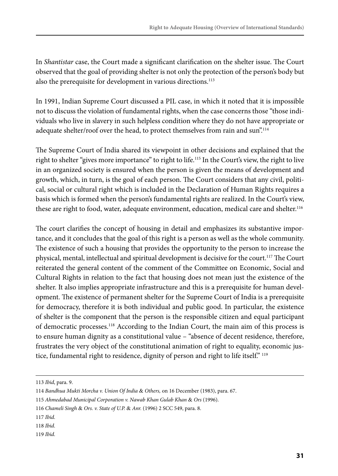In *Shantistar* case, the Court made a significant clarification on the shelter issue. The Court observed that the goal of providing shelter is not only the protection of the person's body but also the prerequisite for development in various directions.<sup>113</sup>

In 1991, Indian Supreme Court discussed a PIL case, in which it noted that it is impossible not to discuss the violation of fundamental rights, when the case concerns those "those individuals who live in slavery in such helpless condition where they do not have appropriate or adequate shelter/roof over the head, to protect themselves from rain and sun".<sup>114</sup>

The Supreme Court of India shared its viewpoint in other decisions and explained that the right to shelter "gives more importance" to right to life.<sup>115</sup> In the Court's view, the right to live in an organized society is ensured when the person is given the means of development and growth, which, in turn, is the goal of each person. The Court considers that any civil, political, social or cultural right which is included in the Declaration of Human Rights requires a basis which is formed when the person's fundamental rights are realized. In the Court's view, these are right to food, water, adequate environment, education, medical care and shelter.<sup>116</sup>

The court clarifies the concept of housing in detail and emphasizes its substantive importance, and it concludes that the goal of this right is a person as well as the whole community. The existence of such a housing that provides the opportunity to the person to increase the physical, mental, intellectual and spiritual development is decisive for the court.<sup>117</sup> The Court reiterated the general content of the comment of the Committee on Economic, Social and Cultural Rights in relation to the fact that housing does not mean just the existence of the shelter. It also implies appropriate infrastructure and this is a prerequisite for human development. The existence of permanent shelter for the Supreme Court of India is a prerequisite for democracy, therefore it is both individual and public good. In particular, the existence of shelter is the component that the person is the responsible citizen and equal participant of democratic processes.118 According to the Indian Court, the main aim of this process is to ensure human dignity as a constitutional value – "absence of decent residence, therefore, frustrates the very object of the constitutional animation of right to equality, economic justice, fundamental right to residence, dignity of person and right to life itself." 119

119 *Ibid*.

<sup>113</sup> *Ibid*, para. 9.

<sup>114</sup> *Bandhua Mukti Morcha v. Union Of India* & *Others,* on 16 December (1983), para. 67.

<sup>115</sup> *Ahmedabad Municipal Corporation v. Nawab Khan Gulab Khan* & *Ors* (1996).

<sup>116</sup> *Chameli Singh* & *Ors. v. State of U.P.* & *Anr.* (1996) 2 SCC 549, para. 8.

<sup>117</sup> *Ibid*.

<sup>118</sup> *Ibid*.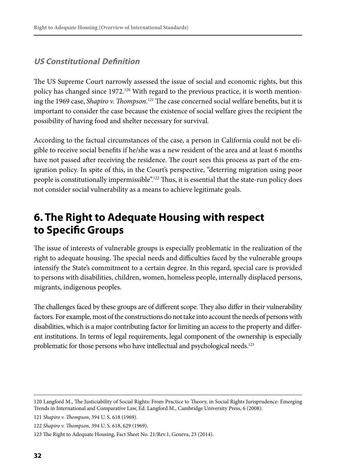#### **US Constitutional Definition**

The US Supreme Court narrowly assessed the issue of social and economic rights, but this policy has changed since 1972.<sup>120</sup> With regard to the previous practice, it is worth mentioning the 1969 case, *Shapiro v. Thompson*. <sup>121</sup> The case concerned social welfare benefits, but it is important to consider the case because the existence of social welfare gives the recipient the possibility of having food and shelter necessary for survival.

According to the factual circumstances of the case, a person in California could not be eligible to receive social benefits if he/she was a new resident of the area and at least 6 months have not passed after receiving the residence. The court sees this process as part of the emigration policy. In spite of this, in the Court's perspective, "deterring migration using poor people is constitutionally impermissible".<sup>122</sup> Thus, it is essential that the state-run policy does not consider social vulnerability as a means to achieve legitimate goals.

### **6. The Right to Adequate Housing with respect to Specific Groups**

The issue of interests of vulnerable groups is especially problematic in the realization of the right to adequate housing. The special needs and difficulties faced by the vulnerable groups intensify the State's commitment to a certain degree. In this regard, special care is provided to persons with disabilities, children, women, homeless people, internally displaced persons, migrants, indigenous peoples.

The challenges faced by these groups are of different scope. They also differ in their vulnerability factors. For example, most of the constructions do not take into account the needs of persons with disabilities, which is a major contributing factor for limiting an access to the property and different institutions. In terms of legal requirements, legal component of the ownership is especially problematic for those persons who have intellectual and psychological needs.<sup>123</sup>

121 *Shapiro v. Thompson*, 394 U. S. 618 (1969).

<sup>120</sup> Langford M., The Justiciability of Social Rights: From Practice to Theory, in Social Rights Jurisprudence: Emerging Trends in International and Comparative Law, Ed. Langford M., Cambridge University Press, 6 (2008).

<sup>122</sup> *Shapiro v. Thompson,* 394 U. S. 618, 629 (1969).

<sup>123</sup> The Right to Adequate Housing, Fact Sheet No. 21/Rev.1, Geneva, 23 (2014).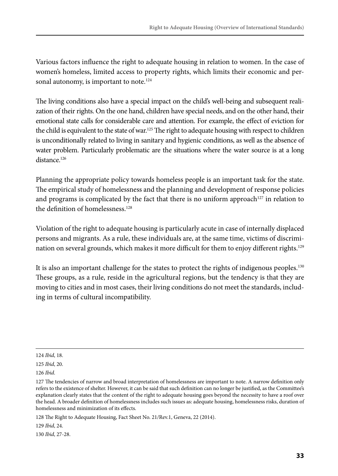Various factors influence the right to adequate housing in relation to women. In the case of women's homeless, limited access to property rights, which limits their economic and personal autonomy, is important to note. $124$ 

The living conditions also have a special impact on the child's well-being and subsequent realization of their rights. On the one hand, children have special needs, and on the other hand, their emotional state calls for considerable care and attention. For example, the effect of eviction for the child is equivalent to the state of war.<sup>125</sup> The right to adequate housing with respect to children is unconditionally related to living in sanitary and hygienic conditions, as well as the absence of water problem. Particularly problematic are the situations where the water source is at a long distance.<sup>126</sup>

Planning the appropriate policy towards homeless people is an important task for the state. The empirical study of homelessness and the planning and development of response policies and programs is complicated by the fact that there is no uniform approach<sup>127</sup> in relation to the definition of homelessness.<sup>128</sup>

Violation of the right to adequate housing is particularly acute in case of internally displaced persons and migrants. As a rule, these individuals are, at the same time, victims of discrimination on several grounds, which makes it more difficult for them to enjoy different rights.<sup>129</sup>

It is also an important challenge for the states to protect the rights of indigenous peoples.<sup>130</sup> These groups, as a rule, reside in the agricultural regions, but the tendency is that they are moving to cities and in most cases, their living conditions do not meet the standards, including in terms of cultural incompatibility.

128 The Right to Adequate Housing, Fact Sheet No. 21/Rev.1, Geneva, 22 (2014).

129 *Ibid*, 24.

130 *Ibid*, 27-28.

<sup>124</sup> *Ibid*, 18.

<sup>125</sup> *Ibid*, 20.

<sup>126</sup> *Ibid*.

<sup>127</sup> The tendencies of narrow and broad interpretation of homelessness are important to note. A narrow definition only refers to the existence of shelter. However, it can be said that such definition can no longer be justified, as the Committee's explanation clearly states that the content of the right to adequate housing goes beyond the necessity to have a roof over the head. A broader definition of homelessness includes such issues as: adequate housing, homelessness risks, duration of homelessness and minimization of its effects.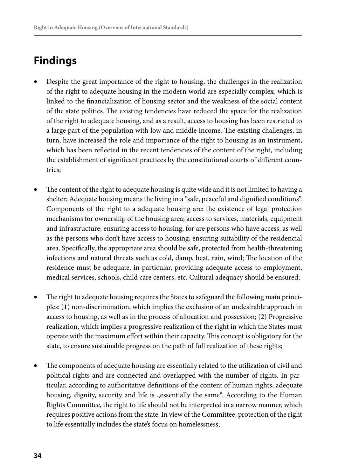## **Findings**

- Despite the great importance of the right to housing, the challenges in the realization of the right to adequate housing in the modern world are especially complex, which is linked to the financialization of housing sector and the weakness of the social content of the state politics. The existing tendencies have reduced the space for the realization of the right to adequate housing, and as a result, access to housing has been restricted to a large part of the population with low and middle income. The existing challenges, in turn, have increased the role and importance of the right to housing as an instrument, which has been reflected in the recent tendencies of the content of the right, including the establishment of significant practices by the constitutional courts of different countries;
- The content of the right to adequate housing is quite wide and it is not limited to having a shelter; Adequate housing means the living in a "safe, peaceful and dignified conditions". Components of the right to a adequate housing are: the existence of legal protection mechanisms for ownership of the housing area; access to services, materials, equipment and infrastructure; ensuring access to housing, for are persons who have access, as well as the persons who don't have access to housing; ensuring suitability of the residencial area. Specifically, the appropriate area should be safe, protected from health-threatening infections and natural threats such as cold, damp, heat, rain, wind; The location of the residence must be adequate, in particular, providing adequate access to employment, medical services, schools, child care centers, etc. Cultural adequacy should be ensured;
- The right to adequate housing requires the States to safeguard the following main principles: (1) non-discrimination, which implies the exclusion of an undesirable approach in access to housing, as well as in the process of allocation and possession; (2) Progressive realization, which implies a progressive realization of the right in which the States must operate with the maximum effort within their capacity. This concept is obligatory for the state, to ensure sustainable progress on the path of full realization of these rights;
- The components of adequate housing are essentially related to the utilization of civil and political rights and are connected and overlapped with the number of rights. In particular, according to authoritative definitions of the content of human rights, adequate housing, dignity, security and life is "essentially the same". According to the Human Rights Committee, the right to life should not be interpreted in a narrow manner, which requires positive actions from the state. In view of the Committee, protection of the right to life essentially includes the state's focus on homelessness;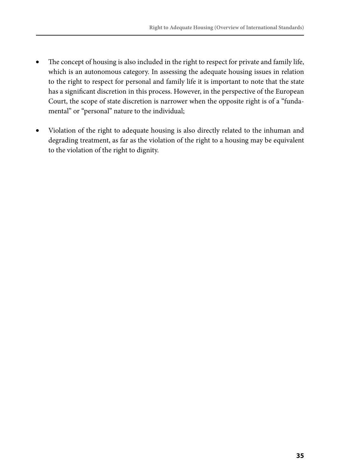- The concept of housing is also included in the right to respect for private and family life, which is an autonomous category. In assessing the adequate housing issues in relation to the right to respect for personal and family life it is important to note that the state has a significant discretion in this process. However, in the perspective of the European Court, the scope of state discretion is narrower when the opposite right is of a "fundamental" or "personal" nature to the individual;
- Violation of the right to adequate housing is also directly related to the inhuman and degrading treatment, as far as the violation of the right to a housing may be equivalent to the violation of the right to dignity.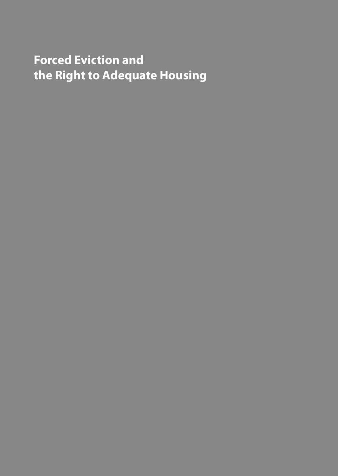## **Forced Eviction and the Right to Adequate Housing**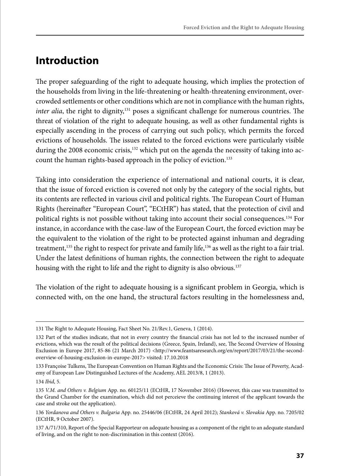# **Introduction**

The proper safeguarding of the right to adequate housing, which implies the protection of the households from living in the life-threatening or health-threatening environment, overcrowded settlements or other conditions which are not in compliance with the human rights, *inter alia*, the right to dignity,<sup>131</sup> poses a significant challenge for numerous countries. The threat of violation of the right to adequate housing, as well as other fundamental rights is especially ascending in the process of carrying out such policy, which permits the forced evictions of households. The issues related to the forced evictions were particularly visible during the 2008 economic crisis,<sup>132</sup> which put on the agenda the necessity of taking into account the human rights-based approach in the policy of eviction.<sup>133</sup>

Taking into consideration the experience of international and national courts, it is clear, that the issue of forced eviction is covered not only by the category of the social rights, but its contents are reflected in various civil and political rights. The European Court of Human Rights (hereinafter "European Court", "ECtHR") has stated, that the protection of civil and political rights is not possible without taking into account their social consequences.<sup>134</sup> For instance, in accordance with the case-law of the European Court, the forced eviction may be the equivalent to the violation of the right to be protected against inhuman and degrading treatment,<sup>135</sup> the right to respect for private and family life,<sup>136</sup> as well as the right to a fair trial. Under the latest definitions of human rights, the connection between the right to adequate housing with the right to life and the right to dignity is also obvious.<sup>137</sup>

The violation of the right to adequate housing is a significant problem in Georgia, which is connected with, on the one hand, the structural factors resulting in the homelessness and,

<sup>131</sup> The Right to Adequate Housing, Fact Sheet No. 21/Rev.1, Geneva, 1 (2014).

<sup>132</sup> Part of the studies indicate, that not in every country the financial crisis has not led to the increased number of evictions, which was the result of the political decisions (Greece, Spain, Ireland), see, The Second Overview of Housing Exclusion in Europe 2017, 85-86 (21 March 2017) <http://www.feantsaresearch.org/en/report/2017/03/21/the-secondoverview-of-housing-exclusion-in-europe-2017> visited: 17.10.2018

<sup>133</sup> Françoise Tulkens, The European Convention on Human Rights and the Economic Crisis: The Issue of Poverty, Academy of European Law Distinguished Lectures of the Academy, AEL 2013/8, 1 (2013).

<sup>134</sup> *Ibid*, 5.

<sup>135</sup> *V.M. and Others v. Belgium* App. no. 60125/11 (ECtHR, 17 November 2016) (However, this case was transmitted to the Grand Chamber for the examination, which did not perceieve the continuing interest of the applicant towards the case and stroke out the application).

<sup>136</sup> *Yordanova and Others v. Bulgaria* App. no. 25446/06 (ECtHR, 24 April 2012); *Stanková v. Slovakia* App. no. 7205/02 (ECtHR, 9 October 2007).

<sup>137</sup> A/71/310, Report of the Special Rapporteur on adequate housing as a component of the right to an adequate standard of living, and on the right to non-discrimination in this context (2016).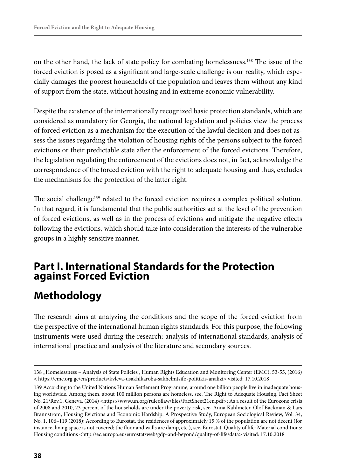on the other hand, the lack of state policy for combating homelessness.138 The issue of the forced eviction is posed as a significant and large-scale challenge is our reality, which especially damages the poorest households of the population and leaves them without any kind of support from the state, without housing and in extreme economic vulnerability.

Despite the existence of the internationally recognized basic protection standards, which are considered as mandatory for Georgia, the national legislation and policies view the process of forced eviction as a mechanism for the execution of the lawful decision and does not assess the issues regarding the violation of housing rights of the persons subject to the forced evictions or their predictable state after the enforcement of the forced evictions. Therefore, the legislation regulating the enforcement of the evictions does not, in fact, acknowledge the correspondence of the forced eviction with the right to adequate housing and thus, excludes the mechanisms for the protection of the latter right.

The social challenge<sup>139</sup> related to the forced eviction requires a complex political solution. In that regard, it is fundamental that the public authorities act at the level of the prevention of forced evictions, as well as in the process of evictions and mitigate the negative effects following the evictions, which should take into consideration the interests of the vulnerable groups in a highly sensitive manner.

## **Part I. International Standards for the Protection against Forced Eviction**

# **Methodology**

The research aims at analyzing the conditions and the scope of the forced eviction from the perspective of the international human rights standards. For this purpose, the following instruments were used during the research: analysis of international standards, analysis of international practice and analysis of the literature and secondary sources.

<sup>138 &</sup>quot;Homelessness – Analysis of State Policies", Human Rights Education and Monitoring Center (EMC), 53-55, (2016) < https://emc.org.ge/en/products/kvleva-usakhlkaroba-sakhelmtsifo-politikis-analizi> visited: 17.10.2018

<sup>139</sup> According to the United Nations Human Settlement Programme, around one billion people live in inadequate housing worldwide. Among them, about 100 million persons are homeless, see, The Right to Adequate Housing, Fact Sheet No. 21/Rev.1, Geneva, (2014) <https://www.un.org/ruleoflaw/files/FactSheet21en.pdf>; As a result of the Eurozone crisis of 2008 and 2010, 23 percent of the households are under the poverty risk, see, Anna Kahlmeter, Olof Backman & Lars Brannstrom, Housing Evictions and Economic Hardship: A Prospective Study, European Sociological Review, Vol. 34, No. 1, 106–119 (2018); According to Eurostat, the residences of approximately 15 % of the population are not decent (for instance, living space is not covered; the floor and walls are damp, etc.), see, Eurostat, Quality of life: Material conditions: Housing conditions <http://ec.europa.eu/eurostat/web/gdp-and-beyond/quality-of-life/data> visited: 17.10.2018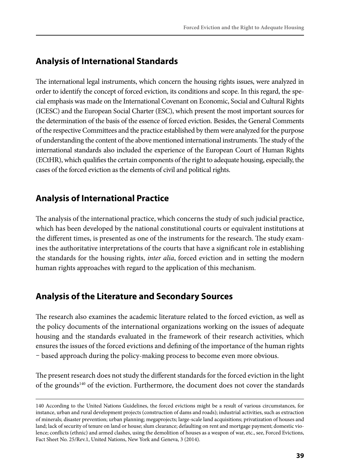## **Analysis of International Standards**

The international legal instruments, which concern the housing rights issues, were analyzed in order to identify the concept of forced eviction, its conditions and scope. In this regard, the special emphasis was made on the International Covenant on Economic, Social and Cultural Rights (ICESC) and the European Social Charter (ESC), which present the most important sources for the determination of the basis of the essence of forced eviction. Besides, the General Comments of the respective Committees and the practice established by them were analyzed for the purpose of understanding the content of the above mentioned international instruments. The study of the international standards also included the experience of the European Court of Human Rights (ECtHR), which qualifies the certain components of the right to adequate housing, especially, the cases of the forced eviction as the elements of civil and political rights.

## **Analysis of International Practice**

The analysis of the international practice, which concerns the study of such judicial practice, which has been developed by the national constitutional courts or equivalent institutions at the different times, is presented as one of the instruments for the research. The study examines the authoritative interpretations of the courts that have a significant role in establishing the standards for the housing rights, *inter alia*, forced eviction and in setting the modern human rights approaches with regard to the application of this mechanism.

## **Analysis of the Literature and Secondary Sources**

The research also examines the academic literature related to the forced eviction, as well as the policy documents of the international organizations working on the issues of adequate housing and the standards evaluated in the framework of their research activities, which ensures the issues of the forced evictions and defining of the importance of the human rights – based approach during the policy-making process to become even more obvious.

The present research does not study the different standards for the forced eviction in the light of the grounds140 of the eviction. Furthermore, the document does not cover the standards

<sup>140</sup> According to the United Nations Guidelines, the forced evictions might be a result of various circumstances, for instance, urban and rural development projects (construction of dams and roads); industrial activities, such as extraction of minerals; disaster prevention; urban planning; megaprojects; large-scale land acquisitions; privatization of houses and land; lack of security of tenure on land or house; slum clearance; defaulting on rent and mortgage payment; domestic violence; conflicts (ethnic) and armed clashes, using the demolition of houses as a weapon of war, etc., see, Forced Evictions, Fact Sheet No. 25/Rev.1, United Nations, New York and Geneva, 3 (2014).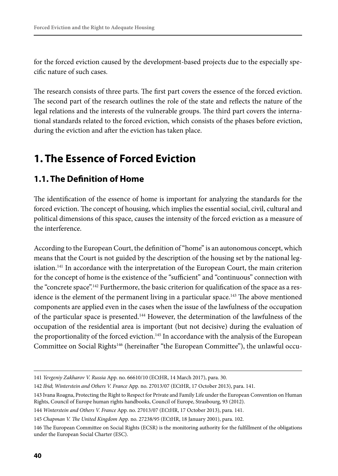for the forced eviction caused by the development-based projects due to the especially specific nature of such cases.

The research consists of three parts. The first part covers the essence of the forced eviction. The second part of the research outlines the role of the state and reflects the nature of the legal relations and the interests of the vulnerable groups. The third part covers the international standards related to the forced eviction, which consists of the phases before eviction, during the eviction and after the eviction has taken place.

# **1. The Essence of Forced Eviction**

## **1.1. The Definition of Home**

The identification of the essence of home is important for analyzing the standards for the forced eviction. The concept of housing, which implies the essential social, civil, cultural and political dimensions of this space, causes the intensity of the forced eviction as a measure of the interference.

According to the European Court, the definition of "home" is an autonomous concept, which means that the Court is not guided by the description of the housing set by the national legislation.<sup>141</sup> In accordance with the interpretation of the European Court, the main criterion for the concept of home is the existence of the "sufficient" and "continuous" connection with the "concrete space".142 Furthermore, the basic criterion for qualification of the space as a residence is the element of the permanent living in a particular space.<sup>143</sup> The above mentioned components are applied even in the cases when the issue of the lawfulness of the occupation of the particular space is presented.144 However, the determination of the lawfulness of the occupation of the residential area is important (but not decisive) during the evaluation of the proportionality of the forced eviction.<sup>145</sup> In accordance with the analysis of the European Committee on Social Rights146 (hereinafter "the European Committee"), the unlawful occu-

<sup>141</sup> *Yevgeniy Zakharov V. Russia* App. no. 66610/10 (ECtHR, 14 March 2017), para. 30.

<sup>142</sup> *Ibid*; *Winterstein and Others V. France* App. no. 27013/07 (ECtHR, 17 October 2013), para. 141.

<sup>143</sup> Ivana Roagna, Protecting the Right to Respect for Private and Family Life under the European Convention on Human Rights, Council of Europe human rights handbooks, Council of Europe, Strasbourg, 93 (2012).

<sup>144</sup> *Winterstein and Others V. France* App. no. 27013/07 (ECtHR, 17 October 2013), para. 141.

<sup>145</sup> *Chapman V. The United Kingdom* App. no. 27238/95 (ECtHR, 18 January 2001), para. 102.

<sup>146</sup> The European Committee on Social Rights (ECSR) is the monitoring authority for the fulfillment of the obligations under the European Social Charter (ESC).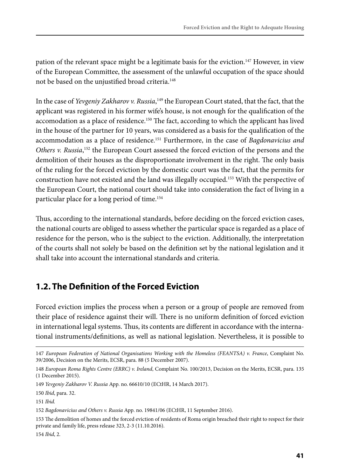pation of the relevant space might be a legitimate basis for the eviction.<sup>147</sup> However, in view of the European Committee, the assessment of the unlawful occupation of the space should not be based on the unjustified broad criteria.<sup>148</sup>

In the case of *Yevgeniy Zakharov v. Russia*, 149 the European Court stated, that the fact, that the applicant was registered in his former wife's house, is not enough for the qualification of the accomodation as a place of residence.<sup>150</sup> The fact, according to which the applicant has lived in the house of the partner for 10 years, was considered as a basis for the qualification of the accommodation as a place of residence.151 Furthermore, in the case of *Bagdonavicius and*  Others v. Russia,<sup>152</sup> the European Court assessed the forced eviction of the persons and the demolition of their houses as the disproportionate involvement in the right. The only basis of the ruling for the forced eviction by the domestic court was the fact, that the permits for construction have not existed and the land was illegally occupied.<sup>153</sup> With the perspective of the European Court, the national court should take into consideration the fact of living in a particular place for a long period of time.154

Thus, according to the international standards, before deciding on the forced eviction cases, the national courts are obliged to assess whether the particular space is regarded as a place of residence for the person, who is the subject to the eviction. Additionally, the interpretation of the courts shall not solely be based on the definition set by the national legislation and it shall take into account the international standards and criteria.

## **1.2. The Definition of the Forced Eviction**

Forced eviction implies the process when a person or a group of people are removed from their place of residence against their will. There is no uniform definition of forced eviction in international legal systems. Thus, its contents are different in accordance with the international instruments/definitions, as well as national legislation. Nevertheless, it is possible to

150 *Ibid*, para. 32.

<sup>147</sup> *European Federation of National Organisations Working with the Homeless (FEANTSA) v. France*, Complaint No. 39/2006, Decision on the Merits, ECSR, para. 88 (5 December 2007).

<sup>148</sup> *European Roma Rights Centre (ERRC) v. Ireland*, Complaint No. 100/2013, Decision on the Merits, ECSR, para. 135 (1 December 2015).

<sup>149</sup> *Yevgeniy Zakharov V. Russia* App. no. 66610/10 (ECtHR, 14 March 2017).

<sup>151</sup> *Ibid.*

<sup>152</sup> *Bagdonavicius and Others v. Russia* App. no. 19841/06 (ECtHR, 11 September 2016).

<sup>153</sup> The demolition of homes and the forced eviction of residents of Roma origin breached their right to respect for their private and family life, press release 323, 2-3 (11.10.2016).

<sup>154</sup> *Ibid*, 2.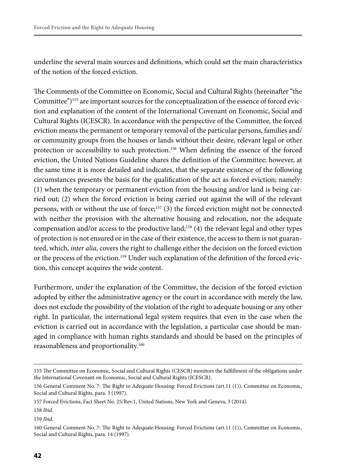underline the several main sources and definitions, which could set the main characteristics of the notion of the forced eviction.

The Comments of the Committee on Economic, Social and Cultural Rights (hereinafter "the Committee")<sup>155</sup> are important sources for the conceptualization of the essence of forced eviction and explanation of the content of the International Covenant on Economic, Social and Cultural Rights (ICESCR). In accordance with the perspective of the Committee, the forced eviction means the permanent or temporary removal of the particular persons, families and/ or community groups from the houses or lands without their desire, relevant legal or other protection or accessibility to such protection.156 When defining the essence of the forced eviction, the United Nations Guideline shares the definition of the Committee; however, at the same time it is more detailed and indicates, that the separate existence of the following circumstances presents the basis for the qualification of the act as forced eviction; namely: (1) when the temporary or permanent eviction from the housing and/or land is being carried out; (2) when the forced eviction is being carried out against the will of the relevant persons, with or without the use of force;<sup>157</sup> (3) the forced eviction might not be connected with neither the provision with the alternative housing and relocation, nor the adequate compensation and/or access to the productive land;158 (4) the relevant legal and other types of protection is not ensured or in the case of their existence, the access to them is not guaranteed, which, *inter alia*, covers the right to challenge either the decision on the forced eviction or the process of the eviction.159 Under such explanation of the definition of the forced eviction, this concept acquires the wide content.

Furthermore, under the explanation of the Committee, the decision of the forced eviction adopted by either the administrative agency or the court in accordance with merely the law, does not exclude the possibility of the violation of the right to adequate housing or any other right. In particular, the international legal system requires that even in the case when the eviction is carried out in accordance with the legislation, a particular case should be managed in compliance with human rights standards and should be based on the principles of reasonableness and proportionality.160

<sup>155</sup> The Committee on Economic, Social and Cultural Rights (CESCR) monitors the fulfillment of the obligations under the International Covenant on Economic, Social and Cultural Rights (ICESCR).

<sup>156</sup> General Comment No. 7: The Right to Adequate Housing: Forced Evictions (art.11 (1)), Committee on Economic, Social and Cultural Rights, para. 3 (1997).

<sup>157</sup> Forced Evictions, Fact Sheet No. 25/Rev.1, United Nations, New York and Geneva, 3 (2014).

<sup>158</sup> *Ibid*.

<sup>159</sup> *Ibid*.

<sup>160</sup> General Comment No. 7: The Right to Adequate Housing: Forced Evictions (art.11 (1)), Committee on Economic, Social and Cultural Rights, para. 14 (1997).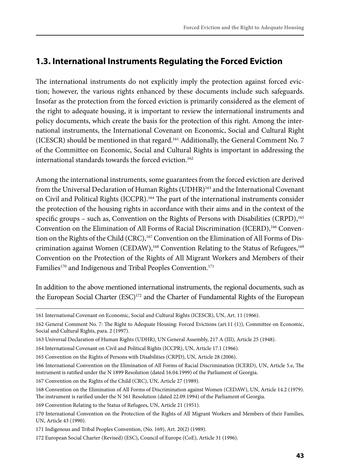## **1.3. International Instruments Regulating the Forced Eviction**

The international instruments do not explicitly imply the protection against forced eviction; however, the various rights enhanced by these documents include such safeguards. Insofar as the protection from the forced eviction is primarily considered as the element of the right to adequate housing, it is important to review the international instruments and policy documents, which create the basis for the protection of this right. Among the international instruments, the International Covenant on Economic, Social and Cultural Right (ICESCR) should be mentioned in that regard.161 Additionally, the General Comment No. 7 of the Committee on Economic, Social and Cultural Rights is important in addressing the international standards towards the forced eviction.<sup>162</sup>

Among the international instruments, some guarantees from the forced eviction are derived from the Universal Declaration of Human Rights (UDHR)<sup>163</sup> and the International Covenant on Civil and Political Rights (ICCPR).<sup>164</sup> The part of the international instruments consider the protection of the housing rights in accordance with their aims and in the context of the specific groups – such as, Convention on the Rights of Persons with Disabilities (CRPD),<sup>165</sup> Convention on the Elimination of All Forms of Racial Discrimination (ICERD),166 Convention on the Rights of the Child (CRC),<sup>167</sup> Convention on the Elimination of All Forms of Discrimination against Women (CEDAW),<sup>168</sup> Convention Relating to the Status of Refugees,<sup>169</sup> Convention on the Protection of the Rights of All Migrant Workers and Members of their Families<sup>170</sup> and Indigenous and Tribal Peoples Convention.<sup>171</sup>

In addition to the above mentioned international instruments, the regional documents, such as the European Social Charter (ESC)<sup>172</sup> and the Charter of Fundamental Rights of the European

167 Convention on the Rights of the Child (CRC), UN, Article 27 (1989).

<sup>161</sup> International Covenant on Economic, Social and Cultural Rights (ICESCR), UN, Art. 11 (1966).

<sup>162</sup> General Comment No. 7: The Right to Adequate Housing: Forced Evictions (art.11 (1)), Committee on Economic, Social and Cultural Rights, para. 2 (1997).

<sup>163</sup> Universal Declaration of Human Rights (UDHR), UN General Assembly, 217 A (III), Article 25 (1948).

<sup>164</sup> International Covenant on Civil and Political Rights (ICCPR), UN, Article 17.1 (1966).

<sup>165</sup> Convention on the Rights of Persons with Disabilities (CRPD), UN, Article 28 (2006).

<sup>166</sup> International Convention on the Elimination of All Forms of Racial Discrimination (ICERD), UN, Article 5.e, The instrument is ratified under the N 1899 Resolution (dated 16.04.1999) of the Parliament of Georgia.

<sup>168</sup> Convention on the Elimination of All Forms of Discrimination against Women (CEDAW), UN, Article 14.2 (1979). The instrument is rarified under the N 561 Resolution (dated 22.09.1994) of the Parliament of Georgia.

<sup>169</sup> Convention Relating to the Status of Refugees, UN, Article 21 (1951).

<sup>170</sup> International Convention on the Protection of the Rights of All Migrant Workers and Members of their Families, UN, Article 43 (1990).

<sup>171</sup> Indigenous and Tribal Peoples Convention, (No. 169), Art. 20(2) (1989).

<sup>172</sup> European Social Charter (Revised) (ESC), Council of Europe (CoE), Article 31 (1996).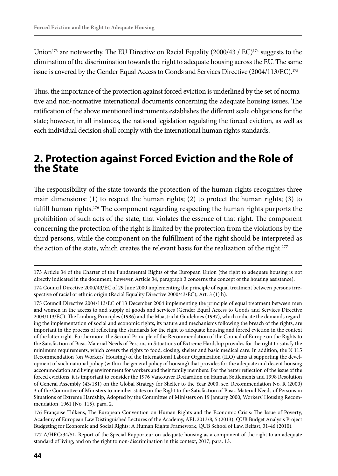Union<sup>173</sup> are noteworthy. The EU Directive on Racial Equality (2000/43 / EC)<sup>174</sup> suggests to the elimination of the discrimination towards the right to adequate housing across the EU. The same issue is covered by the Gender Equal Access to Goods and Services Directive (2004/113/EC).<sup>175</sup>

Thus, the importance of the protection against forced eviction is underlined by the set of normative and non-normative international documents concerning the adequate housing issues. The ratification of the above mentioned instruments establishes the different scale obligations for the state; however, in all instances, the national legislation regulating the forced eviction, as well as each individual decision shall comply with the international human rights standards.

## **2. Protection against Forced Eviction and the Role of the State**

The responsibility of the state towards the protection of the human rights recognizes three main dimensions: (1) to respect the human rights; (2) to protect the human rights; (3) to fulfill human rights.176 The component regarding respecting the human rights purports the prohibition of such acts of the state, that violates the essence of that right. The component concerning the protection of the right is limited by the protection from the violations by the third persons, while the component on the fulfillment of the right should be interpreted as the action of the state, which creates the relevant basis for the realization of the right.<sup>177</sup>

<sup>173</sup> Article 34 of the Charter of the Fundamental Rights of the European Union (the right to adequate housing is not directly indicated in the document, however, Article 34, paragraph 3 concerns the concept of the housing assistance).

<sup>174</sup> Council Directive 2000/43/EC of 29 June 2000 implementing the principle of equal treatment between persons irrespective of racial or ethnic origin (Racial Equality Directive 2000/43/EC), Art. 3 (1) h).

<sup>175</sup> Council Directive 2004/113/EC of 13 December 2004 implementing the principle of equal treatment between men and women in the access to and supply of goods and services (Gender Equal Access to Goods and Services Directive 2004/113/EC). The Limburg Principles (1986) and the Maastricht Guidelines (1997), which indicate the demands regarding the implementation of social and economic rights, its nature and mechanisms following the breach of the rights, are important in the process of reflecting the standards for the right to adequate housing and forced eviction in the context of the latter right. Furthermore, the Second Principle of the Recommendation of the Council of Europe on the Rights to the Satisfaction of Basic Material Needs of Persons in Situations of Extreme Hardship provides for the right to satisfy the minimum requirements, which covers the rights to food, closing, shelter and basic medical care. In addition, the N 115 Recommendation (on Workers' Housing) of the International Labour Organization (ILO) aims at supporting the development of such national policy (within the general policy of housing) that provides for the adequate and decent housing accommodation and living environment for workers and their family members. For the better reflection of the issue of the forced evictions, it is important to consider the 1976 Vancouver Declaration on Human Settlements and 1998 Resolution of General Assembly (43/181) on the Global Strategy for Shelter to the Year 2000, see, Recommendation No. R (2000) 3 of the Committee of Ministers to member states on the Right to the Satisfaction of Basic Material Needs of Persons in Situations of Extreme Hardship, Adopted by the Committee of Ministers on 19 January 2000; Workers' Housing Recommendation, 1961 (No. 115), para. 2.

<sup>176</sup> Françoise Tulkens, The European Convention on Human Rights and the Economic Crisis: The Issue of Poverty, Academy of European Law Distinguished Lectures of the Academy, AEL 2013/8, 5 (2013); QUB Budget Analysis Project Budgeting for Economic and Social Rights: A Human Rights Framework, QUB School of Law, Belfast, 31-46 (2010).

<sup>177</sup> A/HRC/34/51, Report of the Special Rapporteur on adequate housing as a component of the right to an adequate standard of living, and on the right to non-discrimination in this context, 2017, para. 13.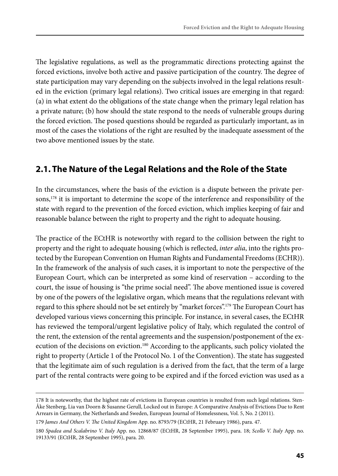The legislative regulations, as well as the programmatic directions protecting against the forced evictions, involve both active and passive participation of the country. The degree of state participation may vary depending on the subjects involved in the legal relations resulted in the eviction (primary legal relations). Two critical issues are emerging in that regard: (a) in what extent do the obligations of the state change when the primary legal relation has a private nature; (b) how should the state respond to the needs of vulnerable groups during the forced eviction. The posed questions should be regarded as particularly important, as in most of the cases the violations of the right are resulted by the inadequate assessment of the two above mentioned issues by the state.

## **2.1. The Nature of the Legal Relations and the Role of the State**

In the circumstances, where the basis of the eviction is a dispute between the private persons,<sup>178</sup> it is important to determine the scope of the interference and responsibility of the state with regard to the prevention of the forced eviction, which implies keeping of fair and reasonable balance between the right to property and the right to adequate housing.

The practice of the ECtHR is noteworthy with regard to the collision between the right to property and the right to adequate housing (which is reflected, *inter alia*, into the rights protected by the European Convention on Human Rights and Fundamental Freedoms (ECHR)). In the framework of the analysis of such cases, it is important to note the perspective of the European Court, which can be interpreted as some kind of reservation – according to the court, the issue of housing is "the prime social need". The above mentioned issue is covered by one of the powers of the legislative organ, which means that the regulations relevant with regard to this sphere should not be set entirely by "market forces".<sup>179</sup> The European Court has developed various views concerning this principle. For instance, in several cases, the ECtHR has reviewed the temporal/urgent legislative policy of Italy, which regulated the control of the rent, the extension of the rental agreements and the suspension/postponement of the execution of the decisions on eviction.<sup>180</sup> According to the applicants, such policy violated the right to property (Article 1 of the Protocol No. 1 of the Convention). The state has suggested that the legitimate aim of such regulation is a derived from the fact, that the term of a large part of the rental contracts were going to be expired and if the forced eviction was used as a

<sup>178</sup> It is noteworthy, that the highest rate of evictions in European countries is resulted from such legal relations. Sten-Åke Stenberg, Lia van Doorn & Susanne Gerull, Locked out in Europe: A Comparative Analysis of Evictions Due to Rent Arrears in Germany, the Netherlands and Sweden, European Journal of Homelessness, Vol. 5, No. 2 (2011).

<sup>179</sup> *James And Others V. The United Kingdom* App. no. 8793/79 (ECtHR, 21 February 1986), para. 47.

<sup>180</sup> *Spadea and Scalabrino V. Italy* App. no. 12868/87 (ECtHR, 28 September 1995), para. 18; *Scollo V. Italy* App. no. 19133/91 (ECtHR, 28 September 1995), para. 20.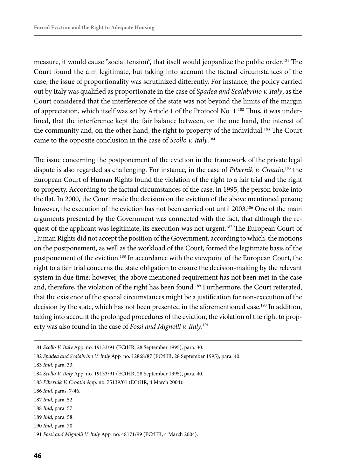measure, it would cause "social tension", that itself would jeopardize the public order.<sup>181</sup> The Court found the aim legitimate, but taking into account the factual circumstances of the case, the issue of proportionality was scrutinized differently. For instance, the policy carried out by Italy was qualified as proportionate in the case of *Spadea and Scalabrino v. Italy*, as the Court considered that the interference of the state was not beyond the limits of the margin of appreciation, which itself was set by Article 1 of the Protocol No. 1.182 Thus, it was underlined, that the interference kept the fair balance between, on the one hand, the interest of the community and, on the other hand, the right to property of the individual.<sup>183</sup> The Court came to the opposite conclusion in the case of *Scollo v. Italy*. 184

The issue concerning the postponement of the eviction in the framework of the private legal dispute is also regarded as challenging. For instance, in the case of *Pibernik v. Croatia*, 185 the European Court of Human Rights found the violation of the right to a fair trial and the right to property. According to the factual circumstances of the case, in 1995, the person broke into the flat. In 2000, the Court made the decision on the eviction of the above mentioned person; however, the execution of the eviction has not been carried out until 2003.<sup>186</sup> One of the main arguments presented by the Government was connected with the fact, that although the request of the applicant was legitimate, its execution was not urgent.<sup>187</sup> The European Court of Human Rights did not accept the position of the Government, according to which, the motions on the postponement, as well as the workload of the Court, formed the legitimate basis of the postponement of the eviction.188 In accordance with the viewpoint of the European Court, the right to a fair trial concerns the state obligation to ensure the decision-making by the relevant system in due time; however, the above mentioned requirement has not been met in the case and, therefore, the violation of the right has been found.<sup>189</sup> Furthermore, the Court reiterated, that the existence of the special circumstances might be a justification for non-execution of the decision by the state, which has not been presented in the aforementioned case.190 In addition, taking into account the prolonged procedures of the eviction, the violation of the right to property was also found in the case of *Fossi and Mignolli v. Italy*. 191

<sup>181</sup> *Scollo V. Italy* App. no. 19133/91 (ECtHR, 28 September 1995), para. 30.

<sup>182</sup> *Spadea and Scalabrino V. Italy* App. no. 12868/87 (ECtHR, 28 September 1995), para. 40.

<sup>183</sup> *Ibid*, para. 33.

<sup>184</sup> *Scollo V. Italy* App. no. 19133/91 (ECtHR, 28 September 1995), para. 40.

<sup>185</sup> *Pibernik V. Croatia* App. no. 75139/01 (ECtHR, 4 March 2004).

<sup>186</sup> *Ibid*, paras. 7-46.

<sup>187</sup> *Ibid*, para. 52.

<sup>188</sup> *Ibid*, para. 57.

<sup>189</sup> *Ibid*, para. 58.

<sup>190</sup> *Ibid*, para. 70.

<sup>191</sup> *Fossi and Mignolli V. Italy* App. no. 48171/99 (ECtHR, 4 March 2004).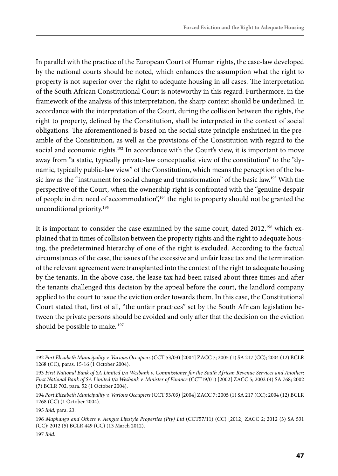In parallel with the practice of the European Court of Human rights, the case-law developed by the national courts should be noted, which enhances the assumption what the right to property is not superior over the right to adequate housing in all cases. The interpretation of the South African Constitutional Court is noteworthy in this regard. Furthermore, in the framework of the analysis of this interpretation, the sharp context should be underlined. In accordance with the interpretation of the Court, during the collision between the rights, the right to property, defined by the Constitution, shall be interpreted in the context of social obligations. The aforementioned is based on the social state principle enshrined in the preamble of the Constitution, as well as the provisions of the Constitution with regard to the social and economic rights.<sup>192</sup> In accordance with the Court's view, it is important to move away from "a static, typically private-law conceptualist view of the constitution" to the "dynamic, typically public-law view" of the Constitution, which means the perception of the basic law as the "instrument for social change and transformation" of the basic law.<sup>193</sup> With the perspective of the Court, when the ownership right is confronted with the "genuine despair of people in dire need of accommodation",194 the right to property should not be granted the unconditional priority.195

It is important to consider the case examined by the same court, dated  $2012<sup>196</sup>$  which explained that in times of collision between the property rights and the right to adequate housing, the predetermined hierarchy of one of the right is excluded. According to the factual circumstances of the case, the issues of the excessive and unfair lease tax and the termination of the relevant agreement were transplanted into the context of the right to adequate housing by the tenants. In the above case, the lease tax had been raised about three times and after the tenants challenged this decision by the appeal before the court, the landlord company applied to the court to issue the eviction order towards them. In this case, the Constitutional Court stated that, first of all, "the unfair practices" set by the South African legislation between the private persons should be avoided and only after that the decision on the eviction should be possible to make.<sup>197</sup>

<sup>192</sup> *Port Elizabeth Municipality v. Various Occupiers* (CCT 53/03) [2004] ZACC 7; 2005 (1) SA 217 (CC); 2004 (12) BCLR 1268 (CC), paras. 15-16 (1 October 2004).

<sup>193</sup> *First National Bank of SA Limited t/a Wesbank v. Commissioner for the South African Revenue Services and Another; First National Bank of SA Limited t/a Wesbank v. Minister of Finance* (CCT19/01) [2002] ZACC 5; 2002 (4) SA 768; 2002 (7) BCLR 702, para. 52 (1 October 2004).

<sup>194</sup> *Port Elizabeth Municipality v. Various Occupiers* (CCT 53/03) [2004] ZACC 7; 2005 (1) SA 217 (CC); 2004 (12) BCLR 1268 (CC) (1 October 2004).

<sup>195</sup> *Ibid,* para. 23.

<sup>196</sup> *Maphango and Others v. Aengus Lifestyle Properties (Pty) Ltd* (CCT57/11) (CC) [2012] ZACC 2; 2012 (3) SA 531 (CC); 2012 (5) BCLR 449 (CC) (13 March 2012).

<sup>197</sup> *Ibid.*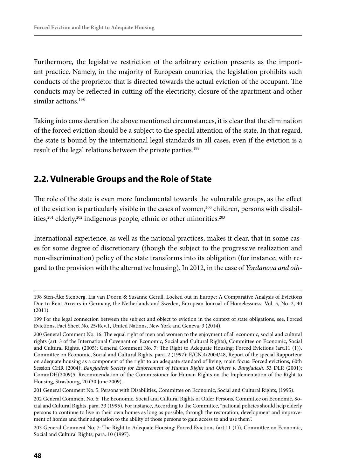Furthermore, the legislative restriction of the arbitrary eviction presents as the important practice. Namely, in the majority of European countries, the legislation prohibits such conducts of the proprietor that is directed towards the actual eviction of the occupant. The conducts may be reflected in cutting off the electricity, closure of the apartment and other similar actions.198

Taking into consideration the above mentioned circumstances, it is clear that the elimination of the forced eviction should be a subject to the special attention of the state. In that regard, the state is bound by the international legal standards in all cases, even if the eviction is a result of the legal relations between the private parties.<sup>199</sup>

## **2.2. Vulnerable Groups and the Role of State**

The role of the state is even more fundamental towards the vulnerable groups, as the effect of the eviction is particularly visible in the cases of women,<sup>200</sup> children, persons with disabilities,<sup>201</sup> elderly,<sup>202</sup> indigenous people, ethnic or other minorities.<sup>203</sup>

International experience, as well as the national practices, makes it clear, that in some cases for some degree of discretionary (though the subject to the progressive realization and non-discrimination) policy of the state transforms into its obligation (for instance, with regard to the provision with the alternative housing). In 2012, in the case of *Yordanova and oth-*

<sup>198</sup> Sten-Åke Stenberg, Lia van Doorn & Susanne Gerull, Locked out in Europe: A Comparative Analysis of Evictions Due to Rent Arrears in Germany, the Netherlands and Sweden, European Journal of Homelessness, Vol. 5, No. 2, 40 (2011).

<sup>199</sup> For the legal connection between the subject and object to eviction in the context of state obligations, see, Forced Evictions, Fact Sheet No. 25/Rev.1, United Nations, New York and Geneva, 3 (2014).

<sup>200</sup> General Comment No. 16: The equal right of men and women to the enjoyment of all economic, social and cultural rights (art. 3 of the International Covenant on Economic, Social and Cultural Rights), Committee on Economic, Social and Cultural Rights, (2005); General Comment No. 7: The Right to Adequate Housing: Forced Evictions (art.11 (1)), Committee on Economic, Social and Cultural Rights, para. 2 (1997); E/CN.4/2004/48, Report of the special Rapporteur on adequate housing as a component of the right to an adequate standard of living, main focus: Forced evictions, 60th Session CHR (2004); *Bangladesh Society for Enforcement of Human Rights and Others v. Bangladesh*, 53 DLR (2001); CommDH(2009)5, Recommendation of the Commissioner for Human Rights on the Implementation of the Right to Housing, Strasbourg, 20 (30 June 2009).

<sup>201</sup> General Comment No. 5: Persons with Disabilities, Committee on Economic, Social and Cultural Rights, (1995).

<sup>202</sup> General Comment No. 6: The Economic, Social and Cultural Rights of Older Persons, Committee on Economic, Social and Cultural Rights, para. 33 (1995). For instance, According to the Committee, "national policies should help elderly persons to continue to live in their own homes as long as possible, through the restoration, development and improvement of homes and their adaptation to the ability of those persons to gain access to and use them".

<sup>203</sup> General Comment No. 7: The Right to Adequate Housing: Forced Evictions (art.11 (1)), Committee on Economic, Social and Cultural Rights, para. 10 (1997).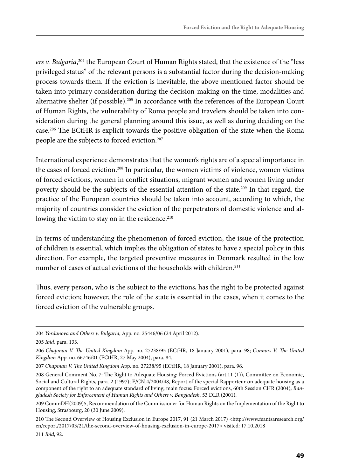*ers v. Bulgaria*, 204 the European Court of Human Rights stated, that the existence of the "less privileged status" of the relevant persons is a substantial factor during the decision-making process towards them. If the eviction is inevitable, the above mentioned factor should be taken into primary consideration during the decision-making on the time, modalities and alternative shelter (if possible).<sup>205</sup> In accordance with the references of the European Court of Human Rights, the vulnerability of Roma people and travelers should be taken into consideration during the general planning around this issue, as well as during deciding on the case.206 The ECtHR is explicit towards the positive obligation of the state when the Roma people are the subjects to forced eviction.<sup>207</sup>

International experience demonstrates that the women's rights are of a special importance in the cases of forced eviction.208 In particular, the women victims of violence, women victims of forced evictions, women in conflict situations, migrant women and women living under poverty should be the subjects of the essential attention of the state.209 In that regard, the practice of the European countries should be taken into account, according to which, the majority of countries consider the eviction of the perpetrators of domestic violence and allowing the victim to stay on in the residence.<sup>210</sup>

In terms of understanding the phenomenon of forced eviction, the issue of the protection of children is essential, which implies the obligation of states to have a special policy in this direction. For example, the targeted preventive measures in Denmark resulted in the low number of cases of actual evictions of the households with children.<sup>211</sup>

Thus, every person, who is the subject to the evictions, has the right to be protected against forced eviction; however, the role of the state is essential in the cases, when it comes to the forced eviction of the vulnerable groups.

210 The Second Overview of Housing Exclusion in Europe 2017, 91 (21 March 2017) <http://www.feantsaresearch.org/ en/report/2017/03/21/the-second-overview-of-housing-exclusion-in-europe-2017> visited: 17.10.2018 211 *Ibid*, 92.

<sup>204</sup> *Yordanova and Others v. Bulgaria*, App. no. 25446/06 (24 April 2012).

<sup>205</sup> *Ibid*, para. 133.

<sup>206</sup> *Chapman V. The United Kingdom* App. no. 27238/95 (ECtHR, 18 January 2001), para. 98; *Connors V. The United Kingdom* App. no. 66746/01 (ECtHR, 27 May 2004), para. 84.

<sup>207</sup> *Chapman V. The United Kingdom* App. no. 27238/95 (ECtHR, 18 January 2001), para. 96.

<sup>208</sup> General Comment No. 7: The Right to Adequate Housing: Forced Evictions (art.11 (1)), Committee on Economic, Social and Cultural Rights, para. 2 (1997); E/CN.4/2004/48, Report of the special Rapporteur on adequate housing as a component of the right to an adequate standard of living, main focus: Forced evictions, 60th Session CHR (2004); *Bangladesh Society for Enforcement of Human Rights and Others v. Bangladesh,* 53 DLR (2001).

<sup>209</sup> CommDH(2009)5, Recommendation of the Commissioner for Human Rights on the Implementation of the Right to Housing, Strasbourg, 20 (30 June 2009).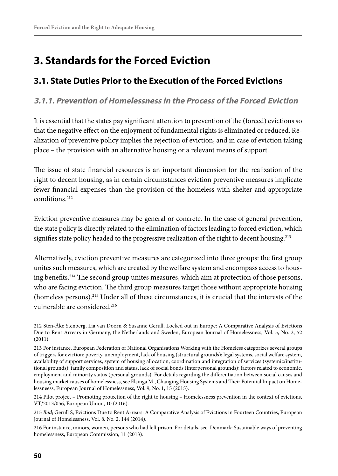# **3. Standards for the Forced Eviction**

## **3.1. State Duties Prior to the Execution of the Forced Evictions**

### **3.1.1. Prevention of Homelessness in the Process of the Forced Eviction**

It is essential that the states pay significant attention to prevention of the (forced) evictions so that the negative effect on the enjoyment of fundamental rights is eliminated or reduced. Realization of preventive policy implies the rejection of eviction, and in case of eviction taking place – the provision with an alternative housing or a relevant means of support.

The issue of state financial resources is an important dimension for the realization of the right to decent housing, as in certain circumstances eviction preventive measures implicate fewer financial expenses than the provision of the homeless with shelter and appropriate conditions<sup>212</sup>

Eviction preventive measures may be general or concrete. In the case of general prevention, the state policy is directly related to the elimination of factors leading to forced eviction, which signifies state policy headed to the progressive realization of the right to decent housing.<sup>213</sup>

Alternatively, eviction preventive measures are categorized into three groups: the first group unites such measures, which are created by the welfare system and encompass access to housing benefits.214 The second group unites measures, which aim at protection of those persons, who are facing eviction. The third group measures target those without appropriate housing (homeless persons).215 Under all of these circumstances, it is crucial that the interests of the vulnerable are considered.<sup>216</sup>

<sup>212</sup> Sten-Åke Stenberg, Lia van Doorn & Susanne Gerull, Locked out in Europe: A Comparative Analysis of Evictions Due to Rent Arrears in Germany, the Netherlands and Sweden, European Journal of Homelessness, Vol. 5, No. 2, 52 (2011).

<sup>213</sup> For instance, European Federation of National Organisations Working with the Homeless categorizes several groups of triggers for eviction: poverty, unemployment, lack of housing (structural grounds); legal systems, social welfare system, availability of support services, system of housing allocation, coordination and integration of services (systemic/institutional grounds); family composition and status, lack of social bonds (interpersonal grounds); factors related to economic, employment and minority status (personal grounds). For details regarding the differentiation between social causes and housing market causes of homelessness, see Elsinga M., Changing Housing Systems and Their Potential Impact on Homelessneess, European Journal of Homelessness, Vol. 9, No. 1, 15 (2015).

<sup>214</sup> Pilot project – Promoting protection of the right to housing – Homelessness prevention in the context of evictions, VT/2013/056, European Union, 10 (2016).

<sup>215</sup> *Ibid*; Gerull S, Evictions Due to Rent Arrears: A Comparative Analysis of Evictions in Fourteen Countries, European Journal of Homelessness, Vol. 8. No. 2, 144 (2014).

<sup>216</sup> For instance, minors, women, persons who had left prison. For details, see: Denmark: Sustainable ways of preventing homelessness, European Commission, 11 (2013).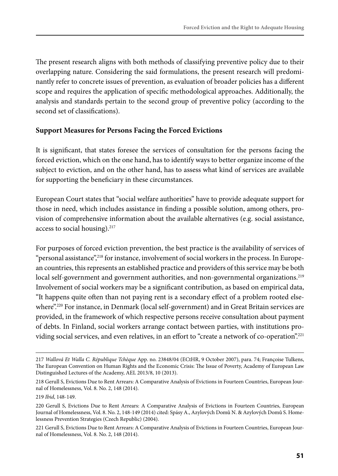The present research aligns with both methods of classifying preventive policy due to their overlapping nature. Considering the said formulations, the present research will predominantly refer to concrete issues of prevention, as evaluation of broader policies has a different scope and requires the application of specific methodological approaches. Additionally, the analysis and standards pertain to the second group of preventive policy (according to the second set of classifications).

#### **Support Measures for Persons Facing the Forced Evictions**

It is significant, that states foresee the services of consultation for the persons facing the forced eviction, which on the one hand, has to identify ways to better organize income of the subject to eviction, and on the other hand, has to assess what kind of services are available for supporting the beneficiary in these circumstances.

European Court states that "social welfare authorities" have to provide adequate support for those in need, which includes assistance in finding a possible solution, among others, provision of comprehensive information about the available alternatives (e.g. social assistance, access to social housing).<sup>217</sup>

For purposes of forced eviction prevention, the best practice is the availability of services of "personal assistance",<sup>218</sup> for instance, involvement of social workers in the process. In European countries, this represents an established practice and providers of this service may be both local self-government and government authorities, and non-governmental organizations.<sup>219</sup> Involvement of social workers may be a significant contribution, as based on empirical data, "It happens quite often than not paying rent is a secondary effect of a problem rooted elsewhere".<sup>220</sup> For instance, in Denmark (local self-government) and in Great Britain services are provided, in the framework of which respective persons receive consultation about payment of debts. In Finland, social workers arrange contact between parties, with institutions providing social services, and even relatives, in an effort to "create a network of co-operation".221

<sup>217</sup> *Wallová Et Walla C. République Tchèque* App. no. 23848/04 (ECtHR, 9 October 2007), para. 74; Françoise Tulkens, The European Convention on Human Rights and the Economic Crisis: The Issue of Poverty, Academy of European Law Distinguished Lectures of the Academy, AEL 2013/8, 10 (2013).

<sup>218</sup> Gerull S, Evictions Due to Rent Arrears: A Comparative Analysis of Evictions in Fourteen Countries, European Journal of Homelessness, Vol. 8. No. 2, 148 (2014).

<sup>219</sup> *Ibid*, 148-149.

<sup>220</sup> Gerull S, Evictions Due to Rent Arrears: A Comparative Analysis of Evictions in Fourteen Countries, European Journal of Homelessness, Vol. 8. No. 2, 148-149 (2014) cited: Spásy A., Azylových Domů N. & Azylových Domů S. Homelessness Prevention Strategies (Czech Republic) (2004).

<sup>221</sup> Gerull S, Evictions Due to Rent Arrears: A Comparative Analysis of Evictions in Fourteen Countries, European Journal of Homelessness, Vol. 8. No. 2, 148 (2014).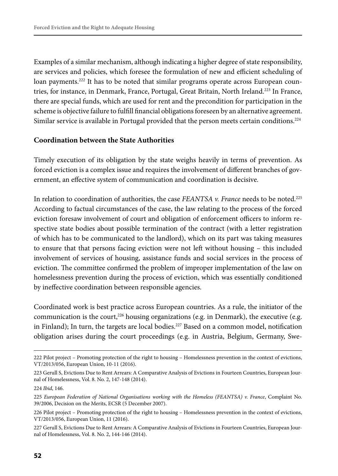Examples of a similar mechanism, although indicating a higher degree of state responsibility, are services and policies, which foresee the formulation of new and efficient scheduling of loan payments.<sup>222</sup> It has to be noted that similar programs operate across European countries, for instance, in Denmark, France, Portugal, Great Britain, North Ireland.223 In France, there are special funds, which are used for rent and the precondition for participation in the scheme is objective failure to fulfill financial obligations foreseen by an alternative agreement. Similar service is available in Portugal provided that the person meets certain conditions.<sup>224</sup>

#### **Coordination between the State Authorities**

Timely execution of its obligation by the state weighs heavily in terms of prevention. As forced eviction is a complex issue and requires the involvement of different branches of government, an effective system of communication and coordination is decisive.

In relation to coordination of authorities, the case *FEANTSA v. France* needs to be noted.<sup>225</sup> According to factual circumstances of the case, the law relating to the process of the forced eviction foresaw involvement of court and obligation of enforcement officers to inform respective state bodies about possible termination of the contract (with a letter registration of which has to be communicated to the landlord), which on its part was taking measures to ensure that that persons facing eviction were not left without housing – this included involvement of services of housing, assistance funds and social services in the process of eviction. The committee confirmed the problem of improper implementation of the law on homelessness prevention during the process of eviction, which was essentially conditioned by ineffective coordination between responsible agencies.

Coordinated work is best practice across European countries. As a rule, the initiator of the communication is the court,<sup>226</sup> housing organizations (e.g. in Denmark), the executive (e.g. in Finland); In turn, the targets are local bodies.<sup>227</sup> Based on a common model, notification obligation arises during the court proceedings (e.g. in Austria, Belgium, Germany, Swe-

<sup>222</sup> Pilot project – Promoting protection of the right to housing – Homelessness prevention in the context of evictions, VT/2013/056, European Union, 10-11 (2016).

<sup>223</sup> Gerull S, Evictions Due to Rent Arrears: A Comparative Analysis of Evictions in Fourteen Countries, European Journal of Homelessness, Vol. 8. No. 2, 147-148 (2014).

<sup>224</sup> *Ibid*, 146.

<sup>225</sup> *European Federation of National Organisations working with the Homeless (FEANTSA) v. France*, Complaint No. 39/2006, Decision on the Merits, ECSR (5 December 2007).

<sup>226</sup> Pilot project – Promoting protection of the right to housing – Homelessness prevention in the context of evictions, VT/2013/056, European Union, 11 (2016).

<sup>227</sup> Gerull S, Evictions Due to Rent Arrears: A Comparative Analysis of Evictions in Fourteen Countries, European Journal of Homelessness, Vol. 8. No. 2, 144-146 (2014).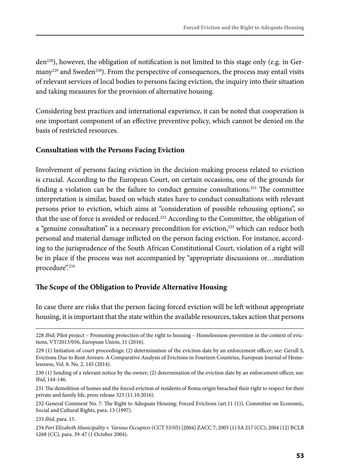den<sup>228</sup>), however, the obligation of notification is not limited to this stage only (e.g. in Ger- $\mu$ many<sup>229</sup> and Sweden<sup>230</sup>). From the perspective of consequences, the process may entail visits of relevant services of local bodies to persons facing eviction, the inquiry into their situation and taking measures for the provision of alternative housing.

Considering best practices and international experience, it can be noted that cooperation is one important component of an effective preventive policy, which cannot be denied on the basis of restricted resources.

#### **Consultation with the Persons Facing Eviction**

Involvement of persons facing eviction in the decision-making process related to eviction is crucial. According to the European Court, on certain occasions, one of the grounds for finding a violation can be the failure to conduct genuine consultations.<sup>231</sup> The committee interpretation is similar, based on which states have to conduct consultations with relevant persons prior to eviction, which aims at "consideration of possible rehousing options", so that the use of force is avoided or reduced.<sup>232</sup> According to the Committee, the obligation of a "genuine consultation" is a necessary precondition for eviction,<sup>233</sup> which can reduce both personal and material damage inflicted on the person facing eviction. For instance, according to the jurisprudence of the South African Constitutional Court, violation of a right will be in place if the process was not accompanied by "appropriate discussions or…mediation procedure".<sup>234</sup>

#### **The Scope of the Obligation to Provide Alternative Housing**

In case there are risks that the person facing forced eviction will be left without appropriate housing, it is important that the state within the available resources, takes action that persons

<sup>228</sup> *Ibid*; Pilot project – Promoting protection of the right to housing – Homelessness prevention in the context of evictions, VT/2013/056, European Union, 11 (2016).

<sup>229 (1)</sup> Initiation of court proceedings; (2) determination of the eviction date by an enforcement officer; see: Gerull S, Evictions Due to Rent Arrears: A Comparative Analysis of Evictions in Fourteen Countries, European Journal of Homelessness, Vol. 8. No. 2, 145 (2014).

<sup>230 (1)</sup> Sending of a relevant notice by the owner; (2) determination of the eviction date by an enforcement officer, see: *Ibid*, 144-146.

<sup>231</sup> The demolition of homes and the forced eviction of residents of Roma origin breached their right to respect for their private and family life, press release 323 (11.10.2016).

<sup>232</sup> General Comment No. 7: The Right to Adequate Housing: Forced Evictions (art.11 (1)), Committee on Economic, Social and Cultural Rights, para. 13 (1997).

<sup>233</sup> *Ibid*, para. 15.

<sup>234</sup> *Port Elizabeth Municipality v. Various Occupiers* (CCT 53/03) [2004] ZACC 7; 2005 (1) SA 217 (CC); 2004 (12) BCLR 1268 (CC), para. 39-47 (1 October 2004).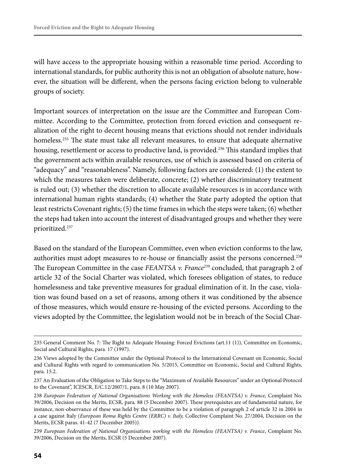will have access to the appropriate housing within a reasonable time period. According to international standards, for public authority this is not an obligation of absolute nature, however, the situation will be different, when the persons facing eviction belong to vulnerable groups of society.

Important sources of interpretation on the issue are the Committee and European Committee. According to the Committee, protection from forced eviction and consequent realization of the right to decent housing means that evictions should not render individuals homeless.<sup>235</sup> The state must take all relevant measures, to ensure that adequate alternative housing, resettlement or access to productive land, is provided.<sup>236</sup> This standard implies that the government acts within available resources, use of which is assessed based on criteria of "adequacy" and "reasonableness". Namely, following factors are considered: (1) the extent to which the measures taken were deliberate, concrete; (2) whether discriminatory treatment is ruled out; (3) whether the discretion to allocate available resources is in accordance with international human rights standards; (4) whether the State party adopted the option that least restricts Covenant rights; (5) the time frames in which the steps were taken; (6) whether the steps had taken into account the interest of disadvantaged groups and whether they were prioritized.237

Based on the standard of the European Committee, even when eviction conforms to the law, authorities must adopt measures to re-house or financially assist the persons concerned.238 The European Committee in the case *FEANTSA v. France*<sup>239</sup> concluded, that paragraph 2 of article 32 of the Social Charter was violated, which foresees obligation of states, to reduce homelessness and take preventive measures for gradual elimination of it. In the case, violation was found based on a set of reasons, among others it was conditioned by the absence of those measures, which would ensure re-housing of the evicted persons. According to the views adopted by the Committee, the legislation would not be in breach of the Social Char-

<sup>235</sup> General Comment No. 7: The Right to Adequate Housing: Forced Evictions (art.11 (1)), Committee on Economic, Social and Cultural Rights, para. 17 (1997).

<sup>236</sup> Views adopted by the Committee under the Optional Protocol to the International Covenant on Economic, Social and Cultural Rights with regard to communication No. 5/2015, Committee on Economic, Social and Cultural Rights, para. 15.2.

<sup>237</sup> An Evaluation of the Obligation to Take Steps to the "Maximum of Available Resources" under an Optional Protocol to the Covenant", ICESCR, E/C.12/2007/1, para. 8 (10 May 2007).

<sup>238</sup> *European Federation of National Organisations Working with the Homeless (FEANTSA) v. France,* Complaint No. 39/2006, Decision on the Merits, ECSR*,* para. 88 (5 December 2007). These prerequisites are of fundamental nature, for instance, non-observance of these was held by the Committee to be a violation of paragraph 2 of article 32 in 2004 in a case against Italy (*European Roma Rights Centre (ERRC) v. Italy,* Collective Complaint No. 27/2004, Decision on the Merits, ECSR paras. 41-42 (7 December 2005)).

<sup>239</sup> *European Federation of National Organisations working with the Homeless (FEANTSA) v. France*, Complaint No. 39/2006, Decision on the Merits, ECSR (5 December 2007).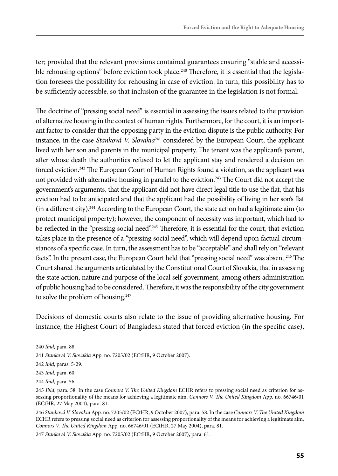ter; provided that the relevant provisions contained guarantees ensuring "stable and accessible rehousing options" before eviction took place.<sup>240</sup> Therefore, it is essential that the legislation foresees the possibility for rehousing in case of eviction. In turn, this possibility has to be sufficiently accessible, so that inclusion of the guarantee in the legislation is not formal.

The doctrine of "pressing social need" is essential in assessing the issues related to the provision of alternative housing in the context of human rights. Furthermore, for the court, it is an important factor to consider that the opposing party in the eviction dispute is the public authority. For instance, in the case *Stanková V. Slovakia*241 considered by the European Court, the applicant lived with her son and parents in the municipal property. The tenant was the applicant's parent, after whose death the authorities refused to let the applicant stay and rendered a decision on forced eviction.242 The European Court of Human Rights found a violation, as the applicant was not provided with alternative housing in parallel to the eviction.<sup>243</sup> The Court did not accept the government's arguments, that the applicant did not have direct legal title to use the flat, that his eviction had to be anticipated and that the applicant had the possibility of living in her son's flat  $(in a different city).<sup>244</sup> According to the European Court, the state action had a legitimate aim (to$ protect municipal property); however, the component of necessity was important, which had to be reflected in the "pressing social need".<sup>245</sup> Therefore, it is essential for the court, that eviction takes place in the presence of a "pressing social need", which will depend upon factual circumstances of a specific case. In turn, the assessment has to be "acceptable" and shall rely on "relevant facts". In the present case, the European Court held that "pressing social need" was absent.<sup>246</sup> The Court shared the arguments articulated by the Constitutional Court of Slovakia, that in assessing the state action, nature and purpose of the local self-government, among others administration of public housing had to be considered. Therefore, it was the responsibility of the city government to solve the problem of housing.<sup>247</sup>

Decisions of domestic courts also relate to the issue of providing alternative housing. For instance, the Highest Court of Bangladesh stated that forced eviction (in the specific case),

247 *Stanková V. Slovakia* App. no. 7205/02 (ECtHR, 9 October 2007), para. 61.

<sup>240</sup> *Ibid,* para. 88.

<sup>241</sup> *Stanková V. Slovakia* App. no. 7205/02 (ECtHR, 9 October 2007).

<sup>242</sup> *Ibid*, paras. 5-29.

<sup>243</sup> *Ibid*, para. 60.

<sup>244</sup> *Ibid*, para. 56.

<sup>245</sup> *Ibid*, para. 58. In the case *Connors V. The United Kingdom* ECHR refers to pressing social need as criterion for assessing proportionality of the means for achieving a legitimate aim. *Connors V. The United Kingdom* App. no. 66746/01 (ECtHR, 27 May 2004), para. 81.

<sup>246</sup> *Stanková V. Slovakia* App. no. 7205/02 (ECtHR, 9 October 2007), para. 58. In the case *Connors V. The United Kingdom* ECHR refers to pressing social need as criterion for assessing proportionality of the means for achieving a legitimate aim. *Connors V. The United Kingdom* App. no. 66746/01 (ECtHR, 27 May 2004), para. 81.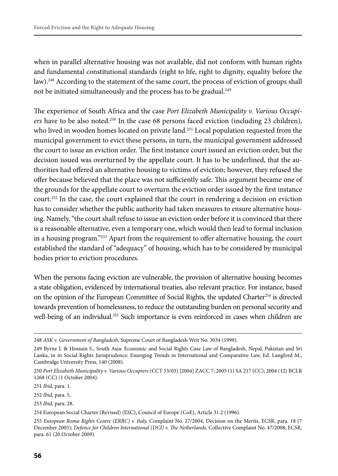when in parallel alternative housing was not available, did not conform with human rights and fundamental constitutional standards (right to life, right to dignity, equality before the law).<sup>248</sup> According to the statement of the same court, the process of eviction of groups shall not be initiated simultaneously and the process has to be gradual.<sup>249</sup>

The experience of South Africa and the case *Port Elizabeth Municipality v. Various Occupiers* have to be also noted.*<sup>250</sup>* In the case 68 persons faced eviction (including 23 children), who lived in wooden homes located on private land.<sup>251</sup> Local population requested from the municipal government to evict these persons, in turn, the municipal government addressed the court to issue an eviction order. The first instance court issued an eviction order, but the decision issued was overturned by the appellate court. It has to be underlined, that the authorities had offered an alternative housing to victims of eviction; however, they refused the offer because believed that the place was not sufficiently safe. This argument became one of the grounds for the appellate court to overturn the eviction order issued by the first instance court.<sup>252</sup> In the case, the court explained that the court in rendering a decision on eviction has to consider whether the public authority had taken measures to ensure alternative housing. Namely, "the court shall refuse to issue an eviction order before it is convinced that there is a reasonable alternative, even a temporary one, which would then lead to formal inclusion in a housing program."253 Apart from the requirement to offer alternative housing, the court established the standard of "adequacy" of housing, which has to be considered by municipal bodies prior to eviction procedures.

When the persons facing eviction are vulnerable, the provision of alternative housing becomes a state obligation, evidenced by international treaties, also relevant practice. For instance, based on the opinion of the European Committee of Social Rights, the updated Charter<sup>254</sup> is directed towards prevention of homelessness, to reduce the outstanding burden on personal security and well-being of an individual.<sup>255</sup> Such importance is even reinforced in cases when children are

<sup>248</sup> *ASK v. Government of Bangladesh*, Supreme Court of Bangladesh Writ No. 3034 (1999).

<sup>249</sup> Byrne I. & Hossain S., South Asia: Economic and Social Rights Case Law of Bangladesh, Nepal, Pakistan and Sri Lanka, in in Social Rights Jurisprudence: Emerging Trends in International and Comparative Law, Ed. Langford M., Cambridge University Press, 140 (2008).

<sup>250</sup> *Port Elizabeth Municipality v. Various Occupiers* (CCT 53/03) [2004] ZACC 7; 2005 (1) SA 217 (CC); 2004 (12) BCLR 1268 (CC) (1 October 2004).

<sup>251</sup> *Ibid*, para. 1.

<sup>252</sup> *Ibid*, para. 5.

<sup>253</sup> *Ibid*, para. 28.

<sup>254</sup> European Social Charter (Revised) (ESC), Council of Europe (CoE), Article 31.2 (1996).

<sup>255</sup> *European Roma Rights Centre (ERRC) v. Italy,* Complaint No. 27/2004, Decision on the Merits, ECSR, para. 18 (7 December 2005); *Defence for Children International (DCI) v. The Netherlands,* Collective Complaint No. 47/2008, ECSR, para. 61 (20 October 2009).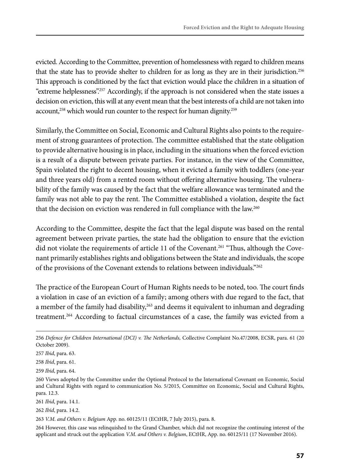evicted. According to the Committee, prevention of homelessness with regard to children means that the state has to provide shelter to children for as long as they are in their jurisdiction.<sup>256</sup> This approach is conditioned by the fact that eviction would place the children in a situation of "extreme helplessness".257 Accordingly, if the approach is not considered when the state issues a decision on eviction, this will at any event mean that the best interests of a child are not taken into account,<sup>258</sup> which would run counter to the respect for human dignity.<sup>259</sup>

Similarly, the Committee on Social, Economic and Cultural Rights also points to the requirement of strong guarantees of protection. The committee established that the state obligation to provide alternative housing is in place, including in the situations when the forced eviction is a result of a dispute between private parties. For instance, in the view of the Committee, Spain violated the right to decent housing, when it evicted a family with toddlers (one-year and three years old) from a rented room without offering alternative housing. The vulnerability of the family was caused by the fact that the welfare allowance was terminated and the family was not able to pay the rent. The Committee established a violation, despite the fact that the decision on eviction was rendered in full compliance with the law.<sup>260</sup>

According to the Committee, despite the fact that the legal dispute was based on the rental agreement between private parties, the state had the obligation to ensure that the eviction did not violate the requirements of article 11 of the Covenant.<sup>261</sup> "Thus, although the Covenant primarily establishes rights and obligations between the State and individuals, the scope of the provisions of the Covenant extends to relations between individuals."262

The practice of the European Court of Human Rights needs to be noted, too. The court finds a violation in case of an eviction of a family; among others with due regard to the fact, that a member of the family had disability,<sup>263</sup> and deems it equivalent to inhuman and degrading treatment.<sup>264</sup> According to factual circumstances of a case, the family was evicted from a

261 *Ibid*, para. 14.1.

262 *Ibid*, para. 14.2.

263 *V.M. and Others v. Belgium* App. no. 60125/11 (ECtHR, 7 July 2015), para. 8.

264 However, this case was relinquished to the Grand Chamber, which did not recognize the continuing interest of the applicant and struck out the application *V.M. and Others v. Belgium*, ECtHR, App. no. 60125/11 (17 November 2016).

<sup>256</sup> *Defence for Children International (DCI) v. The Netherlands,* Collective Complaint No.47/2008, ECSR, para. 61 (20 October 2009).

<sup>257</sup> *Ibid*, para. 63.

<sup>258</sup> *Ibid*, para. 61.

<sup>259</sup> *Ibid*, para. 64.

<sup>260</sup> Views adopted by the Committee under the Optional Protocol to the International Covenant on Economic, Social and Cultural Rights with regard to communication No. 5/2015, Committee on Economic, Social and Cultural Rights, para. 12.3.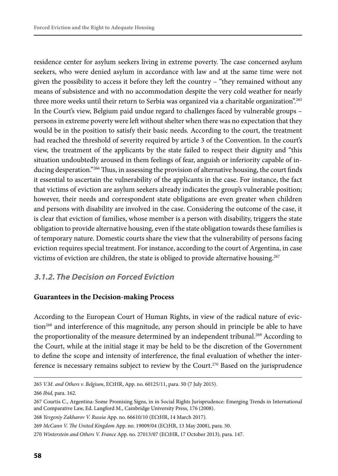residence center for asylum seekers living in extreme poverty. The case concerned asylum seekers, who were denied asylum in accordance with law and at the same time were not given the possibility to access it before they left the country – "they remained without any means of subsistence and with no accommodation despite the very cold weather for nearly three more weeks until their return to Serbia was organized via a charitable organization".<sup>265</sup> In the Court's view, Belgium paid undue regard to challenges faced by vulnerable groups – persons in extreme poverty were left without shelter when there was no expectation that they would be in the position to satisfy their basic needs. According to the court, the treatment had reached the threshold of severity required by article 3 of the Convention. In the court's view, the treatment of the applicants by the state failed to respect their dignity and "this situation undoubtedly aroused in them feelings of fear, anguish or inferiority capable of inducing desperation."<sup>266</sup> Thus, in assessing the provision of alternative housing, the court finds it essential to ascertain the vulnerability of the applicants in the case. For instance, the fact that victims of eviction are asylum seekers already indicates the group's vulnerable position; however, their needs and correspondent state obligations are even greater when children and persons with disability are involved in the case. Considering the outcome of the case, it is clear that eviction of families, whose member is a person with disability, triggers the state obligation to provide alternative housing, even if the state obligation towards these families is of temporary nature. Domestic courts share the view that the vulnerability of persons facing eviction requires special treatment. For instance, according to the court of Argentina, in case victims of eviction are children, the state is obliged to provide alternative housing.267

#### **3.1.2. The Decision on Forced Eviction**

#### **Guarantees in the Decision-making Process**

According to the European Court of Human Rights, in view of the radical nature of eviction<sup>268</sup> and interference of this magnitude, any person should in principle be able to have the proportionality of the measure determined by an independent tribunal.<sup>269</sup> According to the Court, while at the initial stage it may be held to be the discretion of the Government to define the scope and intensity of interference, the final evaluation of whether the interference is necessary remains subject to review by the Court.<sup>270</sup> Based on the jurisprudence

266 *Ibid*, para. 162.

<sup>265</sup> *V.M. and Others v. Belgium*, ECtHR, App. no. 60125/11, para. 50 (7 July 2015).

<sup>267</sup> Courtis C., Argentina: Some Promising Signs, in in Social Rights Jurisprudence: Emerging Trends in International and Comparative Law, Ed. Langford M., Cambridge University Press, 176 (2008).

<sup>268</sup> *Yevgeniy Zakharov V. Russia* App. no. 66610/10 (ECtHR, 14 March 2017).

<sup>269</sup> *McCann V. The United Kingdom* App. no. 19009/04 (ECtHR, 13 May 2008), para. 50.

<sup>270</sup> *Winterstein and Others V. France* App. no. 27013/07 (ECtHR, 17 October 2013), para. 147.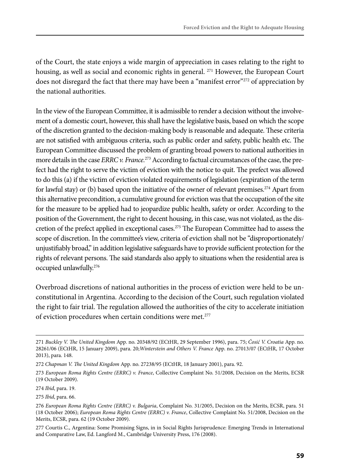of the Court, the state enjoys a wide margin of appreciation in cases relating to the right to housing, as well as social and economic rights in general.  $^{271}$  However, the European Court does not disregard the fact that there may have been a "manifest error"<sup>272</sup> of appreciation by the national authorities.

In the view of the European Committee, it is admissible to render a decision without the involvement of a domestic court, however, this shall have the legislative basis, based on which the scope of the discretion granted to the decision-making body is reasonable and adequate. These criteria are not satisfied with ambiguous criteria, such as public order and safety, public health etc. The European Committee discussed the problem of granting broad powers to national authorities in more details in the case *ERRC v. France*.<sup>273</sup> According to factual circumstances of the case, the prefect had the right to serve the victim of eviction with the notice to quit. The prefect was allowed to do this (a) if the victim of eviction violated requirements of legislation (expiration of the term for lawful stay) or (b) based upon the initiative of the owner of relevant premises.<sup>274</sup> Apart from this alternative precondition, a cumulative ground for eviction was that the occupation of the site for the measure to be applied had to jeopardize public health, safety or order. According to the position of the Government, the right to decent housing, in this case, was not violated, as the discretion of the prefect applied in exceptional cases.<sup>275</sup> The European Committee had to assess the scope of discretion. In the committee's view, criteria of eviction shall not be "disproportionately/ unjustifiably broad," in addition legislative safeguards have to provide sufficient protection for the rights of relevant persons. The said standards also apply to situations when the residential area is occupied unlawfully.276

Overbroad discretions of national authorities in the process of eviction were held to be unconstitutional in Argentina. According to the decision of the Court, such regulation violated the right to fair trial. The regulation allowed the authorities of the city to accelerate initiation of eviction procedures when certain conditions were met.<sup>277</sup>

<sup>271</sup> *Buckley V. The United Kingdom* App. no. 20348/92 (ECtHR, 29 September 1996), para. 75; *Ćosić V. Croatia* App. no. 28261/06 (ECtHR, 15 January 2009), para. 20;*Winterstein and Others V. France* App. no. 27013/07 (ECtHR, 17 October 2013), para. 148.

<sup>272</sup> *Chapman V. The United Kingdom* App. no. 27238/95 (ECtHR, 18 January 2001), para. 92.

<sup>273</sup> *European Roma Rights Centre (ERRC) v. France*, Collective Complaint No. 51/2008, Decision on the Merits, ECSR (19 October 2009).

<sup>274</sup> *Ibid*, para. 19.

<sup>275</sup> *Ibid*, para. 66.

<sup>276</sup> *European Roma Rights Centre (ERRC) v. Bulgaria*, Complaint No. 31/2005, Decision on the Merits, ECSR, para. 51 (18 October 2006); *European Roma Rights Centre (ERRC) v. France*, Collective Complaint No. 51/2008, Decision on the Merits, ECSR, para. 62 (19 October 2009).

<sup>277</sup> Courtis C., Argentina: Some Promising Signs, in in Social Rights Jurisprudence: Emerging Trends in International and Comparative Law, Ed. Langford M., Cambridge University Press, 176 (2008).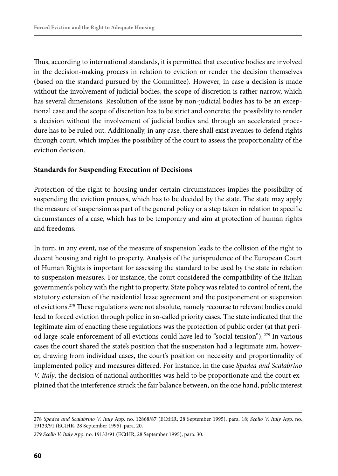Thus, according to international standards, it is permitted that executive bodies are involved in the decision-making process in relation to eviction or render the decision themselves (based on the standard pursued by the Committee). However, in case a decision is made without the involvement of judicial bodies, the scope of discretion is rather narrow, which has several dimensions. Resolution of the issue by non-judicial bodies has to be an exceptional case and the scope of discretion has to be strict and concrete; the possibility to render a decision without the involvement of judicial bodies and through an accelerated procedure has to be ruled out. Additionally, in any case, there shall exist avenues to defend rights through court, which implies the possibility of the court to assess the proportionality of the eviction decision.

#### **Standards for Suspending Execution of Decisions**

Protection of the right to housing under certain circumstances implies the possibility of suspending the eviction process, which has to be decided by the state. The state may apply the measure of suspension as part of the general policy or a step taken in relation to specific circumstances of a case, which has to be temporary and aim at protection of human rights and freedoms.

In turn, in any event, use of the measure of suspension leads to the collision of the right to decent housing and right to property. Analysis of the jurisprudence of the European Court of Human Rights is important for assessing the standard to be used by the state in relation to suspension measures. For instance, the court considered the compatibility of the Italian government's policy with the right to property. State policy was related to control of rent, the statutory extension of the residential lease agreement and the postponement or suspension of evictions.278 These regulations were not absolute, namely recourse to relevant bodies could lead to forced eviction through police in so-called priority cases. The state indicated that the legitimate aim of enacting these regulations was the protection of public order (at that period large-scale enforcement of all evictions could have led to "social tension"). 279 In various cases the court shared the state's position that the suspension had a legitimate aim, however, drawing from individual cases, the court's position on necessity and proportionality of implemented policy and measures differed. For instance, in the case *Spadea and Scalabrino V. Italy*, the decision of national authorities was held to be proportionate and the court explained that the interference struck the fair balance between, on the one hand, public interest

<sup>278</sup> *Spadea and Scalabrino V. Italy* App. no. 12868/87 (ECtHR, 28 September 1995), para. 18; *Scollo V. Italy* App. no. 19133/91 (ECtHR, 28 September 1995), para. 20.

<sup>279</sup> *Scollo V. Italy* App. no. 19133/91 (ECtHR, 28 September 1995), para. 30.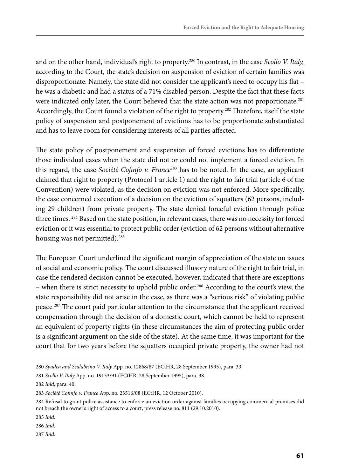and on the other hand, individual's right to property.280 In contrast, in the case *Scollo V. Italy,*  according to the Court, the state's decision on suspension of eviction of certain families was disproportionate. Namely, the state did not consider the applicant's need to occupy his flat – he was a diabetic and had a status of a 71% disabled person. Despite the fact that these facts were indicated only later, the Court believed that the state action was not proportionate.<sup>281</sup> Accordingly, the Court found a violation of the right to property.282 Therefore, itself the state policy of suspension and postponement of evictions has to be proportionate substantiated and has to leave room for considering interests of all parties affected.

The state policy of postponement and suspension of forced evictions has to differentiate those individual cases when the state did not or could not implement a forced eviction. In this regard, the case *Société Cofinfo v. France*283 has to be noted. In the case, an applicant claimed that right to property (Protocol 1 article 1) and the right to fair trial (article 6 of the Convention) were violated, as the decision on eviction was not enforced. More specifically, the case concerned execution of a decision on the eviction of squatters (62 persons, including 29 children) from private property. The state denied forceful eviction through police three times. <sup>284</sup> Based on the state position, in relevant cases, there was no necessity for forced eviction or it was essential to protect public order (eviction of 62 persons without alternative housing was not permitted).<sup>285</sup>

The European Court underlined the significant margin of appreciation of the state on issues of social and economic policy. The court discussed illusory nature of the right to fair trial, in case the rendered decision cannot be executed, however, indicated that there are exceptions – when there is strict necessity to uphold public order.<sup>286</sup> According to the court's view, the state responsibility did not arise in the case, as there was a "serious risk" of violating public peace.287 The court paid particular attention to the circumstance that the applicant received compensation through the decision of a domestic court, which cannot be held to represent an equivalent of property rights (in these circumstances the aim of protecting public order is a significant argument on the side of the state). At the same time, it was important for the court that for two years before the squatters occupied private property, the owner had not

286 *Ibid*.

<sup>280</sup> *Spadea and Scalabrino V. Italy* App. no. 12868/87 (ECtHR, 28 September 1995), para. 33.

<sup>281</sup> *Scollo V. Italy* App. no. 19133/91 (ECtHR, 28 September 1995), para. 38.

<sup>282</sup> *Ibid*, para. 40.

<sup>283</sup> *Société Cofinfo v. France* App. no. 23516/08 (ECtHR, 12 October 2010).

<sup>284</sup> Refusal to grant police assistance to enforce an eviction order against families occupying commercial premises did not breach the owner's right of access to a court, press release no. 811 (29.10.2010).

<sup>285</sup> *Ibid*.

<sup>287</sup> *Ibid*.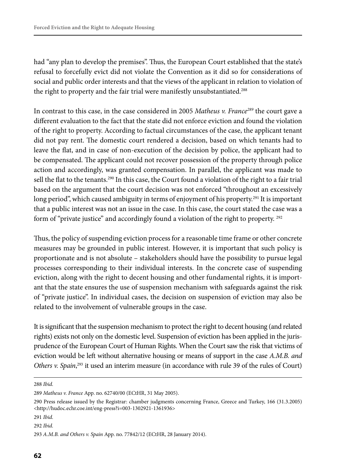had "any plan to develop the premises". Thus, the European Court established that the state's refusal to forcefully evict did not violate the Convention as it did so for considerations of social and public order interests and that the views of the applicant in relation to violation of the right to property and the fair trial were manifestly unsubstantiated.<sup>288</sup>

In contrast to this case, in the case considered in 2005 *Matheus v. France289* the court gave a different evaluation to the fact that the state did not enforce eviction and found the violation of the right to property. According to factual circumstances of the case, the applicant tenant did not pay rent. The domestic court rendered a decision, based on which tenants had to leave the flat, and in case of non-execution of the decision by police, the applicant had to be compensated. The applicant could not recover possession of the property through police action and accordingly, was granted compensation. In parallel, the applicant was made to sell the flat to the tenants.<sup>290</sup> In this case, the Court found a violation of the right to a fair trial based on the argument that the court decision was not enforced "throughout an excessively long period", which caused ambiguity in terms of enjoyment of his property.<sup>291</sup> It is important that a public interest was not an issue in the case. In this case, the court stated the case was a form of "private justice" and accordingly found a violation of the right to property. <sup>292</sup>

Thus, the policy of suspending eviction process for a reasonable time frame or other concrete measures may be grounded in public interest. However, it is important that such policy is proportionate and is not absolute – stakeholders should have the possibility to pursue legal processes corresponding to their individual interests. In the concrete case of suspending eviction, along with the right to decent housing and other fundamental rights, it is important that the state ensures the use of suspension mechanism with safeguards against the risk of "private justice". In individual cases, the decision on suspension of eviction may also be related to the involvement of vulnerable groups in the case.

It is significant that the suspension mechanism to protect the right to decent housing (and related rights) exists not only on the domestic level. Suspension of eviction has been applied in the jurisprudence of the European Court of Human Rights. When the Court saw the risk that victims of eviction would be left without alternative housing or means of support in the case *A.M.B. and*  Others v. Spain,<sup>293</sup> it used an interim measure (in accordance with rule 39 of the rules of Court)

288 *Ibid*.

<sup>289</sup> *Matheus v. France* App. no. 62740/00 (ECtHR, 31 May 2005).

<sup>290</sup> Press release issued by the Registrar: chamber judgments concerning France, Greece and Turkey, 166 (31.3.2005) <http://hudoc.echr.coe.int/eng-press?i=003-1302921-1361936>

<sup>291</sup> *Ibid*.

<sup>292</sup> *Ibid*.

<sup>293</sup> *A.M.B. and Others v. Spain* App. no. 77842/12 (ECtHR, 28 January 2014).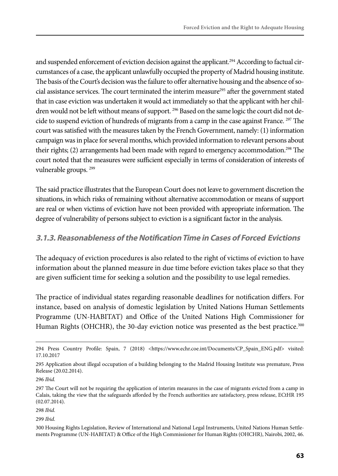and suspended enforcement of eviction decision against the applicant.<sup>294</sup> According to factual circumstances of a case, the applicant unlawfully occupied the property of Madrid housing institute. The basis of the Court's decision was the failure to offer alternative housing and the absence of social assistance services. The court terminated the interim measure<sup>295</sup> after the government stated that in case eviction was undertaken it would act immediately so that the applicant with her children would not be left without means of support. <sup>296</sup> Based on the same logic the court did not decide to suspend eviction of hundreds of migrants from a camp in the case against France.<sup>297</sup> The court was satisfied with the measures taken by the French Government, namely: (1) information campaign was in place for several months, which provided information to relevant persons about their rights; (2) arrangements had been made with regard to emergency accommodation.<sup>298</sup> The court noted that the measures were sufficient especially in terms of consideration of interests of vulnerable groups. 299

The said practice illustrates that the European Court does not leave to government discretion the situations, in which risks of remaining without alternative accommodation or means of support are real or when victims of eviction have not been provided with appropriate information. The degree of vulnerability of persons subject to eviction is a significant factor in the analysis.

### **3.1.3. Reasonableness of the Notification Time in Cases of Forced Evictions**

The adequacy of eviction procedures is also related to the right of victims of eviction to have information about the planned measure in due time before eviction takes place so that they are given sufficient time for seeking a solution and the possibility to use legal remedies.

The practice of individual states regarding reasonable deadlines for notification differs. For instance, based on analysis of domestic legislation by United Nations Human Settlements Programme (UN-HABITAT) and Office of the United Nations High Commissioner for Human Rights (OHCHR), the 30-day eviction notice was presented as the best practice.<sup>300</sup>

299 *Ibid*.

<sup>294</sup> Press Country Profile: Spain, 7 (2018) <https://www.echr.coe.int/Documents/CP\_Spain\_ENG.pdf> visited: 17.10.2017

<sup>295</sup> Application about illegal occupation of a building belonging to the Madrid Housing Institute was premature, Press Release (20.02.2014).

<sup>296</sup> *Ibid.*

<sup>297</sup> The Court will not be requiring the application of interim measures in the case of migrants evicted from a camp in Calais, taking the view that the safeguards afforded by the French authorities are satisfactory, press release, ECtHR 195 (02.07.2014).

<sup>298</sup> *Ibid*.

<sup>300</sup> Housing Rights Legislation, Review of International and National Legal Instruments, United Nations Human Settlements Programme (UN-HABITAT) & Office of the High Commissioner for Human Rights (OHCHR), Nairobi, 2002, 46.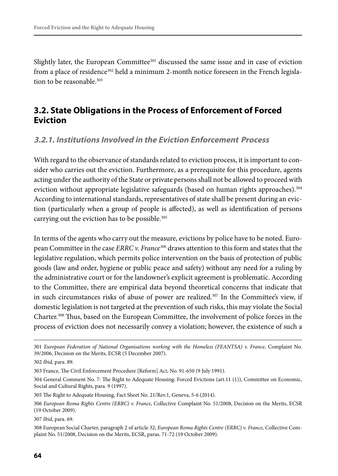Slightly later, the European Committee<sup>301</sup> discussed the same issue and in case of eviction from a place of residence<sup>302</sup> held a minimum 2-month notice foreseen in the French legislation to be reasonable.<sup>303</sup>

## **3.2. State Obligations in the Process of Enforcement of Forced Eviction**

#### **3.2.1. Institutions Involved in the Eviction Enforcement Process**

With regard to the observance of standards related to eviction process, it is important to consider who carries out the eviction. Furthermore, as a prerequisite for this procedure, agents acting under the authority of the State or private persons shall not be allowed to proceed with eviction without appropriate legislative safeguards (based on human rights approaches).<sup>304</sup> According to international standards, representatives of state shall be present during an eviction (particularly when a group of people is affected), as well as identification of persons carrying out the eviction has to be possible.<sup>305</sup>

In terms of the agents who carry out the measure, evictions by police have to be noted. European Committee in the case *ERRC v. France306* draws attention to this form and states that the legislative regulation, which permits police intervention on the basis of protection of public goods (law and order, hygiene or public peace and safety) without any need for a ruling by the administrative court or for the landowner's explicit agreement is problematic. According to the Committee, there are empirical data beyond theoretical concerns that indicate that in such circumstances risks of abuse of power are realized. $307$  In the Committee's view, if domestic legislation is not targeted at the prevention of such risks, this may violate the Social Charter.308 Thus, based on the European Committee, the involvement of police forces in the process of eviction does not necessarily convey a violation; however, the existence of such a

307 *Ibid*, para. 69.

<sup>301</sup> *European Federation of National Organisations working with the Homeless (FEANTSA) v. France*, Complaint No. 39/2006, Decision on the Merits, ECSR (5 December 2007).

<sup>302</sup> *Ibid,* para. 89.

<sup>303</sup> France, The Civil Enforcement Procedure [Reform] Act, No. 91-650 (9 July 1991).

<sup>304</sup> General Comment No. 7: The Right to Adequate Housing: Forced Evictions (art.11 (1)), Committee on Economic, Social and Cultural Rights, para. 9 (1997).

<sup>305</sup> The Right to Adequate Housing, Fact Sheet No. 21/Rev.1, Geneva, 5-6 (2014).

<sup>306</sup> *European Roma Rights Centre (ERRC) v. France*, Collective Complaint No. 51/2008, Decision on the Merits, ECSR (19 October 2009).

<sup>308</sup> European Social Charter, paragraph 2 of article 32; *European Roma Rights Centre (ERRC) v. France*, Collective Complaint No. 51/2008, Decision on the Merits, ECSR, paras. 71-72 (19 October 2009).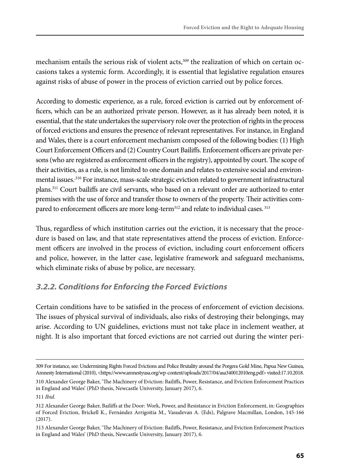mechanism entails the serious risk of violent acts,<sup>309</sup> the realization of which on certain occasions takes a systemic form. Accordingly, it is essential that legislative regulation ensures against risks of abuse of power in the process of eviction carried out by police forces.

According to domestic experience, as a rule, forced eviction is carried out by enforcement officers, which can be an authorized private person. However, as it has already been noted, it is essential, that the state undertakes the supervisory role over the protection of rights in the process of forced evictions and ensures the presence of relevant representatives. For instance, in England and Wales, there is a court enforcement mechanism composed of the following bodies: (1) High Court Enforcement Officers and (2) Country Court Bailiffs. Enforcement officers are private persons (who are registered as enforcement officers in the registry), appointed by court. The scope of their activities, as a rule, is not limited to one domain and relates to extensive social and environmental issues.<sup>310</sup> For instance, mass-scale strategic eviction related to government infrastructural plans.311 Court bailiffs are civil servants, who based on a relevant order are authorized to enter premises with the use of force and transfer those to owners of the property. Their activities compared to enforcement officers are more long-term<sup>312</sup> and relate to individual cases.<sup>313</sup>

Thus, regardless of which institution carries out the eviction, it is necessary that the procedure is based on law, and that state representatives attend the process of eviction. Enforcement officers are involved in the process of eviction, including court enforcement officers and police, however, in the latter case, legislative framework and safeguard mechanisms, which eliminate risks of abuse by police, are necessary.

### **3.2.2. Conditions for Enforcing the Forced Evictions**

Certain conditions have to be satisfied in the process of enforcement of eviction decisions. The issues of physical survival of individuals, also risks of destroying their belongings, may arise. According to UN guidelines, evictions must not take place in inclement weather, at night. It is also important that forced evictions are not carried out during the winter peri-

<sup>309</sup> For instance, see: Undermining Rights Forced Evictions and Police Brutality around the Porgera Gold Mine, Papua New Guinea, Amnesty International (2010), <https://www.amnestyusa.org/wp-content/uploads/2017/04/asa340012010eng.pdf> visited:17.10.2018.

<sup>310</sup> Alexander George Baker, 'The Machinery of Eviction: Bailiffs, Power, Resistance, and Eviction Enforcement Practices in England and Wales' (PhD thesis, Newcastle University, January 2017), 6.

<sup>311</sup> *Ibid*.

<sup>312</sup> Alexander George Baker, Bailiffs at the Door: Work, Power, and Resistance in Eviction Enforcement, in: Geographies of Forced Eviction, Brickell K., Fernández Arrigoitia M., Vasudevan A. (Eds), Palgrave Macmillan, London, 145-166 (2017).

<sup>313</sup> Alexander George Baker, 'The Machinery of Eviction: Bailiffs, Power, Resistance, and Eviction Enforcement Practices in England and Wales' (PhD thesis, Newcastle University, January 2017), 6.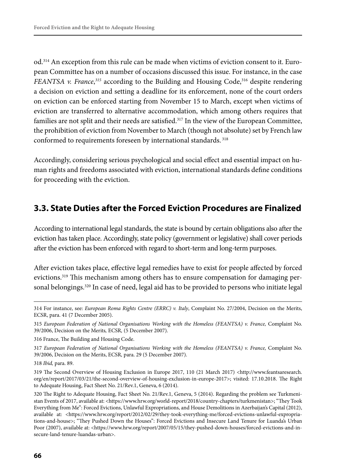od.314 An exception from this rule can be made when victims of eviction consent to it. European Committee has on a number of occasions discussed this issue. For instance, in the case *FEANTSA v. France*, *<sup>315</sup>* according to the Building and Housing Code,316 despite rendering a decision on eviction and setting a deadline for its enforcement, none of the court orders on eviction can be enforced starting from November 15 to March, except when victims of eviction are transferred to alternative accommodation, which among others requires that families are not split and their needs are satisfied.<sup>317</sup> In the view of the European Committee, the prohibition of eviction from November to March (though not absolute) set by French law conformed to requirements foreseen by international standards. 318

Accordingly, considering serious psychological and social effect and essential impact on human rights and freedoms associated with eviction, international standards define conditions for proceeding with the eviction.

### **3.3. State Duties after the Forced Eviction Procedures are Finalized**

According to international legal standards, the state is bound by certain obligations also after the eviction has taken place. Accordingly, state policy (government or legislative) shall cover periods after the eviction has been enforced with regard to short-term and long-term purposes.

After eviction takes place, effective legal remedies have to exist for people affected by forced evictions.<sup>319</sup> This mechanism among others has to ensure compensation for damaging personal belongings.<sup>320</sup> In case of need, legal aid has to be provided to persons who initiate legal

<sup>314</sup> For instance, see: *European Roma Rights Centre (ERRC) v. Italy*, Complaint No. 27/2004, Decision on the Merits, ECSR, para. 41 (7 December 2005).

<sup>315</sup> *European Federation of National Organisations Working with the Homeless (FEANTSA) v. France,* Complaint No. 39/2006, Decision on the Merits*,* ECSR*,* (5 December 2007).

<sup>316</sup> France, The Building and Housing Code.

<sup>317</sup> *European Federation of National Organisations Working with the Homeless (FEANTSA) v. France,* Complaint No. 39/2006, Decision on the Merits, ECSR*,* para. 29 (5 December 2007).

<sup>318</sup> *Ibid,* para. 89.

<sup>319</sup> The Second Overview of Housing Exclusion in Europe 2017, 110 (21 March 2017) <http://www.feantsaresearch. org/en/report/2017/03/21/the-second-overview-of-housing-exclusion-in-europe-2017>; visited: 17.10.2018. The Right to Adequate Housing, Fact Sheet No. 21/Rev.1, Geneva, 6 (2014).

<sup>320</sup> The Right to Adequate Housing, Fact Sheet No. 21/Rev.1, Geneva, 5 (2014). Regarding the problem see Turkmenistan Events of 2017, available at: <https://www.hrw.org/world-report/2018/country-chapters/turkmenistan>; "They Took Everything from Me": Forced Evictions, Unlawful Expropriations, and House Demolitions in Azerbaijan's Capital (2012), available at: <https://www.hrw.org/report/2012/02/29/they-took-everything-me/forced-evictions-unlawful-expropriations-and-house>; "They Pushed Down the Houses": Forced Evictions and Insecure Land Tenure for Luanda's Urban Poor (2007), available at: <https://www.hrw.org/report/2007/05/15/they-pushed-down-houses/forced-evictions-and-insecure-land-tenure-luandas-urban>.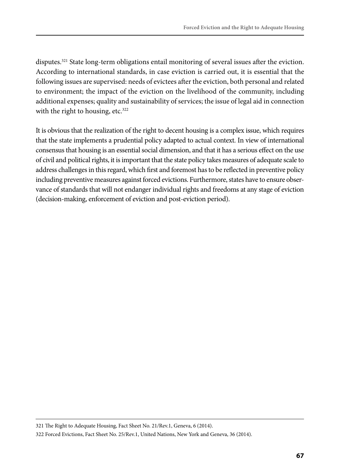disputes.<sup>321</sup> State long-term obligations entail monitoring of several issues after the eviction. According to international standards, in case eviction is carried out, it is essential that the following issues are supervised: needs of evictees after the eviction, both personal and related to environment; the impact of the eviction on the livelihood of the community, including additional expenses; quality and sustainability of services; the issue of legal aid in connection with the right to housing, etc.<sup>322</sup>

It is obvious that the realization of the right to decent housing is a complex issue, which requires that the state implements a prudential policy adapted to actual context. In view of international consensus that housing is an essential social dimension, and that it has a serious effect on the use of civil and political rights, it is important that the state policy takes measures of adequate scale to address challenges in this regard, which first and foremost has to be reflected in preventive policy including preventive measures against forced evictions. Furthermore, states have to ensure observance of standards that will not endanger individual rights and freedoms at any stage of eviction (decision-making, enforcement of eviction and post-eviction period).

<sup>321</sup> The Right to Adequate Housing, Fact Sheet No. 21/Rev.1, Geneva, 6 (2014).

<sup>322</sup> Forced Evictions, Fact Sheet No. 25/Rev.1, United Nations, New York and Geneva, 36 (2014).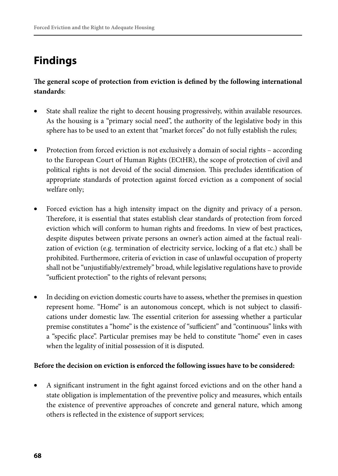# **Findings**

**The general scope of protection from eviction is defined by the following international standards**:

- State shall realize the right to decent housing progressively, within available resources. As the housing is a "primary social need", the authority of the legislative body in this sphere has to be used to an extent that "market forces" do not fully establish the rules;
- Protection from forced eviction is not exclusively a domain of social rights according to the European Court of Human Rights (ECtHR), the scope of protection of civil and political rights is not devoid of the social dimension. This precludes identification of appropriate standards of protection against forced eviction as a component of social welfare only;
- Forced eviction has a high intensity impact on the dignity and privacy of a person. Therefore, it is essential that states establish clear standards of protection from forced eviction which will conform to human rights and freedoms. In view of best practices, despite disputes between private persons an owner's action aimed at the factual realization of eviction (e.g. termination of electricity service, locking of a flat etc.) shall be prohibited. Furthermore, criteria of eviction in case of unlawful occupation of property shall not be "unjustifiably/extremely" broad, while legislative regulations have to provide "sufficient protection" to the rights of relevant persons;
- In deciding on eviction domestic courts have to assess, whether the premises in question represent home. "Home" is an autonomous concept, which is not subject to classifications under domestic law. The essential criterion for assessing whether a particular premise constitutes a "home" is the existence of "sufficient" and "continuous" links with a "specific place". Particular premises may be held to constitute "home" even in cases when the legality of initial possession of it is disputed.

#### **Before the decision on eviction is enforced the following issues have to be considered:**

• A significant instrument in the fight against forced evictions and on the other hand a state obligation is implementation of the preventive policy and measures, which entails the existence of preventive approaches of concrete and general nature, which among others is reflected in the existence of support services;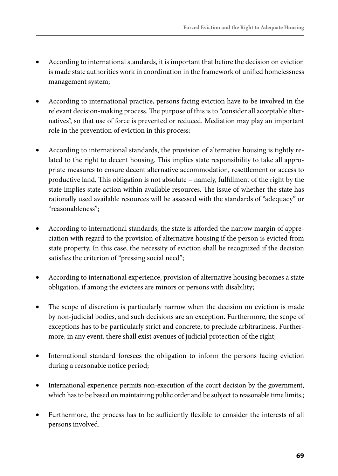- According to international standards, it is important that before the decision on eviction is made state authorities work in coordination in the framework of unified homelessness management system;
- According to international practice, persons facing eviction have to be involved in the relevant decision-making process. The purpose of this is to "consider all acceptable alternatives", so that use of force is prevented or reduced. Mediation may play an important role in the prevention of eviction in this process;
- According to international standards, the provision of alternative housing is tightly related to the right to decent housing. This implies state responsibility to take all appropriate measures to ensure decent alternative accommodation, resettlement or access to productive land. This obligation is not absolute – namely, fulfillment of the right by the state implies state action within available resources. The issue of whether the state has rationally used available resources will be assessed with the standards of "adequacy" or "reasonableness";
- According to international standards, the state is afforded the narrow margin of appreciation with regard to the provision of alternative housing if the person is evicted from state property. In this case, the necessity of eviction shall be recognized if the decision satisfies the criterion of "pressing social need";
- According to international experience, provision of alternative housing becomes a state obligation, if among the evictees are minors or persons with disability;
- The scope of discretion is particularly narrow when the decision on eviction is made by non-judicial bodies, and such decisions are an exception. Furthermore, the scope of exceptions has to be particularly strict and concrete, to preclude arbitrariness. Furthermore, in any event, there shall exist avenues of judicial protection of the right;
- International standard foresees the obligation to inform the persons facing eviction during a reasonable notice period;
- International experience permits non-execution of the court decision by the government, which has to be based on maintaining public order and be subject to reasonable time limits.;
- Furthermore, the process has to be sufficiently flexible to consider the interests of all persons involved.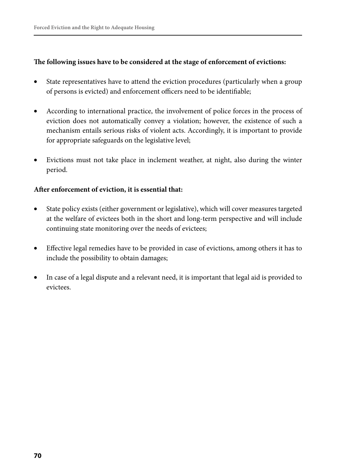#### **The following issues have to be considered at the stage of enforcement of evictions:**

- State representatives have to attend the eviction procedures (particularly when a group of persons is evicted) and enforcement officers need to be identifiable;
- According to international practice, the involvement of police forces in the process of eviction does not automatically convey a violation; however, the existence of such a mechanism entails serious risks of violent acts. Accordingly, it is important to provide for appropriate safeguards on the legislative level;
- Evictions must not take place in inclement weather, at night, also during the winter period.

#### **After enforcement of eviction, it is essential that:**

- State policy exists (either government or legislative), which will cover measures targeted at the welfare of evictees both in the short and long-term perspective and will include continuing state monitoring over the needs of evictees;
- Effective legal remedies have to be provided in case of evictions, among others it has to include the possibility to obtain damages;
- In case of a legal dispute and a relevant need, it is important that legal aid is provided to evictees.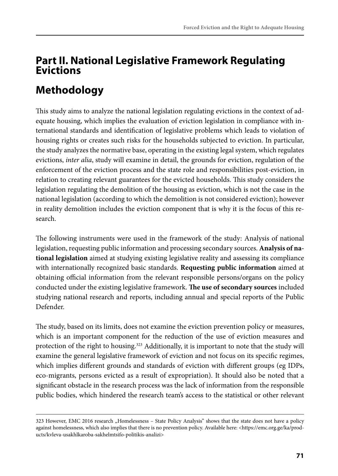## **Part II. National Legislative Framework Regulating Evictions**

# **Methodology**

This study aims to analyze the national legislation regulating evictions in the context of adequate housing, which implies the evaluation of eviction legislation in compliance with international standards and identification of legislative problems which leads to violation of housing rights or creates such risks for the households subjected to eviction. In particular, the study analyzes the normative base, operating in the existing legal system, which regulates evictions, *inter alia*, study will examine in detail, the grounds for eviction, regulation of the enforcement of the eviction process and the state role and responsibilities post-eviction, in relation to creating relevant guarantees for the evicted households. This study considers the legislation regulating the demolition of the housing as eviction, which is not the case in the national legislation (according to which the demolition is not considered eviction); however in reality demolition includes the eviction component that is why it is the focus of this research.

The following instruments were used in the framework of the study: Analysis of national legislation, requesting public information and processing secondary sources. **Analysis of national legislation** aimed at studying existing legislative reality and assessing its compliance with internationally recognized basic standards. **Requesting public information** aimed at obtaining official information from the relevant responsible persons/organs on the policy conducted under the existing legislative framework. **The use of secondary sources** included studying national research and reports, including annual and special reports of the Public Defender.

The study, based on its limits, does not examine the eviction prevention policy or measures, which is an important component for the reduction of the use of eviction measures and protection of the right to housing.<sup>323</sup> Additionally, it is important to note that the study will examine the general legislative framework of eviction and not focus on its specific regimes, which implies different grounds and standards of eviction with different groups (eg IDPs, eco-migrants, persons evicted as a result of expropriation). It should also be noted that a significant obstacle in the research process was the lack of information from the responsible public bodies, which hindered the research team's access to the statistical or other relevant

<sup>323</sup> However, EMC 2016 research "Homelessness - State Policy Analysis" shows that the state does not have a policy against homelessness, which also implies that there is no prevention policy. Available here: <https://emc.org.ge/ka/products/kvleva-usakhlkaroba-sakhelmtsifo-politikis-analizi>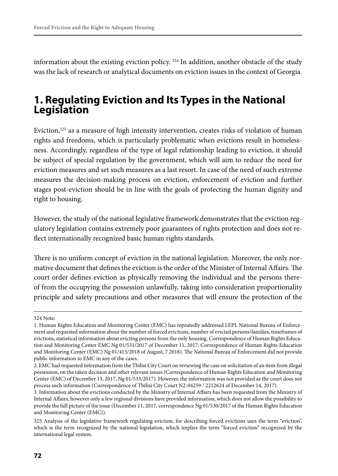information about the existing eviction policy.  $324$  In addition, another obstacle of the study was the lack of research or analytical documents on eviction issues in the context of Georgia.

## **1. Regulating Eviction and Its Types in the National Legislation**

Eviction,<sup>325</sup> as a measure of high intensity intervention, creates risks of violation of human rights and freedoms, which is particularly problematic when evictions result in homelessness. Accordingly, regardless of the type of legal relationship leading to eviction, it should be subject of special regulation by the government, which will aim to reduce the need for eviction measures and set such measures as a last resort. In case of the need of such extreme measures the decision-making process on eviction, enforcement of eviction and further stages post-eviction should be in line with the goals of protecting the human dignity and right to housing.

However, the study of the national legislative framework demonstrates that the eviction regulatory legislation contains extremely poor guarantees of rights protection and does not reflect internationally recognized basic human rights standards.

There is no uniform concept of eviction in the national legislation. Moreover, the only normative document that defines the eviction is the order of the Minister of Internal Affairs. The court order defines eviction as physically removing the individual and the persons thereof from the occupying the possession unlawfully, taking into consideration proportionality principle and safety precautions and other measures that will ensure the protection of the

<sup>324</sup> Note:

<sup>1.</sup> Human Rights Education and Monitoring Center (EMC) has repeatedly addressed LEPL National Bureau of Enforcement and requested information about the number of forced evictions, number of evicted persons/families, timeframes of evictions, statistical information about evicting persons from the only housing. Correspondence of Human Rights Education and Monitoring Center EMC Ng 01/531/2017 of December 11, 2017; Correspondence of Human Rights Education and Monitoring Center (EMC) Ng 01/415/2018 of August, 7 2018). The National Bureau of Enforcement did not provide public information to EMC in any of the cases.

<sup>2.</sup> EMC had requested information from the Tbilisi City Court on reviewing the case on solicitation of an item from illegal possession, on the taken decision and other relevant issues (Correspondence of Human Rights Education and Monitoring Center (EMC) of December 13, 2017, Ng 01/533/2017). However, the information was not provided as the court does not process such information (Correspondence of Tbilisi City Court N2-04259 / 2212624 of December 14, 2017).

<sup>3.</sup> Information about the evictions conducted by the Ministry of Internal Affairs has been requested from the Ministry of Internal Affairs, however only a few regional divisions have provided information, which does not allow the possibility to provide the full picture of the issue (December 11, 2017, correspondence Ng 01/530/2017 of the Human Rights Education and Monitoring Center (EMC)).

<sup>325</sup> Analysis of the legislative framework regulating eviction, for describing forced evictions uses the term "eviction", which is the term recognized by the national legislation, which implies the term "forced eviction" recognized by the international legal system.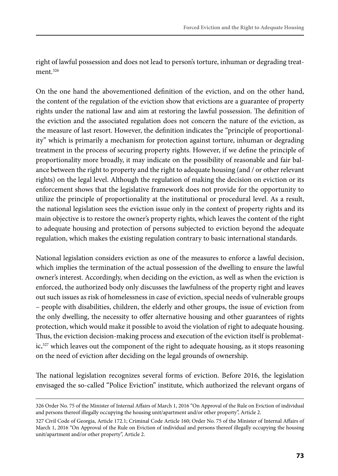right of lawful possession and does not lead to person's torture, inhuman or degrading treatment<sup>326</sup>

On the one hand the abovementioned definition of the eviction, and on the other hand, the content of the regulation of the eviction show that evictions are a guarantee of property rights under the national law and aim at restoring the lawful possession. The definition of the eviction and the associated regulation does not concern the nature of the eviction, as the measure of last resort. However, the definition indicates the "principle of proportionality" which is primarily a mechanism for protection against torture, inhuman or degrading treatment in the process of securing property rights. However, if we define the principle of proportionality more broadly, it may indicate on the possibility of reasonable and fair balance between the right to property and the right to adequate housing (and / or other relevant rights) on the legal level. Although the regulation of making the decision on eviction or its enforcement shows that the legislative framework does not provide for the opportunity to utilize the principle of proportionality at the institutional or procedural level. As a result, the national legislation sees the eviction issue only in the context of property rights and its main objective is to restore the owner's property rights, which leaves the content of the right to adequate housing and protection of persons subjected to eviction beyond the adequate regulation, which makes the existing regulation contrary to basic international standards.

National legislation considers eviction as one of the measures to enforce a lawful decision, which implies the termination of the actual possession of the dwelling to ensure the lawful owner's interest. Accordingly, when deciding on the eviction, as well as when the eviction is enforced, the authorized body only discusses the lawfulness of the property right and leaves out such issues as risk of homelessness in case of eviction, special needs of vulnerable groups – people with disabilities, children, the elderly and other groups, the issue of eviction from the only dwelling, the necessity to offer alternative housing and other guarantees of rights protection, which would make it possible to avoid the violation of right to adequate housing. Thus, the eviction decision-making process and execution of the eviction itself is problematic, $327$  which leaves out the component of the right to adequate housing, as it stops reasoning on the need of eviction after deciding on the legal grounds of ownership.

The national legislation recognizes several forms of eviction. Before 2016, the legislation envisaged the so-called "Police Eviction" institute, which authorized the relevant organs of

<sup>326</sup> Order No. 75 of the Minister of Internal Affairs of March 1, 2016 "On Approval of the Rule on Eviction of individual and persons thereof illegally occupying the housing unit/apartment and/or other property", Article 2.

<sup>327</sup> Civil Code of Georgia, Article 172.1; Criminal Code Article 160; Order No. 75 of the Minister of Internal Affairs of March 1, 2016 "On Approval of the Rule on Eviction of individual and persons thereof illegally occupying the housing unit/apartment and/or other property", Article 2.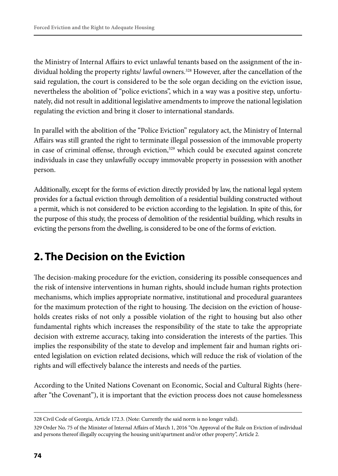the Ministry of Internal Affairs to evict unlawful tenants based on the assignment of the individual holding the property rights/lawful owners.<sup>328</sup> However, after the cancellation of the said regulation, the court is considered to be the sole organ deciding on the eviction issue, nevertheless the abolition of "police evictions", which in a way was a positive step, unfortunately, did not result in additional legislative amendments to improve the national legislation regulating the eviction and bring it closer to international standards.

In parallel with the abolition of the "Police Eviction" regulatory act, the Ministry of Internal Affairs was still granted the right to terminate illegal possession of the immovable property in case of criminal offense, through eviction, $329$  which could be executed against concrete individuals in case they unlawfully occupy immovable property in possession with another person.

Additionally, except for the forms of eviction directly provided by law, the national legal system provides for a factual eviction through demolition of a residential building constructed without a permit, which is not considered to be eviction according to the legislation. In spite of this, for the purpose of this study, the process of demolition of the residential building, which results in evicting the persons from the dwelling, is considered to be one of the forms of eviction.

## **2. The Decision on the Eviction**

The decision-making procedure for the eviction, considering its possible consequences and the risk of intensive interventions in human rights, should include human rights protection mechanisms, which implies appropriate normative, institutional and procedural guarantees for the maximum protection of the right to housing. The decision on the eviction of households creates risks of not only a possible violation of the right to housing but also other fundamental rights which increases the responsibility of the state to take the appropriate decision with extreme accuracy, taking into consideration the interests of the parties. This implies the responsibility of the state to develop and implement fair and human rights oriented legislation on eviction related decisions, which will reduce the risk of violation of the rights and will effectively balance the interests and needs of the parties.

According to the United Nations Covenant on Economic, Social and Cultural Rights (hereafter "the Covenant"), it is important that the eviction process does not cause homelessness

<sup>328</sup> Civil Code of Georgia, Article 172.3. (Note: Currently the said norm is no longer valid).

<sup>329</sup> Order No. 75 of the Minister of Internal Affairs of March 1, 2016 "On Approval of the Rule on Eviction of individual and persons thereof illegally occupying the housing unit/apartment and/or other property", Article 2.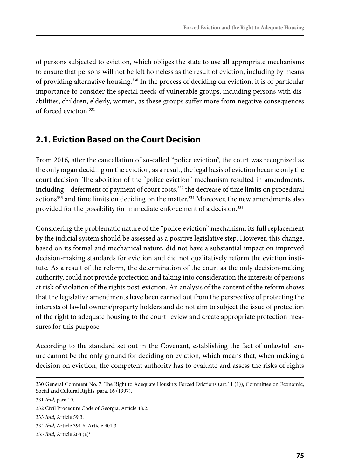of persons subjected to eviction, which obliges the state to use all appropriate mechanisms to ensure that persons will not be left homeless as the result of eviction, including by means of providing alternative housing.330 In the process of deciding on eviction, it is of particular importance to consider the special needs of vulnerable groups, including persons with disabilities, children, elderly, women, as these groups suffer more from negative consequences of forced eviction.331

### **2.1. Eviction Based on the Court Decision**

From 2016, after the cancellation of so-called "police eviction", the court was recognized as the only organ deciding on the eviction, as a result, the legal basis of eviction became only the court decision. The abolition of the "police eviction" mechanism resulted in amendments, including - deferment of payment of court costs,<sup>332</sup> the decrease of time limits on procedural actions<sup>333</sup> and time limits on deciding on the matter.<sup>334</sup> Moreover, the new amendments also provided for the possibility for immediate enforcement of a decision.<sup>335</sup>

Considering the problematic nature of the "police eviction" mechanism, its full replacement by the judicial system should be assessed as a positive legislative step. However, this change, based on its formal and mechanical nature, did not have a substantial impact on improved decision-making standards for eviction and did not qualitatively reform the eviction institute. As a result of the reform, the determination of the court as the only decision-making authority, could not provide protection and taking into consideration the interests of persons at risk of violation of the rights post-eviction. An analysis of the content of the reform shows that the legislative amendments have been carried out from the perspective of protecting the interests of lawful owners/property holders and do not aim to subject the issue of protection of the right to adequate housing to the court review and create appropriate protection measures for this purpose.

According to the standard set out in the Covenant, establishing the fact of unlawful tenure cannot be the only ground for deciding on eviction, which means that, when making a decision on eviction, the competent authority has to evaluate and assess the risks of rights

```
335 Ibid, Article 268 (e)1
```
<sup>330</sup> General Comment No. 7: The Right to Adequate Housing: Forced Evictions (art.11 (1)), Committee on Economic, Social and Cultural Rights, para. 16 (1997).

<sup>331</sup> *Ibid*, para.10.

<sup>332</sup> Civil Procedure Code of Georgia, Article 48.2.

<sup>333</sup> *Ibid*, Article 59.3.

<sup>334</sup> *Ibid*, Article 391.6; Article 401.3.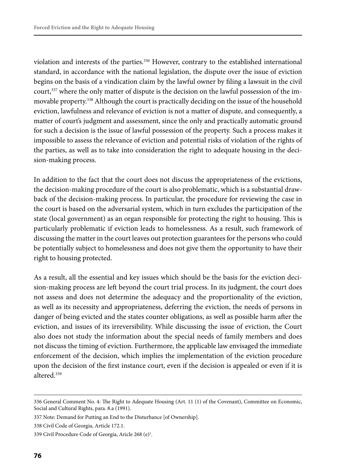violation and interests of the parties.336 However, contrary to the established international standard, in accordance with the national legislation, the dispute over the issue of eviction begins on the basis of a vindication claim by the lawful owner by filing a lawsuit in the civil court,<sup>337</sup> where the only matter of dispute is the decision on the lawful possession of the immovable property.338 Although the court is practically deciding on the issue of the household eviction, lawfulness and relevance of eviction is not a matter of dispute, and consequently, a matter of court's judgment and assessment, since the only and practically automatic ground for such a decision is the issue of lawful possession of the property. Such a process makes it impossible to assess the relevance of eviction and potential risks of violation of the rights of the parties, as well as to take into consideration the right to adequate housing in the decision-making process.

In addition to the fact that the court does not discuss the appropriateness of the evictions, the decision-making procedure of the court is also problematic, which is a substantial drawback of the decision-making process. In particular, the procedure for reviewing the case in the court is based on the adversarial system, which in turn excludes the participation of the state (local government) as an organ responsible for protecting the right to housing. This is particularly problematic if eviction leads to homelessness. As a result, such framework of discussing the matter in the court leaves out protection guarantees for the persons who could be potentially subject to homelessness and does not give them the opportunity to have their right to housing protected.

As a result, all the essential and key issues which should be the basis for the eviction decision-making process are left beyond the court trial process. In its judgment, the court does not assess and does not determine the adequacy and the proportionality of the eviction, as well as its necessity and appropriateness, deferring the eviction, the needs of persons in danger of being evicted and the states counter obligations, as well as possible harm after the eviction, and issues of its irreversibility. While discussing the issue of eviction, the Court also does not study the information about the special needs of family members and does not discuss the timing of eviction. Furthermore, the applicable law envisaged the immediate enforcement of the decision, which implies the implementation of the eviction procedure upon the decision of the first instance court, even if the decision is appealed or even if it is altered.339

<sup>336</sup> General Comment No. 4: The Right to Adequate Housing (Art. 11 (1) of the Covenant), Committee on Economic, Social and Cultural Rights, para. 8.a (1991).

<sup>337</sup> Note: Demand for Putting an End to the Disturbance [of Ownership].

<sup>338</sup> Civil Code of Georgia, Article 172.1.

<sup>339</sup> Civil Procedure Code of Georgia, Aricle 268 (e)<sup>1</sup>.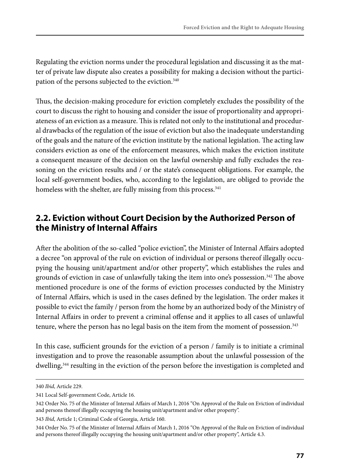Regulating the eviction norms under the procedural legislation and discussing it as the matter of private law dispute also creates a possibility for making a decision without the participation of the persons subjected to the eviction.<sup>340</sup>

Thus, the decision-making procedure for eviction completely excludes the possibility of the court to discuss the right to housing and consider the issue of proportionality and appropriateness of an eviction as a measure. This is related not only to the institutional and procedural drawbacks of the regulation of the issue of eviction but also the inadequate understanding of the goals and the nature of the eviction institute by the national legislation. The acting law considers eviction as one of the enforcement measures, which makes the eviction institute a consequent measure of the decision on the lawful ownership and fully excludes the reasoning on the eviction results and / or the state's consequent obligations. For example, the local self-government bodies, who, according to the legislation, are obliged to provide the homeless with the shelter, are fully missing from this process.<sup>341</sup>

### **2.2. Eviction without Court Decision by the Authorized Person of the Ministry of Internal Affairs**

After the abolition of the so-called "police eviction", the Minister of Internal Affairs adopted a decree "on approval of the rule on eviction of individual or persons thereof illegally occupying the housing unit/apartment and/or other property", which establishes the rules and grounds of eviction in case of unlawfully taking the item into one's possession.<sup>342</sup> The above mentioned procedure is one of the forms of eviction processes conducted by the Ministry of Internal Affairs, which is used in the cases defined by the legislation. The order makes it possible to evict the family / person from the home by an authorized body of the Ministry of Internal Affairs in order to prevent a criminal offense and it applies to all cases of unlawful tenure, where the person has no legal basis on the item from the moment of possession. $343$ 

In this case, sufficient grounds for the eviction of a person / family is to initiate a criminal investigation and to prove the reasonable assumption about the unlawful possession of the dwelling,<sup>344</sup> resulting in the eviction of the person before the investigation is completed and

<sup>340</sup> *Ibid*, Article 229.

<sup>341</sup> Local Self-government Code, Article 16.

<sup>342</sup> Order No. 75 of the Minister of Internal Affairs of March 1, 2016 "On Approval of the Rule on Eviction of individual and persons thereof illegally occupying the housing unit/apartment and/or other property".

<sup>343</sup> *Ibid*, Article 1; Criminal Code of Georgia, Article 160.

<sup>344</sup> Order No. 75 of the Minister of Internal Affairs of March 1, 2016 "On Approval of the Rule on Eviction of individual and persons thereof illegally occupying the housing unit/apartment and/or other property", Article 4.3.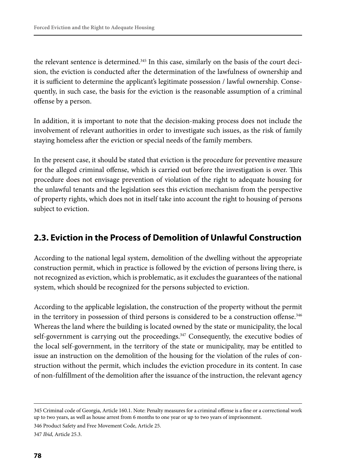the relevant sentence is determined.345 In this case, similarly on the basis of the court decision, the eviction is conducted after the determination of the lawfulness of ownership and it is sufficient to determine the applicant's legitimate possession / lawful ownership. Consequently, in such case, the basis for the eviction is the reasonable assumption of a criminal offense by a person.

In addition, it is important to note that the decision-making process does not include the involvement of relevant authorities in order to investigate such issues, as the risk of family staying homeless after the eviction or special needs of the family members.

In the present case, it should be stated that eviction is the procedure for preventive measure for the alleged criminal offense, which is carried out before the investigation is over. This procedure does not envisage prevention of violation of the right to adequate housing for the unlawful tenants and the legislation sees this eviction mechanism from the perspective of property rights, which does not in itself take into account the right to housing of persons subject to eviction.

#### **2.3. Eviction in the Process of Demolition of Unlawful Construction**

According to the national legal system, demolition of the dwelling without the appropriate construction permit, which in practice is followed by the eviction of persons living there, is not recognized as eviction, which is problematic, as it excludes the guarantees of the national system, which should be recognized for the persons subjected to eviction.

According to the applicable legislation, the construction of the property without the permit in the territory in possession of third persons is considered to be a construction offense.<sup>346</sup> Whereas the land where the building is located owned by the state or municipality, the local self-government is carrying out the proceedings.<sup>347</sup> Consequently, the executive bodies of the local self-government, in the territory of the state or municipality, may be entitled to issue an instruction on the demolition of the housing for the violation of the rules of construction without the permit, which includes the eviction procedure in its content. In case of non-fulfillment of the demolition after the issuance of the instruction, the relevant agency

346 Product Safety and Free Movement Code, Article 25.

347 *Ibid*, Article 25.3.

<sup>345</sup> Criminal code of Georgia, Article 160.1. Note: Penalty measures for a criminal offense is a fine or a correctional work up to two years, as well as house arrest from 6 months to one year or up to two years of imprisonment.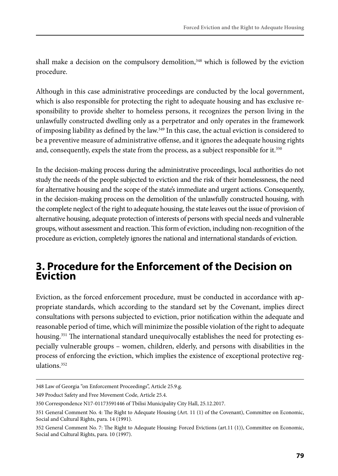shall make a decision on the compulsory demolition,<sup>348</sup> which is followed by the eviction procedure.

Although in this case administrative proceedings are conducted by the local government, which is also responsible for protecting the right to adequate housing and has exclusive responsibility to provide shelter to homeless persons, it recognizes the person living in the unlawfully constructed dwelling only as a perpetrator and only operates in the framework of imposing liability as defined by the law.349 In this case, the actual eviction is considered to be a preventive measure of administrative offense, and it ignores the adequate housing rights and, consequently, expels the state from the process, as a subject responsible for it.<sup>350</sup>

In the decision-making process during the administrative proceedings, local authorities do not study the needs of the people subjected to eviction and the risk of their homelessness, the need for alternative housing and the scope of the state's immediate and urgent actions. Consequently, in the decision-making process on the demolition of the unlawfully constructed housing, with the complete neglect of the right to adequate housing, the state leaves out the issue of provision of alternative housing, adequate protection of interests of persons with special needs and vulnerable groups, without assessment and reaction. This form of eviction, including non-recognition of the procedure as eviction, completely ignores the national and international standards of eviction.

## **3. Procedure for the Enforcement of the Decision on Eviction**

Eviction, as the forced enforcement procedure, must be conducted in accordance with appropriate standards, which according to the standard set by the Covenant, implies direct consultations with persons subjected to eviction, prior notification within the adequate and reasonable period of time, which will minimize the possible violation of the right to adequate housing.<sup>351</sup> The international standard unequivocally establishes the need for protecting especially vulnerable groups – women, children, elderly, and persons with disabilities in the process of enforcing the eviction, which implies the existence of exceptional protective regulations.352

<sup>348</sup> Law of Georgia "on Enforcement Proceedings", Article 25.9.g.

<sup>349</sup> Product Safety and Free Movement Code, Article 25.4.

<sup>350</sup> Correspondence N17-01173591446 of Tbilisi Municipality City Hall, 25.12.2017.

<sup>351</sup> General Comment No. 4: The Right to Adequate Housing (Art. 11 (1) of the Covenant), Committee on Economic, Social and Cultural Rights, para. 14 (1991).

<sup>352</sup> General Comment No. 7: The Right to Adequate Housing: Forced Evictions (art.11 (1)), Committee on Economic, Social and Cultural Rights, para. 10 (1997).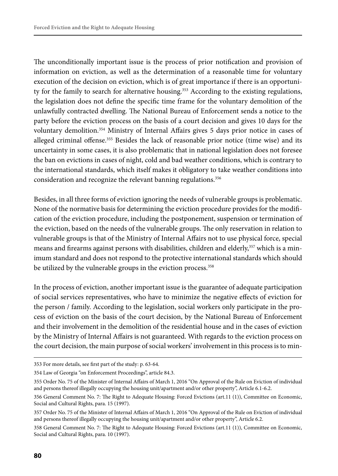The unconditionally important issue is the process of prior notification and provision of information on eviction, as well as the determination of a reasonable time for voluntary execution of the decision on eviction, which is of great importance if there is an opportunity for the family to search for alternative housing.<sup>353</sup> According to the existing regulations, the legislation does not define the specific time frame for the voluntary demolition of the unlawfully contracted dwelling. The National Bureau of Enforcement sends a notice to the party before the eviction process on the basis of a court decision and gives 10 days for the voluntary demolition.354 Ministry of Internal Affairs gives 5 days prior notice in cases of alleged criminal offense.355 Besides the lack of reasonable prior notice (time wise) and its uncertainty in some cases, it is also problematic that in national legislation does not foresee the ban on evictions in cases of night, cold and bad weather conditions, which is contrary to the international standards, which itself makes it obligatory to take weather conditions into consideration and recognize the relevant banning regulations.<sup>356</sup>

Besides, in all three forms of eviction ignoring the needs of vulnerable groups is problematic. None of the normative basis for determining the eviction procedure provides for the modification of the eviction procedure, including the postponement, suspension or termination of the eviction, based on the needs of the vulnerable groups. The only reservation in relation to vulnerable groups is that of the Ministry of Internal Affairs not to use physical force, special means and firearms against persons with disabilities, children and elderly,<sup>357</sup> which is a minimum standard and does not respond to the protective international standards which should be utilized by the vulnerable groups in the eviction process.<sup>358</sup>

In the process of eviction, another important issue is the guarantee of adequate participation of social services representatives, who have to minimize the negative effects of eviction for the person / family. According to the legislation, social workers only participate in the process of eviction on the basis of the court decision, by the National Bureau of Enforcement and their involvement in the demolition of the residential house and in the cases of eviction by the Ministry of Internal Affairs is not guaranteed. With regards to the eviction process on the court decision, the main purpose of social workers' involvement in this process is to min-

<sup>353</sup> For more details, see first part of the study: p. 63-64.

<sup>354</sup> Law of Georgia "on Enforcement Proceedings", article 84.3.

<sup>355</sup> Order No. 75 of the Minister of Internal Affairs of March 1, 2016 "On Approval of the Rule on Eviction of individual and persons thereof illegally occupying the housing unit/apartment and/or other property", Article 6.1-6.2.

<sup>356</sup> General Comment No. 7: The Right to Adequate Housing: Forced Evictions (art.11 (1)), Committee on Economic, Social and Cultural Rights, para. 15 (1997).

<sup>357</sup> Order No. 75 of the Minister of Internal Affairs of March 1, 2016 "On Approval of the Rule on Eviction of individual and persons thereof illegally occupying the housing unit/apartment and/or other property", Article 6.2.

<sup>358</sup> General Comment No. 7: The Right to Adequate Housing: Forced Evictions (art.11 (1)), Committee on Economic, Social and Cultural Rights, para. 10 (1997).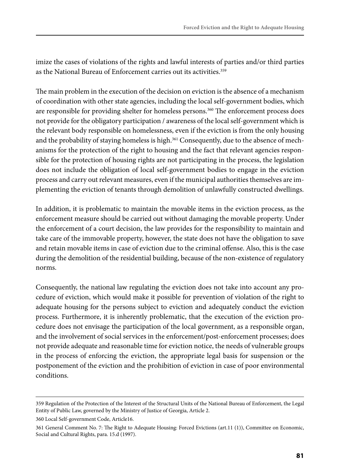imize the cases of violations of the rights and lawful interests of parties and/or third parties as the National Bureau of Enforcement carries out its activities.<sup>359</sup>

The main problem in the execution of the decision on eviction is the absence of a mechanism of coordination with other state agencies, including the local self-government bodies, which are responsible for providing shelter for homeless persons.<sup>360</sup> The enforcement process does not provide for the obligatory participation / awareness of the local self-government which is the relevant body responsible on homelessness, even if the eviction is from the only housing and the probability of staying homeless is high.<sup>361</sup> Consequently, due to the absence of mechanisms for the protection of the right to housing and the fact that relevant agencies responsible for the protection of housing rights are not participating in the process, the legislation does not include the obligation of local self-government bodies to engage in the eviction process and carry out relevant measures, even if the municipal authorities themselves are implementing the eviction of tenants through demolition of unlawfully constructed dwellings.

In addition, it is problematic to maintain the movable items in the eviction process, as the enforcement measure should be carried out without damaging the movable property. Under the enforcement of a court decision, the law provides for the responsibility to maintain and take care of the immovable property, however, the state does not have the obligation to save and retain movable items in case of eviction due to the criminal offense. Also, this is the case during the demolition of the residential building, because of the non-existence of regulatory norms.

Consequently, the national law regulating the eviction does not take into account any procedure of eviction, which would make it possible for prevention of violation of the right to adequate housing for the persons subject to eviction and adequately conduct the eviction process. Furthermore, it is inherently problematic, that the execution of the eviction procedure does not envisage the participation of the local government, as a responsible organ, and the involvement of social services in the enforcement/post-enforcement processes; does not provide adequate and reasonable time for eviction notice, the needs of vulnerable groups in the process of enforcing the eviction, the appropriate legal basis for suspension or the postponement of the eviction and the prohibition of eviction in case of poor environmental conditions.

<sup>359</sup> Regulation of the Protection of the Interest of the Structural Units of the National Bureau of Enforcement, the Legal Entity of Public Law, governed by the Ministry of Justice of Georgia, Article 2.

<sup>360</sup> Local Self-government Code, Article16.

<sup>361</sup> General Comment No. 7: The Right to Adequate Housing: Forced Evictions (art.11 (1)), Committee on Economic, Social and Cultural Rights, para. 15.d (1997).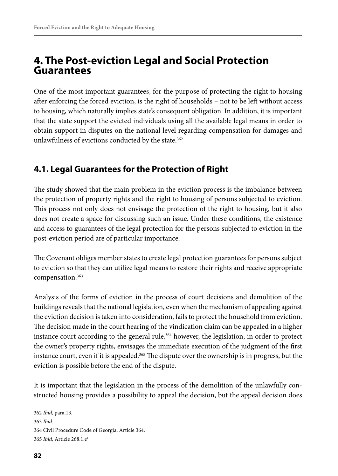## **4. The Post-eviction Legal and Social Protection Guarantees**

One of the most important guarantees, for the purpose of protecting the right to housing after enforcing the forced eviction, is the right of households – not to be left without access to housing, which naturally implies state's consequent obligation. In addition, it is important that the state support the evicted individuals using all the available legal means in order to obtain support in disputes on the national level regarding compensation for damages and unlawfulness of evictions conducted by the state.<sup>362</sup>

## **4.1. Legal Guarantees for the Protection of Right**

The study showed that the main problem in the eviction process is the imbalance between the protection of property rights and the right to housing of persons subjected to eviction. This process not only does not envisage the protection of the right to housing, but it also does not create a space for discussing such an issue. Under these conditions, the existence and access to guarantees of the legal protection for the persons subjected to eviction in the post-eviction period are of particular importance.

The Covenant obliges member states to create legal protection guarantees for persons subject to eviction so that they can utilize legal means to restore their rights and receive appropriate compensation.363

Analysis of the forms of eviction in the process of court decisions and demolition of the buildings reveals that the national legislation, even when the mechanism of appealing against the eviction decision is taken into consideration, fails to protect the household from eviction. The decision made in the court hearing of the vindication claim can be appealed in a higher instance court according to the general rule,<sup>364</sup> however, the legislation, in order to protect the owner's property rights, envisages the immediate execution of the judgment of the first instance court, even if it is appealed.<sup>365</sup> The dispute over the ownership is in progress, but the eviction is possible before the end of the dispute.

It is important that the legislation in the process of the demolition of the unlawfully constructed housing provides a possibility to appeal the decision, but the appeal decision does

<sup>362</sup> *Ibid*, para.13.

<sup>363</sup> *Ibid*.

<sup>364</sup> Civil Procedure Code of Georgia, Article 364.

<sup>365</sup> *Ibid*, Article 268.1.e1 .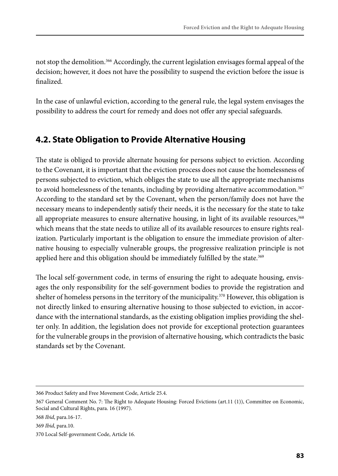not stop the demolition.366 Accordingly, the current legislation envisages formal appeal of the decision; however, it does not have the possibility to suspend the eviction before the issue is finalized.

In the case of unlawful eviction, according to the general rule, the legal system envisages the possibility to address the court for remedy and does not offer any special safeguards.

## **4.2. State Obligation to Provide Alternative Housing**

The state is obliged to provide alternate housing for persons subject to eviction. According to the Covenant, it is important that the eviction process does not cause the homelessness of persons subjected to eviction, which obliges the state to use all the appropriate mechanisms to avoid homelessness of the tenants, including by providing alternative accommodation.<sup>367</sup> According to the standard set by the Covenant, when the person/family does not have the necessary means to independently satisfy their needs, it is the necessary for the state to take all appropriate measures to ensure alternative housing, in light of its available resources,<sup>368</sup> which means that the state needs to utilize all of its available resources to ensure rights realization. Particularly important is the obligation to ensure the immediate provision of alternative housing to especially vulnerable groups, the progressive realization principle is not applied here and this obligation should be immediately fulfilled by the state.<sup>369</sup>

The local self-government code, in terms of ensuring the right to adequate housing, envisages the only responsibility for the self-government bodies to provide the registration and shelter of homeless persons in the territory of the municipality.<sup>370</sup> However, this obligation is not directly linked to ensuring alternative housing to those subjected to eviction, in accordance with the international standards, as the existing obligation implies providing the shelter only. In addition, the legislation does not provide for exceptional protection guarantees for the vulnerable groups in the provision of alternative housing, which contradicts the basic standards set by the Covenant.

<sup>366</sup> Product Safety and Free Movement Code, Article 25.4.

<sup>367</sup> General Comment No. 7: The Right to Adequate Housing: Forced Evictions (art.11 (1)), Committee on Economic, Social and Cultural Rights, para. 16 (1997).

<sup>368</sup> *Ibid*, para.16-17.

<sup>369</sup> *Ibid*, para.10.

<sup>370</sup> Local Self-government Code, Article 16.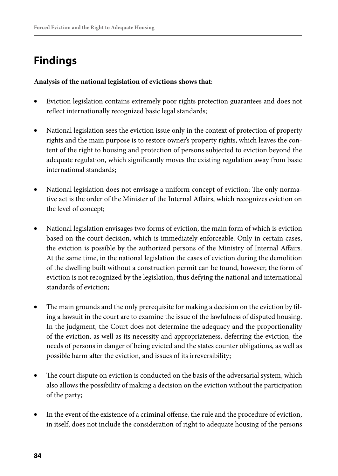# **Findings**

#### **Analysis of the national legislation of evictions shows that**:

- Eviction legislation contains extremely poor rights protection guarantees and does not reflect internationally recognized basic legal standards;
- National legislation sees the eviction issue only in the context of protection of property rights and the main purpose is to restore owner's property rights, which leaves the content of the right to housing and protection of persons subjected to eviction beyond the adequate regulation, which significantly moves the existing regulation away from basic international standards;
- National legislation does not envisage a uniform concept of eviction; The only normative act is the order of the Minister of the Internal Affairs, which recognizes eviction on the level of concept;
- National legislation envisages two forms of eviction, the main form of which is eviction based on the court decision, which is immediately enforceable. Only in certain cases, the eviction is possible by the authorized persons of the Ministry of Internal Affairs. At the same time, in the national legislation the cases of eviction during the demolition of the dwelling built without a construction permit can be found, however, the form of eviction is not recognized by the legislation, thus defying the national and international standards of eviction;
- The main grounds and the only prerequisite for making a decision on the eviction by filing a lawsuit in the court are to examine the issue of the lawfulness of disputed housing. In the judgment, the Court does not determine the adequacy and the proportionality of the eviction, as well as its necessity and appropriateness, deferring the eviction, the needs of persons in danger of being evicted and the states counter obligations, as well as possible harm after the eviction, and issues of its irreversibility;
- The court dispute on eviction is conducted on the basis of the adversarial system, which also allows the possibility of making a decision on the eviction without the participation of the party;
- In the event of the existence of a criminal offense, the rule and the procedure of eviction, in itself, does not include the consideration of right to adequate housing of the persons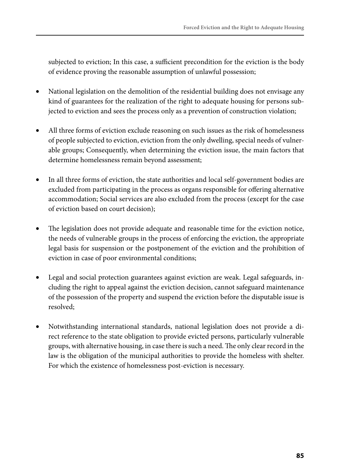subjected to eviction; In this case, a sufficient precondition for the eviction is the body of evidence proving the reasonable assumption of unlawful possession;

- National legislation on the demolition of the residential building does not envisage any kind of guarantees for the realization of the right to adequate housing for persons subjected to eviction and sees the process only as a prevention of construction violation;
- All three forms of eviction exclude reasoning on such issues as the risk of homelessness of people subjected to eviction, eviction from the only dwelling, special needs of vulnerable groups; Consequently, when determining the eviction issue, the main factors that determine homelessness remain beyond assessment;
- In all three forms of eviction, the state authorities and local self-government bodies are excluded from participating in the process as organs responsible for offering alternative accommodation; Social services are also excluded from the process (except for the case of eviction based on court decision);
- The legislation does not provide adequate and reasonable time for the eviction notice, the needs of vulnerable groups in the process of enforcing the eviction, the appropriate legal basis for suspension or the postponement of the eviction and the prohibition of eviction in case of poor environmental conditions;
- Legal and social protection guarantees against eviction are weak. Legal safeguards, including the right to appeal against the eviction decision, cannot safeguard maintenance of the possession of the property and suspend the eviction before the disputable issue is resolved;
- Notwithstanding international standards, national legislation does not provide a direct reference to the state obligation to provide evicted persons, particularly vulnerable groups, with alternative housing, in case there is such a need. The only clear record in the law is the obligation of the municipal authorities to provide the homeless with shelter. For which the existence of homelessness post-eviction is necessary.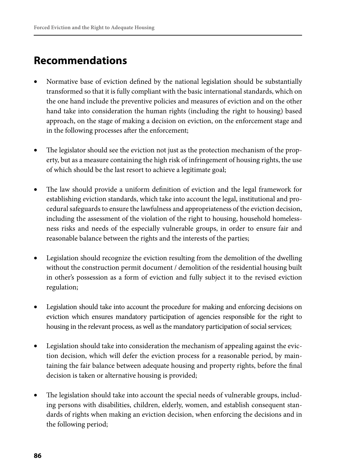## **Recommendations**

- Normative base of eviction defined by the national legislation should be substantially transformed so that it is fully compliant with the basic international standards, which on the one hand include the preventive policies and measures of eviction and on the other hand take into consideration the human rights (including the right to housing) based approach, on the stage of making a decision on eviction, on the enforcement stage and in the following processes after the enforcement;
- The legislator should see the eviction not just as the protection mechanism of the property, but as a measure containing the high risk of infringement of housing rights, the use of which should be the last resort to achieve a legitimate goal;
- The law should provide a uniform definition of eviction and the legal framework for establishing eviction standards, which take into account the legal, institutional and procedural safeguards to ensure the lawfulness and appropriateness of the eviction decision, including the assessment of the violation of the right to housing, household homelessness risks and needs of the especially vulnerable groups, in order to ensure fair and reasonable balance between the rights and the interests of the parties;
- Legislation should recognize the eviction resulting from the demolition of the dwelling without the construction permit document / demolition of the residential housing built in other's possession as a form of eviction and fully subject it to the revised eviction regulation;
- Legislation should take into account the procedure for making and enforcing decisions on eviction which ensures mandatory participation of agencies responsible for the right to housing in the relevant process, as well as the mandatory participation of social services;
- Legislation should take into consideration the mechanism of appealing against the eviction decision, which will defer the eviction process for a reasonable period, by maintaining the fair balance between adequate housing and property rights, before the final decision is taken or alternative housing is provided;
- The legislation should take into account the special needs of vulnerable groups, including persons with disabilities, children, elderly, women, and establish consequent standards of rights when making an eviction decision, when enforcing the decisions and in the following period;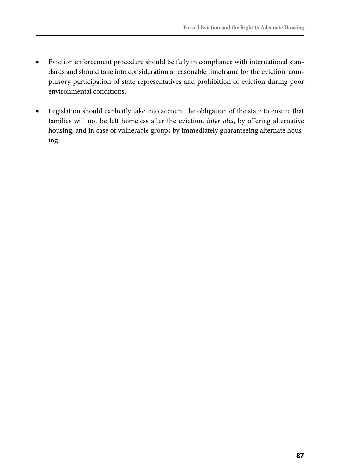- Eviction enforcement procedure should be fully in compliance with international standards and should take into consideration a reasonable timeframe for the eviction, compulsory participation of state representatives and prohibition of eviction during poor environmental conditions;
- • Legislation should explicitly take into account the obligation of the state to ensure that families will not be left homeless after the eviction, *inter alia*, by offering alternative housing, and in case of vulnerable groups by immediately guaranteeing alternate housing.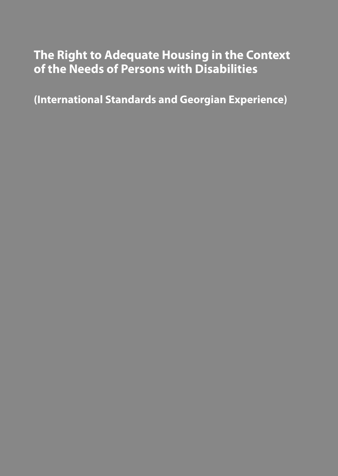# **The Right to Adequate Housing in the Context of the Needs of Persons with Disabilities**

**(International Standards and Georgian Experience)**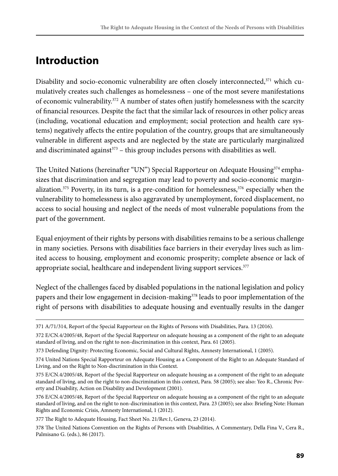## **Introduction**

Disability and socio-economic vulnerability are often closely interconnected,<sup>371</sup> which cumulatively creates such challenges as homelessness – one of the most severe manifestations of economic vulnerability.<sup>372</sup> A number of states often justify homelessness with the scarcity of financial resources. Despite the fact that the similar lack of resources in other policy areas (including, vocational education and employment; social protection and health care systems) negatively affects the entire population of the country, groups that are simultaneously vulnerable in different aspects and are neglected by the state are particularly marginalized and discriminated against<sup>373</sup> – this group includes persons with disabilities as well.

The United Nations (hereinafter "UN") Special Rapporteur on Adequate Housing<sup>374</sup> emphasizes that discrimination and segregation may lead to poverty and socio-economic marginalization.<sup>375</sup> Poverty, in its turn, is a pre-condition for homelessness,<sup>376</sup> especially when the vulnerability to homelessness is also aggravated by unemployment, forced displacement, no access to social housing and neglect of the needs of most vulnerable populations from the part of the government.

Equal enjoyment of their rights by persons with disabilities remains to be a serious challenge in many societies. Persons with disabilities face barriers in their everyday lives such as limited access to housing, employment and economic prosperity; complete absence or lack of appropriate social, healthcare and independent living support services.<sup>377</sup>

Neglect of the challenges faced by disabled populations in the national legislation and policy papers and their low engagement in decision-making<sup>378</sup> leads to poor implementation of the right of persons with disabilities to adequate housing and eventually results in the danger

<sup>371</sup> A/71/314, Report of the Special Rapporteur on the Rights of Persons with Disabilities, Para. 13 (2016).

<sup>372</sup> E/CN.4/2005/48, Report of the Special Rapporteur on adequate housing as a component of the right to an adequate standard of living, and on the right to non-discrimination in this context, Para. 61 (2005).

<sup>373</sup> Defending Dignity: Protecting Economic, Social and Cultural Rights, Amnesty International, 1 (2005).

<sup>374</sup> United Nations Special Rapporteur on Adequate Housing as a Component of the Right to an Adequate Standard of Living, and on the Right to Non-discrimination in this Context.

<sup>375</sup> E/CN.4/2005/48, Report of the Special Rapporteur on adequate housing as a component of the right to an adequate standard of living, and on the right to non-discrimination in this context, Para. 58 (2005); see also: Yeo R., Chronic Poverty and Disability, Action on Disability and Development (2001).

<sup>376</sup> E/CN.4/2005/48, Report of the Special Rapporteur on adequate housing as a component of the right to an adequate standard of living, and on the right to non-discrimination in this context, Para. 23 (2005); see also: Briefing Note: Human Rights and Economic Crisis, Amnesty International, 1 (2012).

<sup>377</sup> The Right to Adequate Housing, Fact Sheet No. 21/Rev.1, Geneva, 23 (2014).

<sup>378</sup> The United Nations Convention on the Rights of Persons with Disabilities, A Commentary, Della Fina V., Cera R., Palmisano G. (eds.), 86 (2017).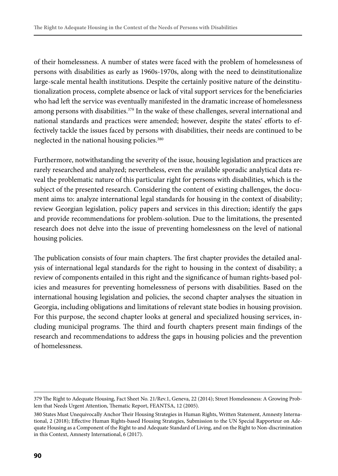of their homelessness. A number of states were faced with the problem of homelessness of persons with disabilities as early as 1960s-1970s, along with the need to deinstitutionalize large-scale mental health institutions. Despite the certainly positive nature of the deinstitutionalization process, complete absence or lack of vital support services for the beneficiaries who had left the service was eventually manifested in the dramatic increase of homelessness among persons with disabilities.<sup>379</sup> In the wake of these challenges, several international and national standards and practices were amended; however, despite the states' efforts to effectively tackle the issues faced by persons with disabilities, their needs are continued to be neglected in the national housing policies.<sup>380</sup>

Furthermore, notwithstanding the severity of the issue, housing legislation and practices are rarely researched and analyzed; nevertheless, even the available sporadic analytical data reveal the problematic nature of this particular right for persons with disabilities, which is the subject of the presented research. Considering the content of existing challenges, the document aims to: analyze international legal standards for housing in the context of disability; review Georgian legislation, policy papers and services in this direction; identify the gaps and provide recommendations for problem-solution. Due to the limitations, the presented research does not delve into the issue of preventing homelessness on the level of national housing policies.

The publication consists of four main chapters. The first chapter provides the detailed analysis of international legal standards for the right to housing in the context of disability; a review of components entailed in this right and the significance of human rights-based policies and measures for preventing homelessness of persons with disabilities. Based on the international housing legislation and policies, the second chapter analyses the situation in Georgia, including obligations and limitations of relevant state bodies in housing provision. For this purpose, the second chapter looks at general and specialized housing services, including municipal programs. The third and fourth chapters present main findings of the research and recommendations to address the gaps in housing policies and the prevention of homelessness.

<sup>379</sup> The Right to Adequate Housing, Fact Sheet No. 21/Rev.1, Geneva, 22 (2014); Street Homelessness: A Growing Problem that Needs Urgent Attention, Thematic Report, FEANTSA, 12 (2005).

<sup>380</sup> States Must Unequivocally Anchor Their Housing Strategies in Human Rights, Written Statement, Amnesty International, 2 (2018); Effective Human Rights-based Housing Strategies, Submission to the UN Special Rapporteur on Adequate Housing as a Component of the Right to and Adequate Standard of Living, and on the Right to Non-discrimination in this Context, Amnesty International, 6 (2017).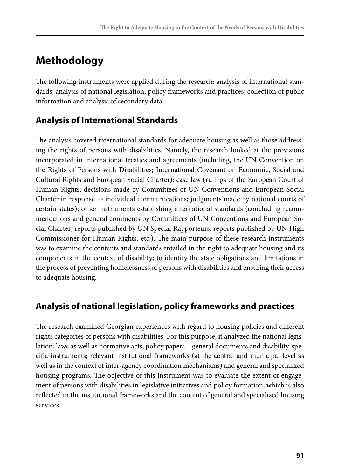## **Methodology**

The following instruments were applied during the research: analysis of international standards; analysis of national legislation, policy frameworks and practices; collection of public information and analysis of secondary data.

## **Analysis of International Standards**

The analysis covered international standards for adequate housing as well as those addressing the rights of persons with disabilities. Namely, the research looked at the provisions incorporated in international treaties and agreements (including, the UN Convention on the Rights of Persons with Disabilities; International Covenant on Economic, Social and Cultural Rights and European Social Charter); case law (rulings of the European Court of Human Rights; decisions made by Committees of UN Conventions and European Social Charter in response to individual communications; judgments made by national courts of certain states); other instruments establishing international standards (concluding recommendations and general comments by Committees of UN Conventions and European Social Charter; reports published by UN Special Rapporteurs; reports published by UN High Commissioner for Human Rights, etc.). The main purpose of these research instruments was to examine the contents and standards entailed in the right to adequate housing and its components in the context of disability; to identify the state obligations and limitations in the process of preventing homelessness of persons with disabilities and ensuring their access to adequate housing.

## **Analysis of national legislation, policy frameworks and practices**

The research examined Georgian experiences with regard to housing policies and different rights categories of persons with disabilities. For this purpose, it analyzed the national legislation: laws as well as normative acts; policy papers – general documents and disability-specific instruments; relevant institutional frameworks (at the central and municipal level as well as in the context of inter-agency coordination mechanisms) and general and specialized housing programs. The objective of this instrument was to evaluate the extent of engagement of persons with disabilities in legislative initiatives and policy formation, which is also reflected in the institutional frameworks and the content of general and specialized housing services.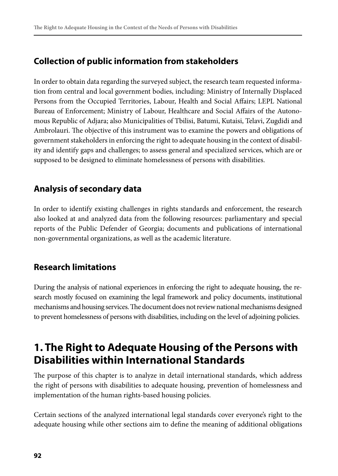### **Collection of public information from stakeholders**

In order to obtain data regarding the surveyed subject, the research team requested information from central and local government bodies, including: Ministry of Internally Displaced Persons from the Occupied Territories, Labour, Health and Social Affairs; LEPL National Bureau of Enforcement; Ministry of Labour, Healthcare and Social Affairs of the Autonomous Republic of Adjara; also Municipalities of Tbilisi, Batumi, Kutaisi, Telavi, Zugdidi and Ambrolauri. The objective of this instrument was to examine the powers and obligations of government stakeholders in enforcing the right to adequate housing in the context of disability and identify gaps and challenges; to assess general and specialized services, which are or supposed to be designed to eliminate homelessness of persons with disabilities.

## **Analysis of secondary data**

In order to identify existing challenges in rights standards and enforcement, the research also looked at and analyzed data from the following resources: parliamentary and special reports of the Public Defender of Georgia; documents and publications of international non-governmental organizations, as well as the academic literature.

## **Research limitations**

During the analysis of national experiences in enforcing the right to adequate housing, the research mostly focused on examining the legal framework and policy documents, institutional mechanisms and housing services. The document does not review national mechanisms designed to prevent homelessness of persons with disabilities, including on the level of adjoining policies.

## **1. The Right to Adequate Housing of the Persons with Disabilities within International Standards**

The purpose of this chapter is to analyze in detail international standards, which address the right of persons with disabilities to adequate housing, prevention of homelessness and implementation of the human rights-based housing policies.

Certain sections of the analyzed international legal standards cover everyone's right to the adequate housing while other sections aim to define the meaning of additional obligations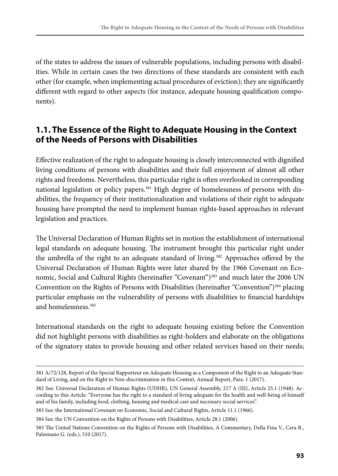of the states to address the issues of vulnerable populations, including persons with disabilities. While in certain cases the two directions of these standards are consistent with each other (for example, when implementing actual procedures of eviction); they are significantly different with regard to other aspects (for instance, adequate housing qualification components).

### **1.1. The Essence of the Right to Adequate Housing in the Context of the Needs of Persons with Disabilities**

Effective realization of the right to adequate housing is closely interconnected with dignified living conditions of persons with disabilities and their full enjoyment of almost all other rights and freedoms. Nevertheless, this particular right is often overlooked in corresponding national legislation or policy papers.<sup>381</sup> High degree of homelessness of persons with disabilities, the frequency of their institutionalization and violations of their right to adequate housing have prompted the need to implement human rights-based approaches in relevant legislation and practices.

The Universal Declaration of Human Rights set in motion the establishment of international legal standards on adequate housing. The instrument brought this particular right under the umbrella of the right to an adequate standard of living.<sup>382</sup> Approaches offered by the Universal Declaration of Human Rights were later shared by the 1966 Covenant on Economic, Social and Cultural Rights (hereinafter "Covenant")<sup>383</sup> and much later the 2006 UN Convention on the Rights of Persons with Disabilities (hereinafter "Convention")<sup>384</sup> placing particular emphasis on the vulnerability of persons with disabilities to financial hardships and homelessness.385

International standards on the right to adequate housing existing before the Convention did not highlight persons with disabilities as right-holders and elaborate on the obligations of the signatory states to provide housing and other related services based on their needs;

<sup>381</sup> A/72/128, Report of the Special Rapporteur on Adequate Housing as a Component of the Right to an Adequate Standard of Living, and on the Right to Non-discrimination in this Context, Annual Report, Para. 1 (2017).

<sup>382</sup> See: Universal Declaration of Human Rights (UDHR), UN General Assembly, 217 A (III), Article 25.1 (1948). According to this Article: "Everyone has the right to a standard of living adequate for the health and well-being of himself and of his family, including food, clothing, housing and medical care and necessary social services".

<sup>383</sup> See: the International Covenant on Economic, Social and Cultural Rights, Article 11.1 (1966).

<sup>384</sup> See: the UN Convention on the Rights of Persons with Disabilities, Article 28.1 (2006).

<sup>385</sup> The United Nations Convention on the Rights of Persons with Disabilities, A Commentary, Della Fina V., Cera R., Palmisano G. (eds.), 510 (2017).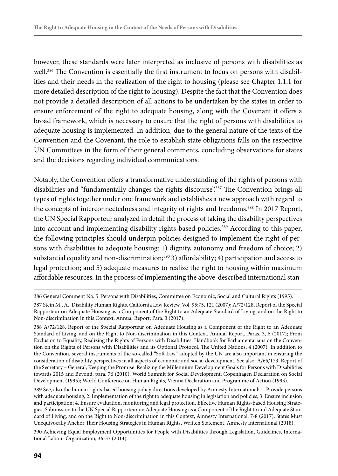however, these standards were later interpreted as inclusive of persons with disabilities as well.<sup>386</sup> The Convention is essentially the first instrument to focus on persons with disabilities and their needs in the realization of the right to housing (please see Chapter 1.1.1 for more detailed description of the right to housing). Despite the fact that the Convention does not provide a detailed description of all actions to be undertaken by the states in order to ensure enforcement of the right to adequate housing, along with the Covenant it offers a broad framework, which is necessary to ensure that the right of persons with disabilities to adequate housing is implemented. In addition, due to the general nature of the texts of the Convention and the Covenant, the role to establish state obligations falls on the respective UN Committees in the form of their general comments, concluding observations for states and the decisions regarding individual communications.

Notably, the Convention offers a transformative understanding of the rights of persons with disabilities and "fundamentally changes the rights discourse".387 The Convention brings all types of rights together under one framework and establishes a new approach with regard to the concepts of interconnectedness and integrity of rights and freedoms.<sup>388</sup> In 2017 Report, the UN Special Rapporteur analyzed in detail the process of taking the disability perspectives into account and implementing disability rights-based policies.<sup>389</sup> According to this paper, the following principles should underpin policies designed to implement the right of persons with disabilities to adequate housing: 1) dignity, autonomy and freedom of choice; 2) substantial equality and non-discrimination;<sup>390</sup> 3) affordability; 4) participation and access to legal protection; and 5) adequate measures to realize the right to housing within maximum affordable resources. In the process of implementing the above-described international stan-

390 Achieving Equal Employment Opportunities for People with Disabilities through Legislation, Guidelines, International Labour Organization, 36-37 (2014).

<sup>386</sup> General Comment No. 5: Persons with Disabilities, Committee on Economic, Social and Cultural Rights (1995).

<sup>387</sup> Stein M., A., Disability Human Rights, California Law Review, Vol. 95:75, 121 (2007); A/72/128, Report of the Special Rapporteur on Adequate Housing as a Component of the Right to an Adequate Standard of Living, and on the Right to Non-discrimination in this Context, Annual Report, Para. 3 (2017).

<sup>388</sup> A/72/128, Report of the Special Rapporteur on Adequate Housing as a Component of the Right to an Adequate Standard of Living, and on the Right to Non-discrimination in this Context, Annual Report, Paras. 3, 6 (2017); From Exclusion to Equality, Realizing the Rights of Persons with Disabilities, Handbook for Parliamentarians on the Convention on the Rights of Persons with Disabilities and its Optional Protocol, The United Nations, 4 (2007). In addition to the Convention, several instruments of the so-called "Soft Law" adopted by the UN are also important in ensuring the consideration of disability perspectives in all aspects of economic and social development. See also: A/65/173, Report of the Secretary – General, Keeping the Promise: Realizing the Millennium Development Goals for Persons with Disabilities towards 2015 and Beyond, para. 76 (2010); World Summit for Social Development, Copenhagen Declaration on Social Development (1995); World Conference on Human Rights, Vienna Declaration and Programme of Action (1993).

<sup>389</sup> See, also the human rights-based housing policy directions developed by Amnesty International: 1. Provide persons with adequate housing; 2. Implementation of the right to adequate housing in legislation and policies; 3. Ensure inclusion and participation; 4. Ensure evaluation, monitoring and legal protection. Effective Human Rights-based Housing Strategies, Submission to the UN Special Rapporteur on Adequate Housing as a Component of the Right to and Adequate Standard of Living, and on the Right to Non-discrimination in this Context, Amnesty International, 7-8 (2017); States Must Unequivocally Anchor Their Housing Strategies in Human Rights, Written Statement, Amnesty International (2018).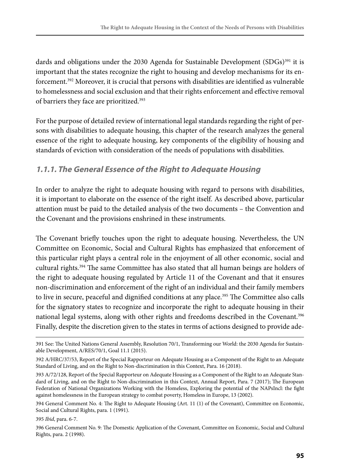dards and obligations under the 2030 Agenda for Sustainable Development (SDGs)<sup>391</sup> it is important that the states recognize the right to housing and develop mechanisms for its enforcement.<sup>392</sup> Moreover, it is crucial that persons with disabilities are identified as vulnerable to homelessness and social exclusion and that their rights enforcement and effective removal of barriers they face are prioritized.<sup>393</sup>

For the purpose of detailed review of international legal standards regarding the right of persons with disabilities to adequate housing, this chapter of the research analyzes the general essence of the right to adequate housing, key components of the eligibility of housing and standards of eviction with consideration of the needs of populations with disabilities.

#### **1.1.1. The General Essence of the Right to Adequate Housing**

In order to analyze the right to adequate housing with regard to persons with disabilities, it is important to elaborate on the essence of the right itself. As described above, particular attention must be paid to the detailed analysis of the two documents – the Convention and the Covenant and the provisions enshrined in these instruments.

The Covenant briefly touches upon the right to adequate housing. Nevertheless, the UN Committee on Economic, Social and Cultural Rights has emphasized that enforcement of this particular right plays a central role in the enjoyment of all other economic, social and cultural rights.394 The same Committee has also stated that all human beings are holders of the right to adequate housing regulated by Article 11 of the Covenant and that it ensures non-discrimination and enforcement of the right of an individual and their family members to live in secure, peaceful and dignified conditions at any place.<sup>395</sup> The Committee also calls for the signatory states to recognize and incorporate the right to adequate housing in their national legal systems, along with other rights and freedoms described in the Covenant.<sup>396</sup> Finally, despite the discretion given to the states in terms of actions designed to provide ade-

395 *Ibid*, para. 6-7.

<sup>391</sup> See: The United Nations General Assembly, Resolution 70/1, Transforming our World: the 2030 Agenda for Sustainable Development, A/RES/70/1, Goal 11.1 (2015).

<sup>392</sup> A/HRC/37/53, Report of the Special Rapporteur on Adequate Housing as a Component of the Right to an Adequate Standard of Living, and on the Right to Non-discrimination in this Context, Para. 16 (2018).

<sup>393</sup> A/72/128, Report of the Special Rapporteur on Adequate Housing as a Component of the Right to an Adequate Standard of Living, and on the Right to Non-discrimination in this Context, Annual Report, Para. 7 (2017); The European Federation of National Organizations Working with the Homeless, Exploring the potential of the NAPsIncl: the fight against homelessness in the European strategy to combat poverty, Homeless in Europe, 13 (2002).

<sup>394</sup> General Comment No. 4: The Right to Adequate Housing (Art. 11 (1) of the Covenant), Committee on Economic, Social and Cultural Rights, para. 1 (1991).

<sup>396</sup> General Comment No. 9: The Domestic Application of the Covenant, Committee on Economic, Social and Cultural Rights, para. 2 (1998).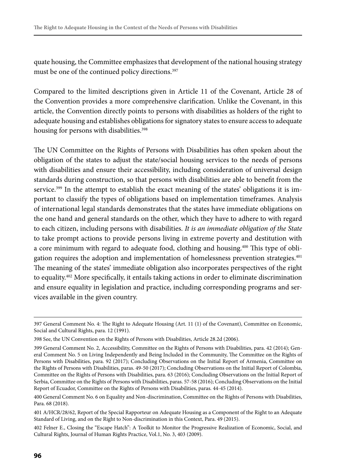quate housing, the Committee emphasizes that development of the national housing strategy must be one of the continued policy directions.<sup>397</sup>

Compared to the limited descriptions given in Article 11 of the Covenant, Article 28 of the Convention provides a more comprehensive clarification. Unlike the Covenant, in this article, the Convention directly points to persons with disabilities as holders of the right to adequate housing and establishes obligations for signatory states to ensure access to adequate housing for persons with disabilities.<sup>398</sup>

The UN Committee on the Rights of Persons with Disabilities has often spoken about the obligation of the states to adjust the state/social housing services to the needs of persons with disabilities and ensure their accessibility, including consideration of universal design standards during construction, so that persons with disabilities are able to benefit from the service.<sup>399</sup> In the attempt to establish the exact meaning of the states' obligations it is important to classify the types of obligations based on implementation timeframes. Analysis of international legal standards demonstrates that the states have immediate obligations on the one hand and general standards on the other, which they have to adhere to with regard to each citizen, including persons with disabilities. *It is an immediate obligation of the State* to take prompt actions to provide persons living in extreme poverty and destitution with a core minimum with regard to adequate food, clothing and housing.400 This type of obligation requires the adoption and implementation of homelessness prevention strategies.401 The meaning of the states' immediate obligation also incorporates perspectives of the right to equality.402 More specifically, it entails taking actions in order to eliminate discrimination and ensure equality in legislation and practice, including corresponding programs and services available in the given country.

<sup>397</sup> General Comment No. 4: The Right to Adequate Housing (Art. 11 (1) of the Covenant), Committee on Economic, Social and Cultural Rights, para. 12 (1991).

<sup>398</sup> See, the UN Convention on the Rights of Persons with Disabilities, Article 28.2d (2006).

<sup>399</sup> General Comment No. 2, Accessibility, Committee on the Rights of Persons with Disabilities, para. 42 (2014); General Comment No. 5 on Living Independently and Being Included in the Community, The Committee on the Rights of Persons with Disabilities, para. 92 (2017); Concluding Observations on the Initial Report of Armenia, Committee on the Rights of Persons with Disabilities, paras. 49-50 (2017); Concluding Observations on the Initial Report of Colombia, Committee on the Rights of Persons with Disabilities, para. 63 (2016); Concluding Observations on the Initial Report of Serbia, Committee on the Rights of Persons with Disabilities, paras. 57-58 (2016); Concluding Observations on the Initial Report of Ecuador, Committee on the Rights of Persons with Disabilities, paras. 44-45 (2014).

<sup>400</sup> General Comment No. 6 on Equality and Non-discrimination, Committee on the Rights of Persons with Disabilities, Para. 68 (2018).

<sup>401</sup> A/HCR/28/62, Report of the Special Rapporteur on Adequate Housing as a Component of the Right to an Adequate Standard of Living, and on the Right to Non-discrimination in this Context, Para. 49 (2015).

<sup>402</sup> Felner E., Closing the "Escape Hatch": A Toolkit to Monitor the Progressive Realization of Economic, Social, and Cultural Rights, Journal of Human Rights Practice, Vol.1, No. 3, 403 (2009).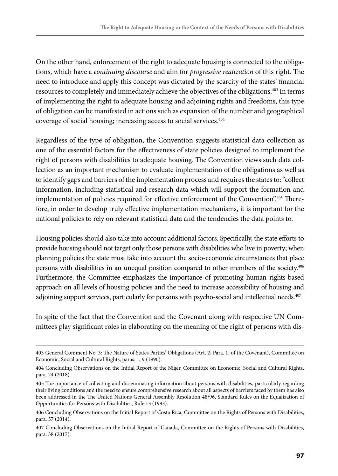On the other hand, enforcement of the right to adequate housing is connected to the obligations, which have a *continuing discourse* and aim for *progressive realization* of this right. The need to introduce and apply this concept was dictated by the scarcity of the states' financial resources to completely and immediately achieve the objectives of the obligations.<sup>403</sup> In terms of implementing the right to adequate housing and adjoining rights and freedoms, this type of obligation can be manifested in actions such as expansion of the number and geographical coverage of social housing; increasing access to social services.<sup>404</sup>

Regardless of the type of obligation, the Convention suggests statistical data collection as one of the essential factors for the effectiveness of state policies designed to implement the right of persons with disabilities to adequate housing. The Convention views such data collection as an important mechanism to evaluate implementation of the obligations as well as to identify gaps and barriers of the implementation process and requires the states to: "collect information, including statistical and research data which will support the formation and implementation of policies required for effective enforcement of the Convention".405 Therefore, in order to develop truly effective implementation mechanisms, it is important for the national policies to rely on relevant statistical data and the tendencies the data points to.

Housing policies should also take into account additional factors. Specifically, the state efforts to provide housing should not target only those persons with disabilities who live in poverty; when planning policies the state must take into account the socio-economic circumstances that place persons with disabilities in an unequal position compared to other members of the society.406 Furthermore, the Committee emphasizes the importance of promoting human rights-based approach on all levels of housing policies and the need to increase accessibility of housing and adjoining support services, particularly for persons with psycho-social and intellectual needs.<sup>407</sup>

In spite of the fact that the Convention and the Covenant along with respective UN Committees play significant roles in elaborating on the meaning of the right of persons with dis-

<sup>403</sup> General Comment No. 3: The Nature of States Parties' Obligations (Art. 2, Para. 1, of the Covenant), Committee on Economic, Social and Cultural Rights, paras. 1, 9 (1990).

<sup>404</sup> Concluding Observations on the Initial Report of the Niger, Committee on Economic, Social and Cultural Rights, para. 24 (2018).

<sup>405</sup> The importance of collecting and disseminating information about persons with disabilities, particularly regarding their living conditions and the need to ensure comprehensive research about all aspects of barriers faced by them has also been addressed in the The United Nations General Assembly Resolution 48/96, Standard Rules on the Equalization of Opportunities for Persons with Disabilities, Rule 13 (1993).

<sup>406</sup> Concluding Observations on the Initial Report of Costa Rica, Committee on the Rights of Persons with Disabilities, para. 57 (2014).

<sup>407</sup> Concluding Observations on the Initial Report of Canada, Committee on the Rights of Persons with Disabilities, para. 38 (2017).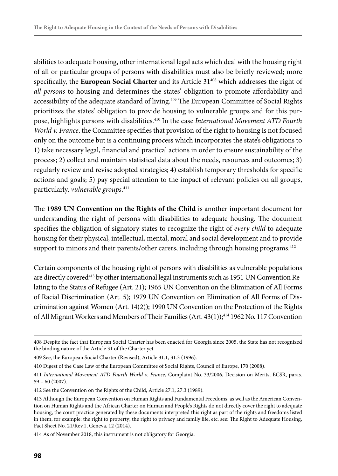abilities to adequate housing, other international legal acts which deal with the housing right of all or particular groups of persons with disabilities must also be briefly reviewed; more specifically, the **European Social Charter** and its Article 31<sup>408</sup> which addresses the right of *all persons* to housing and determines the states' obligation to promote affordability and accessibility of the adequate standard of living.<sup>409</sup> The European Committee of Social Rights prioritizes the states' obligation to provide housing to vulnerable groups and for this purpose, highlights persons with disabilities.410 In the case *International Movement ATD Fourth World v. France*, the Committee specifies that provision of the right to housing is not focused only on the outcome but is a continuing process which incorporates the state's obligations to 1) take necessary legal, financial and practical actions in order to ensure sustainability of the process; 2) collect and maintain statistical data about the needs, resources and outcomes; 3) regularly review and revise adopted strategies; 4) establish temporary thresholds for specific actions and goals; 5) pay special attention to the impact of relevant policies on all groups, particularly, *vulnerable groups*. 411

The **1989 UN Convention on the Rights of the Child** is another important document for understanding the right of persons with disabilities to adequate housing. The document specifies the obligation of signatory states to recognize the right of *every child* to adequate housing for their physical, intellectual, mental, moral and social development and to provide support to minors and their parents/other carers, including through housing programs.<sup>412</sup>

Certain components of the housing right of persons with disabilities as vulnerable populations are directly covered<sup>413</sup> by other international legal instruments such as 1951 UN Convention Relating to the Status of Refugee (Art. 21); 1965 UN Convention on the Elimination of All Forms of Racial Discrimination (Art. 5); 1979 UN Convention on Elimination of All Forms of Discrimination against Women (Art. 14(2)); 1990 UN Convention on the Protection of the Rights of All Migrant Workers and Members of Their Families (Art. 43(1));<sup>414</sup> 1962 No. 117 Convention

414 As of November 2018, this instrument is not obligatory for Georgia.

<sup>408</sup> Despite the fact that European Social Charter has been enacted for Georgia since 2005, the State has not recognized the binding nature of the Article 31 of the Charter yet.

<sup>409</sup> See, the European Social Charter (Revised), Article 31.1, 31.3 (1996).

<sup>410</sup> Digest of the Case Law of the European Committee of Social Rights, Council of Europe, 170 (2008).

<sup>411</sup> *International Movement ATD Fourth World v. France*, Complaint No. 33/2006, Decision on Merits, ECSR, paras. 59 – 60 (2007).

<sup>412</sup> See the Convention on the Rights of the Child, Article 27.1, 27.3 (1989).

<sup>413</sup> Although the European Convention on Human Rights and Fundamental Freedoms, as well as the American Convention on Human Rights and the African Charter on Human and People's Rights do not directly cover the right to adequate housing, the court practice generated by these documents interpreted this right as part of the rights and freedoms listed in them, for example: the right to property; the right to privacy and family life, etc. see: The Right to Adequate Housing, Fact Sheet No. 21/Rev.1, Geneva, 12 (2014).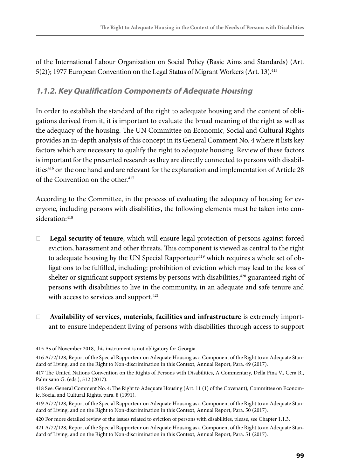of the International Labour Organization on Social Policy (Basic Aims and Standards) (Art. 5(2)); 1977 European Convention on the Legal Status of Migrant Workers (Art. 13).<sup>415</sup>

### **1.1.2. Key Qualification Components of Adequate Housing**

In order to establish the standard of the right to adequate housing and the content of obligations derived from it, it is important to evaluate the broad meaning of the right as well as the adequacy of the housing. The UN Committee on Economic, Social and Cultural Rights provides an in-depth analysis of this concept in its General Comment No. 4 where it lists key factors which are necessary to qualify the right to adequate housing. Review of these factors is important for the presented research as they are directly connected to persons with disabilities416 on the one hand and are relevant for the explanation and implementation of Article 28 of the Convention on the other.<sup>417</sup>

According to the Committee, in the process of evaluating the adequacy of housing for everyone, including persons with disabilities, the following elements must be taken into consideration: 418

- ❏ **Legal security of tenure**, which will ensure legal protection of persons against forced eviction, harassment and other threats. This component is viewed as central to the right to adequate housing by the UN Special Rapporteur<sup>419</sup> which requires a whole set of obligations to be fulfilled, including: prohibition of eviction which may lead to the loss of shelter or significant support systems by persons with disabilities; $420$  guaranteed right of persons with disabilities to live in the community, in an adequate and safe tenure and with access to services and support.<sup>421</sup>
- ❏ **Availability of services, materials, facilities and infrastructure** is extremely important to ensure independent living of persons with disabilities through access to support

<sup>415</sup> As of November 2018, this instrument is not obligatory for Georgia.

<sup>416</sup> A/72/128, Report of the Special Rapporteur on Adequate Housing as a Component of the Right to an Adequate Standard of Living, and on the Right to Non-discrimination in this Context, Annual Report, Para. 49 (2017).

<sup>417</sup> The United Nations Convention on the Rights of Persons with Disabilities, A Commentary, Della Fina V., Cera R., Palmisano G. (eds.), 512 (2017).

<sup>418</sup> See: General Comment No. 4: The Right to Adequate Housing (Art. 11 (1) of the Covenant), Committee on Economic, Social and Cultural Rights, para. 8 (1991).

<sup>419</sup> A/72/128, Report of the Special Rapporteur on Adequate Housing as a Component of the Right to an Adequate Standard of Living, and on the Right to Non-discrimination in this Context, Annual Report, Para. 50 (2017).

<sup>420</sup> For more detailed review of the issues related to eviction of persons with disabilities, please, see Chapter 1.1.3.

<sup>421</sup> A/72/128, Report of the Special Rapporteur on Adequate Housing as a Component of the Right to an Adequate Standard of Living, and on the Right to Non-discrimination in this Context, Annual Report, Para. 51 (2017).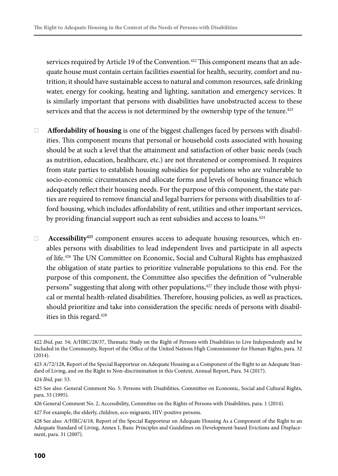services required by Article 19 of the Convention.<sup>422</sup> This component means that an adequate house must contain certain facilities essential for health, security, comfort and nutrition; it should have sustainable access to natural and common resources, safe drinking water, energy for cooking, heating and lighting, sanitation and emergency services. It is similarly important that persons with disabilities have unobstructed access to these services and that the access is not determined by the ownership type of the tenure.<sup>423</sup>

- ❏ **Affordability of housing** is one of the biggest challenges faced by persons with disabilities. This component means that personal or household costs associated with housing should be at such a level that the attainment and satisfaction of other basic needs (such as nutrition, education, healthcare, etc.) are not threatened or compromised. It requires from state parties to establish housing subsidies for populations who are vulnerable to socio-economic circumstances and allocate forms and levels of housing finance which adequately reflect their housing needs. For the purpose of this component, the state parties are required to remove financial and legal barriers for persons with disabilities to afford housing, which includes affordability of rent, utilities and other important services, by providing financial support such as rent subsidies and access to loans.<sup>424</sup>
- ❏ **Accessibility425** component ensures access to adequate housing resources, which enables persons with disabilities to lead independent lives and participate in all aspects of life.426 The UN Committee on Economic, Social and Cultural Rights has emphasized the obligation of state parties to prioritize vulnerable populations to this end. For the purpose of this component, the Committee also specifies the definition of "vulnerable persons" suggesting that along with other populations,<sup>427</sup> they include those with physical or mental health-related disabilities. Therefore, housing policies, as well as practices, should prioritize and take into consideration the specific needs of persons with disabilities in this regard.<sup>428</sup>

<sup>422</sup> *Ibid*, par. 54; A/HRC/28/37, Thematic Study on the Right of Persons with Disabilities to Live Independently and be Included in the Community, Report of the Office of the United Nations High Commissioner for Human Rights, para. 32 (2014).

<sup>423</sup> A/72/128, Report of the Special Rapporteur on Adequate Housing as a Component of the Right to an Adequate Standard of Living, and on the Right to Non-discrimination in this Context, Annual Report, Para. 54 (2017).

<sup>424</sup> *Ibid*, par. 53.

<sup>425</sup> See also: General Comment No. 5: Persons with Disabilities, Committee on Economic, Social and Cultural Rights, para. 33 (1995).

<sup>426</sup> General Comment No. 2, Accessibility, Committee on the Rights of Persons with Disabilities, para. 1 (2014).

<sup>427</sup> For example, the elderly, children, eco-migrants, HIV-positive persons.

<sup>428</sup> See also: A/HRC/4/18, Report of the Special Rapporteur on Adequate Housing As a Component of the Right to an Adequate Standard of Living, Annex I, Basic Principles and Guidelines on Development-based Evictions and Displacement, para. 31 (2007).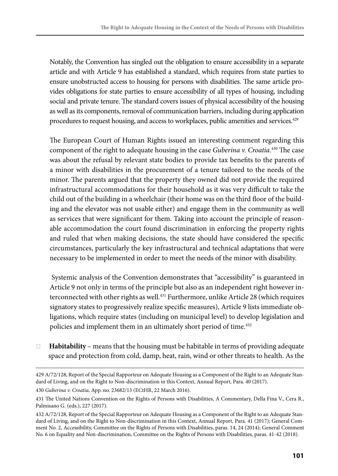Notably, the Convention has singled out the obligation to ensure accessibility in a separate article and with Article 9 has established a standard, which requires from state parties to ensure unobstructed access to housing for persons with disabilities. The same article provides obligations for state parties to ensure accessibility of all types of housing, including social and private tenure. The standard covers issues of physical accessibility of the housing as well as its components, removal of communication barriers, including during application procedures to request housing, and access to workplaces, public amenities and services.429

The European Court of Human Rights issued an interesting comment regarding this component of the right to adequate housing in the case *Guberina v. Croatia*. 430 The case was about the refusal by relevant state bodies to provide tax benefits to the parents of a minor with disabilities in the procurement of a tenure tailored to the needs of the minor. The parents argued that the property they owned did not provide the required infrastructural accommodations for their household as it was very difficult to take the child out of the building in a wheelchair (their home was on the third floor of the building and the elevator was not usable either) and engage them in the community as well as services that were significant for them. Taking into account the principle of reasonable accommodation the court found discrimination in enforcing the property rights and ruled that when making decisions, the state should have considered the specific circumstances, particularly the key infrastructural and technical adaptations that were necessary to be implemented in order to meet the needs of the minor with disability.

 Systemic analysis of the Convention demonstrates that "accessibility" is guaranteed in Article 9 not only in terms of the principle but also as an independent right however interconnected with other rights as well.431 Furthermore, unlike Article 28 (which requires signatory states to progressively realize specific measures), Article 9 lists immediate obligations, which require states (including on municipal level) to develop legislation and policies and implement them in an ultimately short period of time.<sup>432</sup>

❏ **Habitability** – means that the housing must be habitable in terms of providing adequate space and protection from cold, damp, heat, rain, wind or other threats to health. As the

430 *Guberina v. Croatia*, App. no. 23682/13 (ECtHR, 22 March 2016).

<sup>429</sup> A/72/128, Report of the Special Rapporteur on Adequate Housing as a Component of the Right to an Adequate Standard of Living, and on the Right to Non-discrimination in this Context, Annual Report, Para. 40 (2017).

<sup>431</sup> The United Nations Convention on the Rights of Persons with Disabilities, A Commentary, Della Fina V., Cera R., Palmisano G. (eds.), 227 (2017).

<sup>432</sup> A/72/128, Report of the Special Rapporteur on Adequate Housing as a Component of the Right to an Adequate Standard of Living, and on the Right to Non-discrimination in this Context, Annual Report, Para. 41 (2017); General Comment No. 2, Accessibility, Committee on the Rights of Persons with Disabilities, paras. 14, 24 (2014); General Comment No. 6 on Equality and Non-discrimination, Committee on the Rights of Persons with Disabilities, paras. 41-42 (2018).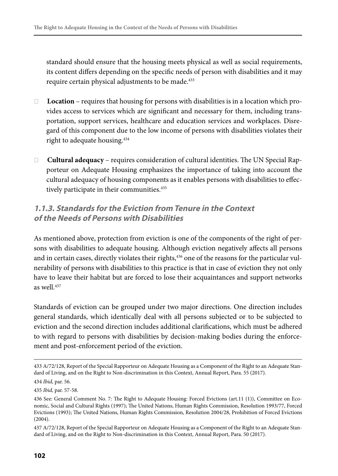standard should ensure that the housing meets physical as well as social requirements, its content differs depending on the specific needs of person with disabilities and it may require certain physical adjustments to be made.<sup>433</sup>

- ❏ **Location** requires that housing for persons with disabilities is in a location which provides access to services which are significant and necessary for them, including transportation, support services, healthcare and education services and workplaces. Disregard of this component due to the low income of persons with disabilities violates their right to adequate housing.434
- ❏ **Cultural adequacy** requires consideration of cultural identities. The UN Special Rapporteur on Adequate Housing emphasizes the importance of taking into account the cultural adequacy of housing components as it enables persons with disabilities to effectively participate in their communities.<sup>435</sup>

### **1.1.3. Standards for the Eviction from Tenure in the Context of the Needs of Persons with Disabilities**

As mentioned above, protection from eviction is one of the components of the right of persons with disabilities to adequate housing. Although eviction negatively affects all persons and in certain cases, directly violates their rights,<sup>436</sup> one of the reasons for the particular vulnerability of persons with disabilities to this practice is that in case of eviction they not only have to leave their habitat but are forced to lose their acquaintances and support networks as well.437

Standards of eviction can be grouped under two major directions. One direction includes general standards, which identically deal with all persons subjected or to be subjected to eviction and the second direction includes additional clarifications, which must be adhered to with regard to persons with disabilities by decision-making bodies during the enforcement and post-enforcement period of the eviction.

<sup>433</sup> A/72/128, Report of the Special Rapporteur on Adequate Housing as a Component of the Right to an Adequate Standard of Living, and on the Right to Non-discrimination in this Context, Annual Report, Para. 55 (2017).

<sup>434</sup> *Ibid*, par. 56.

<sup>435</sup> *Ibid*, par. 57-58.

<sup>436</sup> See: General Comment No. 7: The Right to Adequate Housing: Forced Evictions (art.11 (1)), Committee on Economic, Social and Cultural Rights (1997); The United Nations, Human Rights Commission, Resolution 1993/77, Forced Evictions (1993); The United Nations, Human Rights Commission, Resolution 2004/28, Prohibition of Forced Evictions (2004).

<sup>437</sup> A/72/128, Report of the Special Rapporteur on Adequate Housing as a Component of the Right to an Adequate Standard of Living, and on the Right to Non-discrimination in this Context, Annual Report, Para. 50 (2017).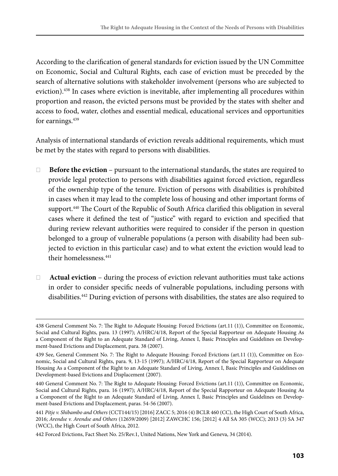According to the clarification of general standards for eviction issued by the UN Committee on Economic, Social and Cultural Rights, each case of eviction must be preceded by the search of alternative solutions with stakeholder involvement (persons who are subjected to eviction).438 In cases where eviction is inevitable, after implementing all procedures within proportion and reason, the evicted persons must be provided by the states with shelter and access to food, water, clothes and essential medical, educational services and opportunities for earnings.<sup>439</sup>

Analysis of international standards of eviction reveals additional requirements, which must be met by the states with regard to persons with disabilities.

- ❏ **Before the eviction**  pursuant to the international standards, the states are required to provide legal protection to persons with disabilities against forced eviction, regardless of the ownership type of the tenure. Eviction of persons with disabilities is prohibited in cases when it may lead to the complete loss of housing and other important forms of support.440 The Court of the Republic of South Africa clarified this obligation in several cases where it defined the test of "justice" with regard to eviction and specified that during review relevant authorities were required to consider if the person in question belonged to a group of vulnerable populations (a person with disability had been subjected to eviction in this particular case) and to what extent the eviction would lead to their homelessness.441
- ❏ **Actual eviction** during the process of eviction relevant authorities must take actions in order to consider specific needs of vulnerable populations, including persons with disabilities.442 During eviction of persons with disabilities, the states are also required to

442 Forced Evictions, Fact Sheet No. 25/Rev.1, United Nations, New York and Geneva, 34 (2014).

<sup>438</sup> General Comment No. 7: The Right to Adequate Housing: Forced Evictions (art.11 (1)), Committee on Economic, Social and Cultural Rights, para. 13 (1997); A/HRC/4/18, Report of the Special Rapporteur on Adequate Housing As a Component of the Right to an Adequate Standard of Living, Annex I, Basic Principles and Guidelines on Development-based Evictions and Displacement, para. 38 (2007).

<sup>439</sup> See, General Comment No. 7: The Right to Adequate Housing: Forced Evictions (art.11 (1)), Committee on Economic, Social and Cultural Rights, para. 9, 13-15 (1997); A/HRC/4/18, Report of the Special Rapporteur on Adequate Housing As a Component of the Right to an Adequate Standard of Living, Annex I, Basic Principles and Guidelines on Development-based Evictions and Displacement (2007).

<sup>440</sup> General Comment No. 7: The Right to Adequate Housing: Forced Evictions (art.11 (1)), Committee on Economic, Social and Cultural Rights, para. 16 (1997); A/HRC/4/18, Report of the Special Rapporteur on Adequate Housing As a Component of the Right to an Adequate Standard of Living, Annex I, Basic Principles and Guidelines on Development-based Evictions and Displacement, paras. 54-56 (2007).

<sup>441</sup> *Pitje v. Shibambo and Others* (CCT144/15) [2016] ZACC 5; 2016 (4) BCLR 460 (CC), the High Court of South Africa, 2016; *Arendse v. Arendse and Others* (12659/2009) [2012] ZAWCHC 156; [2012] 4 All SA 305 (WCC); 2013 (3) SA 347 (WCC), the High Court of South Africa, 2012.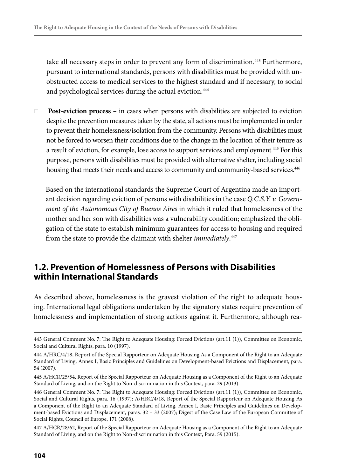take all necessary steps in order to prevent any form of discrimination.443 Furthermore, pursuant to international standards, persons with disabilities must be provided with unobstructed access to medical services to the highest standard and if necessary, to social and psychological services during the actual eviction.<sup>444</sup>

❏ **Post-eviction process –** in cases when persons with disabilities are subjected to eviction despite the prevention measures taken by the state, all actions must be implemented in order to prevent their homelessness/isolation from the community. Persons with disabilities must not be forced to worsen their conditions due to the change in the location of their tenure as a result of eviction, for example, lose access to support services and employment.445 For this purpose, persons with disabilities must be provided with alternative shelter, including social housing that meets their needs and access to community and community-based services.<sup>446</sup>

Based on the international standards the Supreme Court of Argentina made an important decision regarding eviction of persons with disabilities in the case *Q.C.S.Y. v. Government of the Autonomous City of Buenos Aires* in which it ruled that homelessness of the mother and her son with disabilities was a vulnerability condition; emphasized the obligation of the state to establish minimum guarantees for access to housing and required from the state to provide the claimant with shelter *immediately*. 447

#### **1.2. Prevention of Homelessness of Persons with Disabilities within International Standards**

As described above, homelessness is the gravest violation of the right to adequate housing. International legal obligations undertaken by the signatory states require prevention of homelessness and implementation of strong actions against it. Furthermore, although rea-

<sup>443</sup> General Comment No. 7: The Right to Adequate Housing: Forced Evictions (art.11 (1)), Committee on Economic, Social and Cultural Rights, para. 10 (1997).

<sup>444</sup> A/HRC/4/18, Report of the Special Rapporteur on Adequate Housing As a Component of the Right to an Adequate Standard of Living, Annex I, Basic Principles and Guidelines on Development-based Evictions and Displacement, para. 54 (2007).

<sup>445</sup> A/HCR/25/54, Report of the Special Rapporteur on Adequate Housing as a Component of the Right to an Adequate Standard of Living, and on the Right to Non-discrimination in this Context, para. 29 (2013).

<sup>446</sup> General Comment No. 7: The Right to Adequate Housing: Forced Evictions (art.11 (1)), Committee on Economic, Social and Cultural Rights, para. 16 (1997); A/HRC/4/18, Report of the Special Rapporteur on Adequate Housing As a Component of the Right to an Adequate Standard of Living, Annex I, Basic Principles and Guidelines on Development-based Evictions and Displacement, paras. 32 – 33 (2007); Digest of the Case Law of the European Committee of Social Rights, Council of Europe, 171 (2008).

<sup>447</sup> A/HCR/28/62, Report of the Special Rapporteur on Adequate Housing as a Component of the Right to an Adequate Standard of Living, and on the Right to Non-discrimination in this Context, Para. 59 (2015).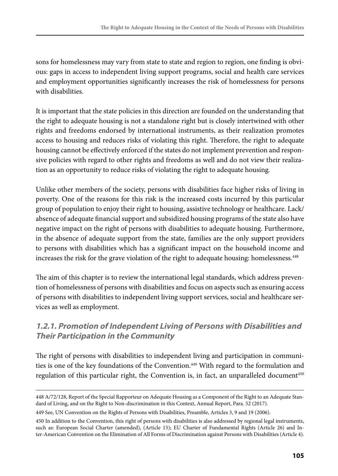sons for homelessness may vary from state to state and region to region, one finding is obvious: gaps in access to independent living support programs, social and health care services and employment opportunities significantly increases the risk of homelessness for persons with disabilities.

It is important that the state policies in this direction are founded on the understanding that the right to adequate housing is not a standalone right but is closely intertwined with other rights and freedoms endorsed by international instruments, as their realization promotes access to housing and reduces risks of violating this right. Therefore, the right to adequate housing cannot be effectively enforced if the states do not implement prevention and responsive policies with regard to other rights and freedoms as well and do not view their realization as an opportunity to reduce risks of violating the right to adequate housing.

Unlike other members of the society, persons with disabilities face higher risks of living in poverty. One of the reasons for this risk is the increased costs incurred by this particular group of population to enjoy their right to housing, assistive technology or healthcare. Lack/ absence of adequate financial support and subsidized housing programs of the state also have negative impact on the right of persons with disabilities to adequate housing. Furthermore, in the absence of adequate support from the state, families are the only support providers to persons with disabilities which has a significant impact on the household income and increases the risk for the grave violation of the right to adequate housing: homelessness.<sup>448</sup>

The aim of this chapter is to review the international legal standards, which address prevention of homelessness of persons with disabilities and focus on aspects such as ensuring access of persons with disabilities to independent living support services, social and healthcare services as well as employment.

### **1.2.1. Promotion of Independent Living of Persons with Disabilities and Their Participation in the Community**

The right of persons with disabilities to independent living and participation in communities is one of the key foundations of the Convention.<sup>449</sup> With regard to the formulation and regulation of this particular right, the Convention is, in fact, an unparalleled document<sup>450</sup>

<sup>448</sup> A/72/128, Report of the Special Rapporteur on Adequate Housing as a Component of the Right to an Adequate Standard of Living, and on the Right to Non-discrimination in this Context, Annual Report, Para. 52 (2017).

<sup>449</sup> See, UN Convention on the Rights of Persons with Disabilities, Preamble, Articles 3, 9 and 19 (2006).

<sup>450</sup> In addition to the Convention, this right of persons with disabilities is also addressed by regional legal instruments, such as: European Social Charter (amended), (Article 15); EU Charter of Fundamental Rights (Article 26) and Inter-American Convention on the Elimination of All Forms of Discrimination against Persons with Disabilities (Article 4).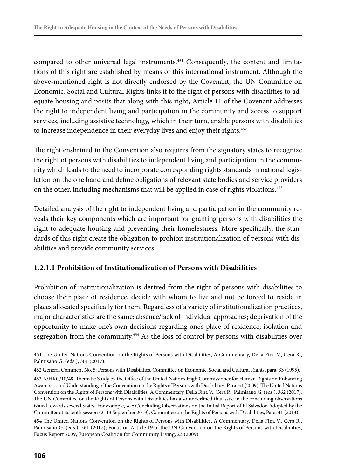compared to other universal legal instruments.451 Consequently, the content and limitations of this right are established by means of this international instrument. Although the above-mentioned right is not directly endorsed by the Covenant, the UN Committee on Economic, Social and Cultural Rights links it to the right of persons with disabilities to adequate housing and posits that along with this right, Article 11 of the Covenant addresses the right to independent living and participation in the community and access to support services, including assistive technology, which in their turn, enable persons with disabilities to increase independence in their everyday lives and enjoy their rights.<sup>452</sup>

The right enshrined in the Convention also requires from the signatory states to recognize the right of persons with disabilities to independent living and participation in the community which leads to the need to incorporate corresponding rights standards in national legislation on the one hand and define obligations of relevant state bodies and service providers on the other, including mechanisms that will be applied in case of rights violations.<sup>453</sup>

Detailed analysis of the right to independent living and participation in the community reveals their key components which are important for granting persons with disabilities the right to adequate housing and preventing their homelessness. More specifically, the standards of this right create the obligation to prohibit institutionalization of persons with disabilities and provide community services.

#### **1.2.1.1 Prohibition of Institutionalization of Persons with Disabilities**

Prohibition of institutionalization is derived from the right of persons with disabilities to choose their place of residence, decide with whom to live and not be forced to reside in places allocated specifically for them. Regardless of a variety of institutionalization practices, major characteristics are the same: absence/lack of individual approaches; deprivation of the opportunity to make one's own decisions regarding one's place of residence; isolation and segregation from the community.454 As the loss of control by persons with disabilities over

<sup>451</sup> The United Nations Convention on the Rights of Persons with Disabilities, A Commentary, Della Fina V., Cera R., Palmisano G. (eds.), 361 (2017).

<sup>452</sup> General Comment No. 5: Persons with Disabilities, Committee on Economic, Social and Cultural Rights, para. 33 (1995).

<sup>453</sup> A/HRC/10/48, Thematic Study by the Office of the United Nations High Commissioner for Human Rights on Enhancing Awareness and Understanding of the Convention on the Rights of Persons with Disabilities, Para. 51 (2009); The United Nations Convention on the Rights of Persons with Disabilities, A Commentary, Della Fina V., Cera R., Palmisano G. (eds.), 362 (2017). The UN Committee on the Rights of Persons with Disabilities has also underlined this issue in the concluding observations issued towards several States. For example, see: Concluding Observations on the Initial Report of El Salvador, Adopted by the Committee at its tenth session (2–13 September 2013), Committee on the Rights of Persons with Disabilities, Para. 41 (2013).

<sup>454</sup> The United Nations Convention on the Rights of Persons with Disabilities, A Commentary, Della Fina V., Cera R., Palmisano G. (eds.), 361 (2017); Focus on Article 19 of the UN Convention on the Rights of Persons with Disabilities, Focus Report 2009, European Coalition for Community Living, 23 (2009).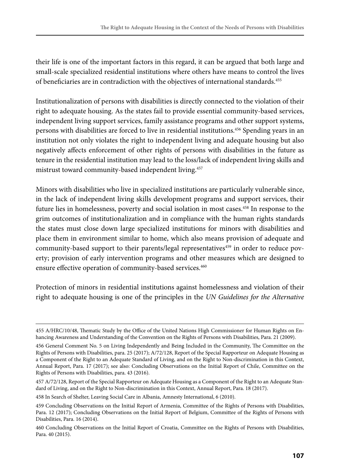their life is one of the important factors in this regard, it can be argued that both large and small-scale specialized residential institutions where others have means to control the lives of beneficiaries are in contradiction with the objectives of international standards.<sup>455</sup>

Institutionalization of persons with disabilities is directly connected to the violation of their right to adequate housing. As the states fail to provide essential community-based services, independent living support services, family assistance programs and other support systems, persons with disabilities are forced to live in residential institutions.<sup>456</sup> Spending years in an institution not only violates the right to independent living and adequate housing but also negatively affects enforcement of other rights of persons with disabilities in the future as tenure in the residential institution may lead to the loss/lack of independent living skills and mistrust toward community-based independent living.457

Minors with disabilities who live in specialized institutions are particularly vulnerable since, in the lack of independent living skills development programs and support services, their future lies in homelessness, poverty and social isolation in most cases.<sup>458</sup> In response to the grim outcomes of institutionalization and in compliance with the human rights standards the states must close down large specialized institutions for minors with disabilities and place them in environment similar to home, which also means provision of adequate and community-based support to their parents/legal representatives<sup>459</sup> in order to reduce poverty; provision of early intervention programs and other measures which are designed to ensure effective operation of community-based services.<sup>460</sup>

Protection of minors in residential institutions against homelessness and violation of their right to adequate housing is one of the principles in the *UN Guidelines for the Alternative* 

458 In Search of Shelter, Leaving Social Care in Albania, Amnesty International, 6 (2010).

<sup>455</sup> A/HRC/10/48, Thematic Study by the Office of the United Nations High Commissioner for Human Rights on Enhancing Awareness and Understanding of the Convention on the Rights of Persons with Disabilities, Para. 21 (2009).

<sup>456</sup> General Comment No. 5 on Living Independently and Being Included in the Community, The Committee on the Rights of Persons with Disabilities, para. 25 (2017); A/72/128, Report of the Special Rapporteur on Adequate Housing as a Component of the Right to an Adequate Standard of Living, and on the Right to Non-discrimination in this Context, Annual Report, Para. 17 (2017); see also: Concluding Observations on the Initial Report of Chile, Committee on the Rights of Persons with Disabilities, para. 43 (2016).

<sup>457</sup> A/72/128, Report of the Special Rapporteur on Adequate Housing as a Component of the Right to an Adequate Standard of Living, and on the Right to Non-discrimination in this Context, Annual Report, Para. 18 (2017).

<sup>459</sup> Concluding Observations on the Initial Report of Armenia, Committee of the Rights of Persons with Disabilities, Para. 12 (2017); Concluding Observations on the Initial Report of Belgium, Committee of the Rights of Persons with Disabilities, Para. 16 (2014).

<sup>460</sup> Concluding Observations on the Initial Report of Croatia, Committee on the Rights of Persons with Disabilities, Para. 40 (2015).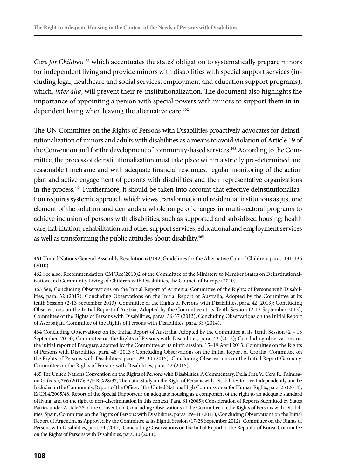*Care for Children*461 which accentuates the states' obligation to systematically prepare minors for independent living and provide minors with disabilities with special support services (including legal, healthcare and social services, employment and education support programs), which, *inter alia*, will prevent their re-institutionalization. The document also highlights the importance of appointing a person with special powers with minors to support them in independent living when leaving the alternative care.<sup>462</sup>

The UN Committee on the Rights of Persons with Disabilities proactively advocates for deinstitutionalization of minors and adults with disabilities as a means to avoid violation of Article 19 of the Convention and for the development of community-based services.<sup>463</sup> According to the Committee, the process of deinstitutionalization must take place within a strictly pre-determined and reasonable timeframe and with adequate financial resources, regular monitoring of the action plan and active engagement of persons with disabilities and their representative organizations in the process.464 Furthermore, it should be taken into account that effective deinstitutionalization requires systemic approach which views transformation of residential institutions as just one element of the solution and demands a whole range of changes in multi-sectoral programs to achieve inclusion of persons with disabilities, such as supported and subsidized housing; health care, habilitation, rehabilitation and other support services; educational and employment services as well as transforming the public attitudes about disability.<sup>465</sup>

464 Concluding Observations on the Initial Report of Australia, Adopted by the Committee at its Tenth Session (2 – 13 September, 2013), Committee on the Rights of Persons with Disabilities, para. 42 (2013); Concluding observations on the initial report of Paraguay, adopted by the Committee at its ninth session, 15–19 April 2013, Committee on the Rights of Persons with Disabilities, para. 48 (2013); Concluding Observations on the Initial Report of Croatia, Committee on the Rights of Persons with Disabilities, paras. 29–30 (2015); Concluding Observations on the Initial Report Germany, Committee on the Rights of Persons with Disabilities, para. 42 (2015).

465 The United Nations Convention on the Rights of Persons with Disabilities, A Commentary, Della Fina V., Cera R., Palmisano G. (eds.), 366 (2017); A/HRC/28/37, Thematic Study on the Right of Persons with Disabilities to Live Independently and be Included in the Community, Report of the Office of the United Nations High Commissioner for Human Rights, para. 25 (2014); E/CN.4/2005/48, Report of the Special Rapporteur on adequate housing as a component of the right to an adequate standard of living, and on the right to non-discrimination in this context, Para. 61 (2005); Consideration of Reports Submitted by States Parties under Article 35 of the Convention, Concluding Observations of the Committee on the Rights of Persons with Disabilities, Spain, Committee on the Rights of Persons with Disabilities, paras. 39–41 (2011); Concluding Observations on the Initial Report of Argentina as Approved by the Committee at its Eighth Session (17-28 September 2012), Committee on the Rights of Persons with Disabilities, para. 34 (2012); Concluding Observations on the Initial Report of the Republic of Korea, Committee on the Rights of Persons with Disabilities, para. 40 (2014).

<sup>461</sup> United Nations General Assembly Resolution 64/142, Guidelines for the Alternative Care of Children, paras. 131-136 (2010).

<sup>462</sup> See also: Recommendation CM/Rec(2010)2 of the Committee of the Ministers to Member States on Deinstitutionalization and Community Living of Children with Disabilities, the Council of Europe (2010).

<sup>463</sup> See, Concluding Observations on the Initial Report of Armenia, Committee of the Rights of Persons with Disabilities, para. 32 (2017); Concluding Observations on the Initial Report of Australia, Adopted by the Committee at its tenth Session (2-13 September 2013), Committee of the Rights of Persons with Disabilities, para. 42 (2013); Concluding Observations on the Initial Report of Austria, Adopted by the Committee at its Tenth Session (2-13 September 2013), Committee of the Rights of Persons with Disabilities, paras. 36-37 (2013); Concluding Observations on the Initial Report of Azerbaijan, Committee of the Rights of Persons with Disabilities, para. 33 (2014).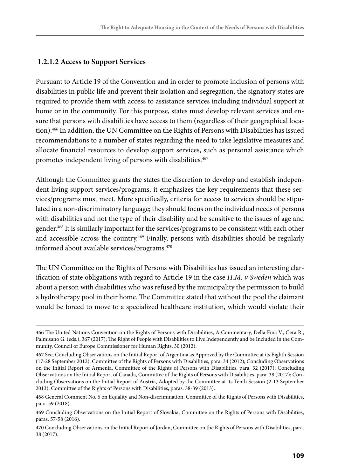#### **1.2.1.2 Access to Support Services**

Pursuant to Article 19 of the Convention and in order to promote inclusion of persons with disabilities in public life and prevent their isolation and segregation, the signatory states are required to provide them with access to assistance services including individual support at home or in the community. For this purpose, states must develop relevant services and ensure that persons with disabilities have access to them (regardless of their geographical location).466 In addition, the UN Committee on the Rights of Persons with Disabilities has issued recommendations to a number of states regarding the need to take legislative measures and allocate financial resources to develop support services, such as personal assistance which promotes independent living of persons with disabilities.<sup>467</sup>

Although the Committee grants the states the discretion to develop and establish independent living support services/programs, it emphasizes the key requirements that these services/programs must meet. More specifically, criteria for access to services should be stipulated in a non-discriminatory language; they should focus on the individual needs of persons with disabilities and not the type of their disability and be sensitive to the issues of age and gender.468 It is similarly important for the services/programs to be consistent with each other and accessible across the country.<sup>469</sup> Finally, persons with disabilities should be regularly informed about available services/programs.470

The UN Committee on the Rights of Persons with Disabilities has issued an interesting clarification of state obligations with regard to Article 19 in the case *H.M. v Sweden* which was about a person with disabilities who was refused by the municipality the permission to build a hydrotherapy pool in their home. The Committee stated that without the pool the claimant would be forced to move to a specialized healthcare institution, which would violate their

<sup>466</sup> The United Nations Convention on the Rights of Persons with Disabilities, A Commentary, Della Fina V., Cera R., Palmisano G. (eds.), 367 (2017); The Right of People with Disabilities to Live Independently and be Included in the Community, Council of Europe Commissioner for Human Rights, 30 (2012).

<sup>467</sup> See, Concluding Observations on the Initial Report of Argentina as Approved by the Committee at its Eighth Session (17-28 September 2012), Committee of the Rights of Persons with Disabilities, para. 34 (2012); Concluding Observations on the Initial Report of Armenia, Committee of the Rights of Persons with Disabilities, para. 32 (2017); Concluding Observations on the Initial Report of Canada, Committee of the Rights of Persons with Disabilities, para. 38 (2017); Concluding Observations on the Initial Report of Austria, Adopted by the Committee at its Tenth Session (2-13 September 2013), Committee of the Rights of Persons with Disabilities, paras. 38-39 (2013).

<sup>468</sup> General Comment No. 6 on Equality and Non-discrimination, Committee of the Rights of Persons with Disabilities, para. 59 (2018).

<sup>469</sup> Concluding Observations on the Initial Report of Slovakia, Committee on the Rights of Persons with Disabilities, paras. 57-58 (2016).

<sup>470</sup> Concluding Observations on the Initial Report of Jordan, Committee on the Rights of Persons with Disabilities, para. 38 (2017).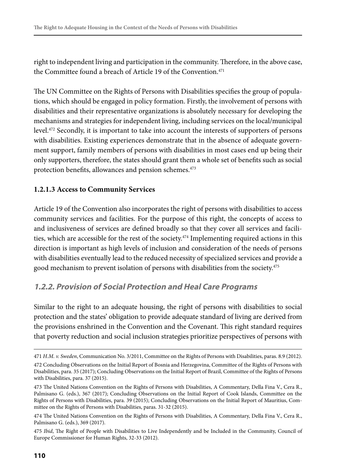right to independent living and participation in the community. Therefore, in the above case, the Committee found a breach of Article 19 of the Convention.<sup>471</sup>

The UN Committee on the Rights of Persons with Disabilities specifies the group of populations, which should be engaged in policy formation. Firstly, the involvement of persons with disabilities and their representative organizations is absolutely necessary for developing the mechanisms and strategies for independent living, including services on the local/municipal level.472 Secondly, it is important to take into account the interests of supporters of persons with disabilities. Existing experiences demonstrate that in the absence of adequate government support, family members of persons with disabilities in most cases end up being their only supporters, therefore, the states should grant them a whole set of benefits such as social protection benefits, allowances and pension schemes.<sup>473</sup>

#### **1.2.1.3 Access to Community Services**

Article 19 of the Convention also incorporates the right of persons with disabilities to access community services and facilities. For the purpose of this right, the concepts of access to and inclusiveness of services are defined broadly so that they cover all services and facilities, which are accessible for the rest of the society.<sup> $474$ </sup> Implementing required actions in this direction is important as high levels of inclusion and consideration of the needs of persons with disabilities eventually lead to the reduced necessity of specialized services and provide a good mechanism to prevent isolation of persons with disabilities from the society.<sup>475</sup>

#### **1.2.2. Provision of Social Protection and Heal Care Programs**

Similar to the right to an adequate housing, the right of persons with disabilities to social protection and the states' obligation to provide adequate standard of living are derived from the provisions enshrined in the Convention and the Covenant. This right standard requires that poverty reduction and social inclusion strategies prioritize perspectives of persons with

<sup>471</sup> *H.M. v. Sweden*, Communication No. 3/2011, Committee on the Rights of Persons with Disabilities, paras. 8.9 (2012). 472 Concluding Observations on the Initial Report of Bosnia and Herzegovina, Committee of the Rights of Persons with

Disabilities, para. 35 (2017); Concluding Observations on the Initial Report of Brazil, Committee of the Rights of Persons with Disabilities, para. 37 (2015).

<sup>473</sup> The United Nations Convention on the Rights of Persons with Disabilities, A Commentary, Della Fina V., Cera R., Palmisano G. (eds.), 367 (2017); Concluding Observations on the Initial Report of Cook Islands, Committee on the Rights of Persons with Disabilities, para. 39 (2015); Concluding Observations on the Initial Report of Mauritius, Committee on the Rights of Persons with Disabilities, paras. 31-32 (2015).

<sup>474</sup> The United Nations Convention on the Rights of Persons with Disabilities, A Commentary, Della Fina V., Cera R., Palmisano G. (eds.), 369 (2017).

<sup>475</sup> *Ibid*, The Right of People with Disabilities to Live Independently and be Included in the Community, Council of Europe Commissioner for Human Rights, 32-33 (2012).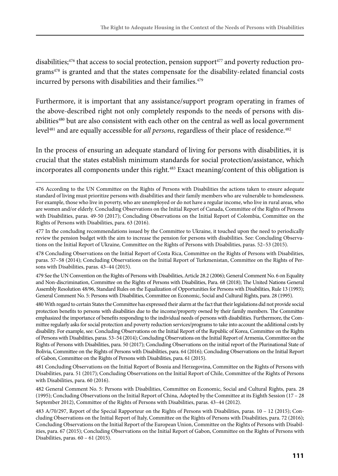disabilities; $476$  that access to social protection, pension support $477$  and poverty reduction programs<sup>478</sup> is granted and that the states compensate for the disability-related financial costs incurred by persons with disabilities and their families.<sup>479</sup>

Furthermore, it is important that any assistance/support program operating in frames of the above-described right not only completely responds to the needs of persons with disabilities<sup>480</sup> but are also consistent with each other on the central as well as local government level<sup>481</sup> and are equally accessible for *all persons*, regardless of their place of residence.<sup>482</sup>

In the process of ensuring an adequate standard of living for persons with disabilities, it is crucial that the states establish minimum standards for social protection/assistance, which incorporates all components under this right.<sup>483</sup> Exact meaning/content of this obligation is

477 In the concluding recommendations issued by the Committee to Ukraine, it touched upon the need to periodically review the pension budget with the aim to increase the pension for persons with disabilities. See: Concluding Observations on the Initial Report of Ukraine, Committee on the Rights of Persons with Disabilities, paras. 52–53 (2015).

478 Concluding Observations on the Initial Report of Costa Rica, Committee on the Rights of Persons with Disabilities, paras. 57–58 (2014); Concluding Observations on the Initial Report of Turkmenistan, Committee on the Rights of Persons with Disabilities, paras. 43–44 (2015).

479 See the UN Convention on the Rights of Persons with Disabilities, Article 28.2 (2006); General Comment No. 6 on Equality and Non-discrimination, Committee on the Rights of Persons with Disabilities, Para. 68 (2018); The United Nations General Assembly Resolution 48/96, Standard Rules on the Equalization of Opportunities for Persons with Disabilities, Rule 13 (1993); General Comment No. 5: Persons with Disabilities, Committee on Economic, Social and Cultural Rights, para. 28 (1995).

480 With regard to certain States the Committee has expressed their alarm at the fact that their legislations did not provide social protection benefits to persons with disabilities due to the income/property owned by their family members. The Committee emphasized the importance of benefits responding to the individual needs of persons with disabilities. Furthermore, the Committee regularly asks for social protection and poverty reduction services/programs to take into account the additional costs by disability. For example, see: Concluding Observations on the Initial Report of the Republic of Korea, Committee on the Rights of Persons with Disabilities, paras. 53–54 (2014); Concluding Observations on the Initial Report of Armenia, Committee on the Rights of Persons with Disabilities, para. 50 (2017); Concluding Observations on the initial report of the Plurinational State of Bolivia, Committee on the Rights of Persons with Disabilities, para. 64 (2016); Concluding Observations on the Initial Report of Gabon, Committee on the Rights of Persons with Disabilities, para. 61 (2015).

481 Concluding Observations on the Initial Report of Bosnia and Herzegovina, Committee on the Rights of Persons with Disabilities, para. 51 (2017); Concluding Observations on the Initial Report of Chile, Committee of the Rights of Persons with Disabilities, para. 60 (2016).

482 General Comment No. 5: Persons with Disabilities, Committee on Economic, Social and Cultural Rights, para. 28 (1995); Concluding Observations on the Initial Report of China, Adopted by the Committee at its Eighth Session (17 – 28 September 2012), Committee of the Rights of Persons with Disabilities, paras. 43–44 (2012).

483 A/70/297, Report of the Special Rapporteur on the Rights of Persons with Disabilities, paras. 10 – 12 (2015); Concluding Observations on the Initial Report of Italy, Committee on the Rights of Persons with Disabilities, para. 72 (2016); Concluding Observations on the Initial Report of the European Union, Committee on the Rights of Persons with Disabilities, para. 67 (2015); Concluding Observations on the Initial Report of Gabon, Committee on the Rights of Persons with Disabilities, paras. 60 – 61 (2015).

<sup>476</sup> According to the UN Committee on the Rights of Persons with Disabilities the actions taken to ensure adequate standard of living must prioritize persons with disabilities and their family members who are vulnerable to homelessness. For example, those who live in poverty, who are unemployed or do not have a regular income, who live in rural areas, who are women and/or elderly. Concluding Observations on the Initial Report of Canada, Committee of the Rights of Persons with Disabilities, paras. 49-50 (2017); Concluding Observations on the Initial Report of Colombia, Committee on the Rights of Persons with Disabilities, para. 63 (2016).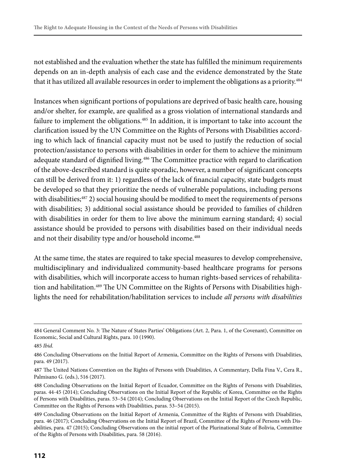not established and the evaluation whether the state has fulfilled the minimum requirements depends on an in-depth analysis of each case and the evidence demonstrated by the State that it has utilized all available resources in order to implement the obligations as a priority.<sup>484</sup>

Instances when significant portions of populations are deprived of basic health care, housing and/or shelter, for example, are qualified as a gross violation of international standards and failure to implement the obligations.<sup>485</sup> In addition, it is important to take into account the clarification issued by the UN Committee on the Rights of Persons with Disabilities according to which lack of financial capacity must not be used to justify the reduction of social protection/assistance to persons with disabilities in order for them to achieve the minimum adequate standard of dignified living.<sup>486</sup> The Committee practice with regard to clarification of the above-described standard is quite sporadic, however, a number of significant concepts can still be derived from it: 1) regardless of the lack of financial capacity, state budgets must be developed so that they prioritize the needs of vulnerable populations, including persons with disabilities; $487$  2) social housing should be modified to meet the requirements of persons with disabilities; 3) additional social assistance should be provided to families of children with disabilities in order for them to live above the minimum earning standard; 4) social assistance should be provided to persons with disabilities based on their individual needs and not their disability type and/or household income.<sup>488</sup>

At the same time, the states are required to take special measures to develop comprehensive, multidisciplinary and individualized community-based healthcare programs for persons with disabilities, which will incorporate access to human rights-based services of rehabilitation and habilitation.<sup>489</sup> The UN Committee on the Rights of Persons with Disabilities highlights the need for rehabilitation/habilitation services to include *all persons with disabilities*

<sup>484</sup> General Comment No. 3: The Nature of States Parties' Obligations (Art. 2, Para. 1, of the Covenant), Committee on Economic, Social and Cultural Rights, para. 10 (1990).

<sup>485</sup> *Ibid*.

<sup>486</sup> Concluding Observations on the Initial Report of Armenia, Committee on the Rights of Persons with Disabilities, para. 49 (2017).

<sup>487</sup> The United Nations Convention on the Rights of Persons with Disabilities, A Commentary, Della Fina V., Cera R., Palmisano G. (eds.), 516 (2017).

<sup>488</sup> Concluding Observations on the Initial Report of Ecuador, Committee on the Rights of Persons with Disabilities, paras. 44-45 (2014); Concluding Observations on the Initial Report of the Republic of Korea, Committee on the Rights of Persons with Disabilities, paras. 53–54 (2014); Concluding Observations on the Initial Report of the Czech Republic, Committee on the Rights of Persons with Disabilities, paras. 53–54 (2015).

<sup>489</sup> Concluding Observations on the Initial Report of Armenia, Committee of the Rights of Persons with Disabilities, para. 46 (2017); Concluding Observations on the Initial Report of Brazil, Committee of the Rights of Persons with Disabilities, para. 47 (2015); Concluding Observations on the initial report of the Plurinational State of Bolivia, Committee of the Rights of Persons with Disabilities, para. 58 (2016).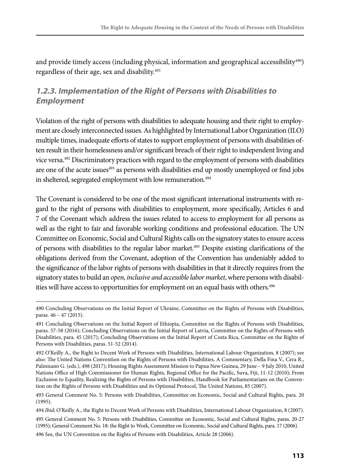and provide timely access (including physical, information and geographical accessibility<sup>490</sup>) regardless of their age, sex and disability.<sup>491</sup>

## **1.2.3. Implementation of the Right of Persons with Disabilities to Employment**

Violation of the right of persons with disabilities to adequate housing and their right to employment are closely interconnected issues. As highlighted by International Labor Organization (ILO) multiple times, inadequate efforts of states to support employment of persons with disabilities often result in their homelessness and/or significant breach of their right to independent living and vice versa.492 Discriminatory practices with regard to the employment of persons with disabilities are one of the acute issues<sup>493</sup> as persons with disabilities end up mostly unemployed or find jobs in sheltered, segregated employment with low remuneration.<sup>494</sup>

The Covenant is considered to be one of the most significant international instruments with regard to the right of persons with disabilities to employment, more specifically, Articles 6 and 7 of the Covenant which address the issues related to access to employment for all persons as well as the right to fair and favorable working conditions and professional education. The UN Committee on Economic, Social and Cultural Rights calls on the signatory states to ensure access of persons with disabilities to the regular labor market.495 Despite existing clarifications of the obligations derived from the Covenant, adoption of the Convention has undeniably added to the significance of the labor rights of persons with disabilities in that it directly requires from the signatory states to build an *open, inclusive and accessible labor market*, where persons with disabilities will have access to opportunities for employment on an equal basis with others.<sup>496</sup>

496 See, the UN Convention on the Rights of Persons with Disabilities, Article 28 (2006).

<sup>490</sup> Concluding Observations on the Initial Report of Ukraine, Committee on the Rights of Persons with Disabilities, paras. 46 – 47 (2015).

<sup>491</sup> Concluding Observations on the Initial Report of Ethiopia, Committee on the Rights of Persons with Disabilities, paras. 57-58 (2016); Concluding Observations on the Initial Report of Latvia, Committee on the Rights of Persons with Disabilities, para. 45 (2017); Concluding Observations on the Initial Report of Costa Rica, Committee on the Rights of Persons with Disabilities, paras. 51-52 (2014).

<sup>492</sup> O'Reilly A., the Right to Decent Work of Persons with Disabilities, International Labour Organization, 8 (2007); see also: The United Nations Convention on the Rights of Persons with Disabilities, A Commentary, Della Fina V., Cera R., Palmisano G. (eds.), 498 (2017); Housing Rights Assessment Mission to Papua New Guinea, 29 June – 9 July 2010, United Nations Office of High Commissioner for Human Rights, Regional Office for the Pacific, Suva, Fiji, 11-12 (2010); From Exclusion to Equality, Realizing the Rights of Persons with Disabilities, Handbook for Parliamentarians on the Convention on the Rights of Persons with Disabilities and its Optional Protocol, The United Nations, 85 (2007).

<sup>493</sup> General Comment No. 5: Persons with Disabilities, Committee on Economic, Social and Cultural Rights, para. 20 (1995).

<sup>494</sup> *Ibid*; O'Reilly A., the Right to Decent Work of Persons with Disabilities, International Labour Organization, 8 (2007).

<sup>495</sup> General Comment No. 5: Persons with Disabilities, Committee on Economic, Social and Cultural Rights, paras. 20-27 (1995); General Comment No. 18: the Right to Work, Committee on Economic, Social and Cultural Rights, para. 17 (2006).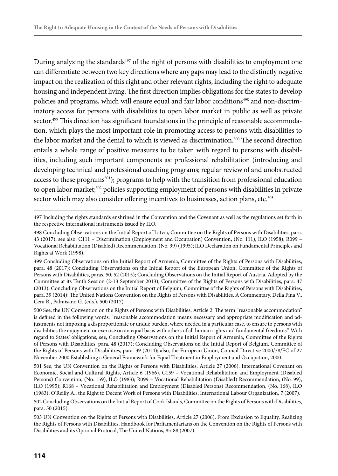During analyzing the standards<sup>497</sup> of the right of persons with disabilities to employment one can differentiate between two key directions where any gaps may lead to the distinctly negative impact on the realization of this right and other relevant rights, including the right to adequate housing and independent living. The first direction implies obligations for the states to develop policies and programs, which will ensure equal and fair labor conditions<sup>498</sup> and non-discriminatory access for persons with disabilities to open labor market in public as well as private sector.<sup>499</sup> This direction has significant foundations in the principle of reasonable accommodation, which plays the most important role in promoting access to persons with disabilities to the labor market and the denial to which is viewed as discrimination.<sup>500</sup> The second direction entails a whole range of positive measures to be taken with regard to persons with disabilities, including such important components as: professional rehabilitation (introducing and developing technical and professional coaching programs; regular review of and unobstructed access to these programs<sup>501</sup>); programs to help with the transition from professional education to open labor market;<sup>502</sup> policies supporting employment of persons with disabilities in private sector which may also consider offering incentives to businesses, action plans, etc.<sup>503</sup>

500 See, the UN Convention on the Rights of Persons with Disabilities, Article 2. The term "reasonable accommodation" is defined in the following words: "reasonable accommodation means necessary and appropriate modification and adjustments not imposing a disproportionate or undue burden, where needed in a particular case, to ensure to persons with disabilities the enjoyment or exercise on an equal basis with others of all human rights and fundamental freedoms." With regard to States' obligations, see, Concluding Observations on the Initial Report of Armenia, Committee of the Rights of Persons with Disabilities, para. 48 (2017); Concluding Observations on the Initial Report of Belgium, Committee of the Rights of Persons with Disabilities, para. 39 (2014); also, the European Union, Council Directive 2000/78/EC of 27 November 2000 Establishing a General Framework for Equal Treatment in Employment and Occupation, 2000.

501 See, the UN Convention on the Rights of Persons with Disabilities, Article 27 (2006). International Covenant on Economic, Social and Cultural Rights, Article 6 (1966). C159 – Vocational Rehabilitation and Employment (Disabled Persons) Convention, (No. 159), ILO (1983); R099 – Vocational Rehabilitation (Disabled) Recommendation, (No. 99), ILO (1995); R168 – Vocational Rehabilitation and Employment (Disabled Persons) Recommendation, (No. 168), ILO (1983); O'Reilly A., the Right to Decent Work of Persons with Disabilities, International Labour Organization, 7 (2007).

502 Concluding Observations on the Initial Report of Cook Islands, Committee on the Rights of Persons with Disabilities, para. 50 (2015).

503 UN Convention on the Rights of Persons with Disabilities, Article 27 (2006); From Exclusion to Equality, Realizing the Rights of Persons with Disabilities, Handbook for Parliamentarians on the Convention on the Rights of Persons with Disabilities and its Optional Protocol, The United Nations, 85-88 (2007).

<sup>497</sup> Including the rights standards enshrined in the Convention and the Covenant as well as the regulations set forth in the respective international instruments issued by ILO.

<sup>498</sup> Concluding Observations on the Initial Report of Latvia, Committee on the Rights of Persons with Disabilities, para. 43 (2017); see also: C111 – Discrimination (Employment and Occupation) Convention, (No. 111), ILO (1958); R099 – Vocational Rehabilitation (Disabled) Recommendation, (No. 99) (1995); ILO Declaration on Fundamental Principles and Rights at Work (1998).

<sup>499</sup> Concluding Observations on the Initial Report of Armenia, Committee of the Rights of Persons with Disabilities, para. 48 (2017); Concluding Observations on the Initial Report of the European Union, Committee of the Rights of Persons with Disabilities, paras. 50, 52 (2015); Concluding Observations on the Initial Report of Austria, Adopted by the Committee at its Tenth Session (2-13 September 2013), Committee of the Rights of Persons with Disabilities, para. 47 (2013); Concluding Observations on the Initial Report of Belgium, Committee of the Rights of Persons with Disabilities, para. 39 (2014); The United Nations Convention on the Rights of Persons with Disabilities, A Commentary, Della Fina V., Cera R., Palmisano G. (eds.), 500 (2017).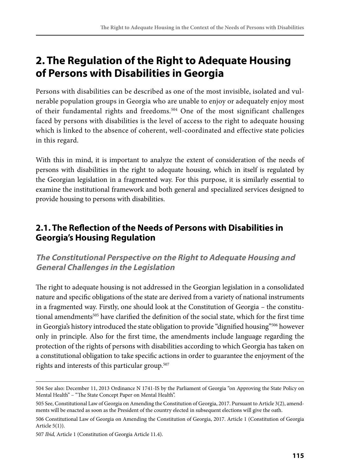## **2. The Regulation of the Right to Adequate Housing of Persons with Disabilities in Georgia**

Persons with disabilities can be described as one of the most invisible, isolated and vulnerable population groups in Georgia who are unable to enjoy or adequately enjoy most of their fundamental rights and freedoms.<sup>504</sup> One of the most significant challenges faced by persons with disabilities is the level of access to the right to adequate housing which is linked to the absence of coherent, well-coordinated and effective state policies in this regard.

With this in mind, it is important to analyze the extent of consideration of the needs of persons with disabilities in the right to adequate housing, which in itself is regulated by the Georgian legislation in a fragmented way. For this purpose, it is similarly essential to examine the institutional framework and both general and specialized services designed to provide housing to persons with disabilities.

## **2.1. The Reflection of the Needs of Persons with Disabilities in Georgia's Housing Regulation**

## **The Constitutional Perspective on the Right to Adequate Housing and General Challenges in the Legislation**

The right to adequate housing is not addressed in the Georgian legislation in a consolidated nature and specific obligations of the state are derived from a variety of national instruments in a fragmented way. Firstly, one should look at the Constitution of Georgia – the constitutional amendments<sup>505</sup> have clarified the definition of the social state, which for the first time in Georgia's history introduced the state obligation to provide "dignified housing"506 however only in principle. Also for the first time, the amendments include language regarding the protection of the rights of persons with disabilities according to which Georgia has taken on a constitutional obligation to take specific actions in order to guarantee the enjoyment of the rights and interests of this particular group.<sup>507</sup>

<sup>504</sup> See also: December 11, 2013 Ordinance N 1741-IS by the Parliament of Georgia "on Approving the State Policy on Mental Health" – "The State Concept Paper on Mental Health".

<sup>505</sup> See, Constitutional Law of Georgia on Amending the Constitution of Georgia, 2017. Pursuant to Article 3(2), amendments will be enacted as soon as the President of the country elected in subsequent elections will give the oath.

<sup>506</sup> Constitutional Law of Georgia on Amending the Constitution of Georgia, 2017. Article 1 (Constitution of Georgia Article 5(1)).

<sup>507</sup> *Ibid,* Article 1 (Constitution of Georgia Article 11.4).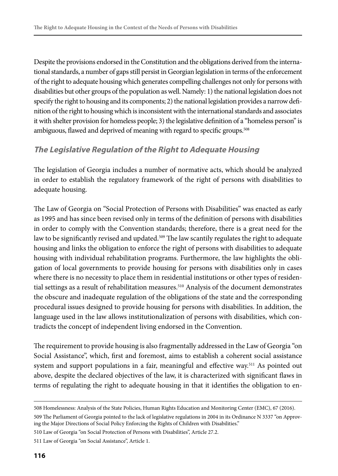Despite the provisions endorsed in the Constitution and the obligations derived from the international standards, a number of gaps still persist in Georgian legislation in terms of the enforcement of the right to adequate housing which generates compelling challenges not only for persons with disabilities but other groups of the population as well. Namely: 1) the national legislation does not specify the right to housing and its components; 2) the national legislation provides a narrow definition of the right to housing which is inconsistent with the international standards and associates it with shelter provision for homeless people; 3) the legislative definition of a "homeless person" is ambiguous, flawed and deprived of meaning with regard to specific groups.<sup>508</sup>

### **The Legislative Regulation of the Right to Adequate Housing**

The legislation of Georgia includes a number of normative acts, which should be analyzed in order to establish the regulatory framework of the right of persons with disabilities to adequate housing.

The Law of Georgia on "Social Protection of Persons with Disabilities" was enacted as early as 1995 and has since been revised only in terms of the definition of persons with disabilities in order to comply with the Convention standards; therefore, there is a great need for the law to be significantly revised and updated.<sup>509</sup> The law scantily regulates the right to adequate housing and links the obligation to enforce the right of persons with disabilities to adequate housing with individual rehabilitation programs. Furthermore, the law highlights the obligation of local governments to provide housing for persons with disabilities only in cases where there is no necessity to place them in residential institutions or other types of residential settings as a result of rehabilitation measures.<sup>510</sup> Analysis of the document demonstrates the obscure and inadequate regulation of the obligations of the state and the corresponding procedural issues designed to provide housing for persons with disabilities. In addition, the language used in the law allows institutionalization of persons with disabilities, which contradicts the concept of independent living endorsed in the Convention.

The requirement to provide housing is also fragmentally addressed in the Law of Georgia "on Social Assistance", which, first and foremost, aims to establish a coherent social assistance system and support populations in a fair, meaningful and effective way.<sup>511</sup> As pointed out above, despite the declared objectives of the law, it is characterized with significant flaws in terms of regulating the right to adequate housing in that it identifies the obligation to en-

<sup>508</sup> Homelessness: Analysis of the State Policies, Human Rights Education and Monitoring Center (EMC), 67 (2016).

<sup>509</sup> The Parliament of Georgia pointed to the lack of legislative regulations in 2004 in its Ordinance N 3337 "on Approving the Major Directions of Social Policy Enforcing the Rights of Children with Disabilities."

<sup>510</sup> Law of Georgia "on Social Protection of Persons with Disabilities", Article 27.2.

<sup>511</sup> Law of Georgia "on Social Assistance", Article 1.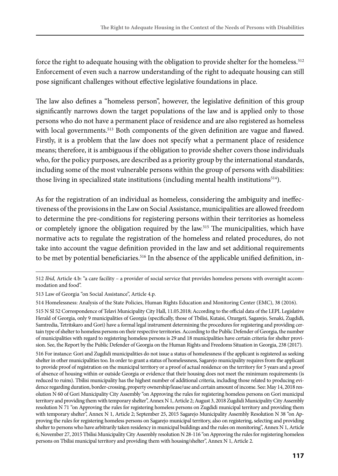force the right to adequate housing with the obligation to provide shelter for the homeless.<sup>512</sup> Enforcement of even such a narrow understanding of the right to adequate housing can still pose significant challenges without effective legislative foundations in place.

The law also defines a "homeless person", however, the legislative definition of this group significantly narrows down the target populations of the law and is applied only to those persons who do not have a permanent place of residence and are also registered as homeless with local governments.<sup>513</sup> Both components of the given definition are vague and flawed. Firstly, it is a problem that the law does not specify what a permanent place of residence means; therefore, it is ambiguous if the obligation to provide shelter covers those individuals who, for the policy purposes, are described as a priority group by the international standards, including some of the most vulnerable persons within the group of persons with disabilities: those living in specialized state institutions (including mental health institutions<sup>514</sup>).

As for the registration of an individual as homeless, considering the ambiguity and ineffectiveness of the provisions in the Law on Social Assistance, municipalities are allowed freedom to determine the pre-conditions for registering persons within their territories as homeless or completely ignore the obligation required by the law.515 The municipalities, which have normative acts to regulate the registration of the homeless and related procedures, do not take into account the vague definition provided in the law and set additional requirements to be met by potential beneficiaries.<sup>516</sup> In the absence of the applicable unified definition, in-

<sup>512</sup> *Ibid,* Article 4.b: "a care facility – a provider of social service that provides homeless persons with overnight accommodation and food".

<sup>513</sup> Law of Georgia "on Social Assistance", Article 4.p.

<sup>514</sup> Homelessness: Analysis of the State Policies, Human Rights Education and Monitoring Center (EMC), 38 (2016).

<sup>515</sup> N SI 52 Correspondence of Telavi Municipality City Hall, 11.05.2018; According to the official data of the LEPL Legislative Herald of Georgia, only 9 municipalities of Georgia (specifically, those of Tbilisi, Kutaisi, Ozurgeti, Sagarejo, Senaki, Zugdidi, Samtredia, Tetritskaro and Gori) have a formal legal instrument determining the procedures for registering and providing certain type of shelter to homeless persons on their respective territories. According to the Public Defender of Georgia, the number of municipalities with regard to registering homeless persons is 29 and 18 municipalities have certain criteria for shelter provision. See, the Report by the Public Defender of Georgia on the Human Rights and Freedoms Situation in Georgia, 238 (2017).

<sup>516</sup> For instance: Gori and Zugdidi municipalities do not issue a status of homelessness if the applicant is registered as seeking shelter in other municipalities too. In order to grant a status of homelessness, Sagarejo municipality requires from the applicant to provide proof of registration on the municipal territory or a proof of actual residence on the territory for 5 years and a proof of absence of housing within or outside Georgia or evidence that their housing does not meet the minimum requirements (is reduced to ruins). Tbilisi municipality has the highest number of additional criteria, including those related to producing evidence regarding duration, border-crossing, property ownership/lease/use and certain amount of income. See: May 14, 2018 resolution N 60 of Gori Municipality City Assembly "on Approving the rules for registering homeless persons on Gori municipal territory and providing them with temporary shelter", Annex N 1, Article 2; August 3, 2018 Zugdidi Municipality City Assembly resolution N 71 "on Approving the rules for registering homeless persons on Zugdidi municipal territory and providing them with temporary shelter", Annex N 1, Article 2; September 25, 2015 Sagarejo Municipality Assembly Resolution N 38 "on Approving the rules for registering homeless persons on Sagarejo municipal territory, also on registering, selecting and providing shelter to persons who have arbitrarily taken residency in municipal buildings and the rules on monitoring", Annex N 1, Article 6; November 27, 2015 Tbilisi Municipality City Assembly resolution N 28-116 "on Approving the rules for registering homeless persons on Tbilisi municipal territory and providing them with housing/shelter", Annex N 1, Article 2.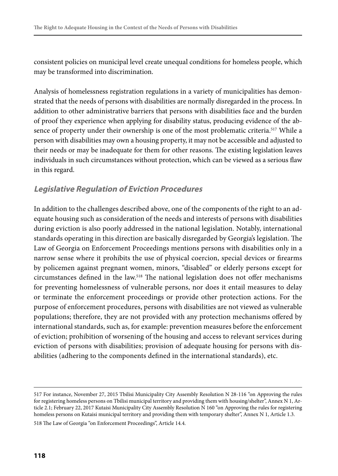consistent policies on municipal level create unequal conditions for homeless people, which may be transformed into discrimination.

Analysis of homelessness registration regulations in a variety of municipalities has demonstrated that the needs of persons with disabilities are normally disregarded in the process. In addition to other administrative barriers that persons with disabilities face and the burden of proof they experience when applying for disability status, producing evidence of the absence of property under their ownership is one of the most problematic criteria.<sup>517</sup> While a person with disabilities may own a housing property, it may not be accessible and adjusted to their needs or may be inadequate for them for other reasons. The existing legislation leaves individuals in such circumstances without protection, which can be viewed as a serious flaw in this regard.

#### **Legislative Regulation of Eviction Procedures**

In addition to the challenges described above, one of the components of the right to an adequate housing such as consideration of the needs and interests of persons with disabilities during eviction is also poorly addressed in the national legislation. Notably, international standards operating in this direction are basically disregarded by Georgia's legislation. The Law of Georgia on Enforcement Proceedings mentions persons with disabilities only in a narrow sense where it prohibits the use of physical coercion, special devices or firearms by policemen against pregnant women, minors, "disabled" or elderly persons except for circumstances defined in the law.518 The national legislation does not offer mechanisms for preventing homelessness of vulnerable persons, nor does it entail measures to delay or terminate the enforcement proceedings or provide other protection actions. For the purpose of enforcement procedures, persons with disabilities are not viewed as vulnerable populations; therefore, they are not provided with any protection mechanisms offered by international standards, such as, for example: prevention measures before the enforcement of eviction; prohibition of worsening of the housing and access to relevant services during eviction of persons with disabilities; provision of adequate housing for persons with disabilities (adhering to the components defined in the international standards), etc.

```
518 The Law of Georgia "on Enforcement Proceedings", Article 14.4.
```
<sup>517</sup> For instance, November 27, 2015 Tbilisi Municipality City Assembly Resolution N 28-116 "on Approving the rules for registering homeless persons on Tbilisi municipal territory and providing them with housing/shelter", Annex N 1, Article 2.1; February 22, 2017 Kutaisi Municipality City Assembly Resolution N 160 "on Approving the rules for registering homeless persons on Kutaisi municipal territory and providing them with temporary shelter", Annex N 1, Article 1.3.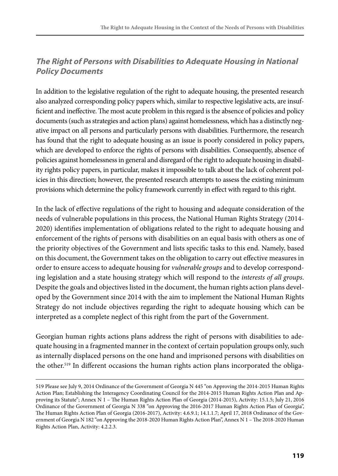## **The Right of Persons with Disabilities to Adequate Housing in National Policy Documents**

In addition to the legislative regulation of the right to adequate housing, the presented research also analyzed corresponding policy papers which, similar to respective legislative acts, are insufficient and ineffective. The most acute problem in this regard is the absence of policies and policy documents (such as strategies and action plans) against homelessness, which has a distinctly negative impact on all persons and particularly persons with disabilities. Furthermore, the research has found that the right to adequate housing as an issue is poorly considered in policy papers, which are developed to enforce the rights of persons with disabilities. Consequently, absence of policies against homelessness in general and disregard of the right to adequate housing in disability rights policy papers, in particular, makes it impossible to talk about the lack of coherent policies in this direction; however, the presented research attempts to assess the existing minimum provisions which determine the policy framework currently in effect with regard to this right.

In the lack of effective regulations of the right to housing and adequate consideration of the needs of vulnerable populations in this process, the National Human Rights Strategy (2014- 2020) identifies implementation of obligations related to the right to adequate housing and enforcement of the rights of persons with disabilities on an equal basis with others as one of the priority objectives of the Government and lists specific tasks to this end. Namely, based on this document, the Government takes on the obligation to carry out effective measures in order to ensure access to adequate housing for *vulnerable groups* and to develop corresponding legislation and a state housing strategy which will respond to the *interests of all groups*. Despite the goals and objectives listed in the document, the human rights action plans developed by the Government since 2014 with the aim to implement the National Human Rights Strategy do not include objectives regarding the right to adequate housing which can be interpreted as a complete neglect of this right from the part of the Government.

Georgian human rights actions plans address the right of persons with disabilities to adequate housing in a fragmented manner in the context of certain population groups only, such as internally displaced persons on the one hand and imprisoned persons with disabilities on the other.<sup>519</sup> In different occasions the human rights action plans incorporated the obliga-

<sup>519</sup> Please see July 9, 2014 Ordinance of the Government of Georgia N 445 "on Approving the 2014-2015 Human Rights Action Plan; Establishing the Interagency Coordinating Council for the 2014-2015 Human Rights Action Plan and Approving its Statute"; Annex N 1 – The Human Rights Action Plan of Georgia (2014-2015), Activity: 15.1.5; July 21, 2016 Ordinance of the Government of Georgia N 338 "on Approving the 2016-2017 Human Rights Action Plan of Georgia", The Human Rights Action Plan of Georgia (2016-2017), Activity: 4.6.9.1; 14.1.1.7; April 17, 2018 Ordinance of the Government of Georgia N 182 "on Approving the 2018-2020 Human Rights Action Plan", Annex N 1 – The 2018-2020 Human Rights Action Plan, Activity: 4.2.2.3.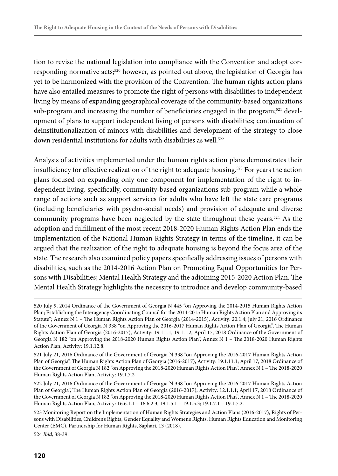tion to revise the national legislation into compliance with the Convention and adopt corresponding normative acts;520 however, as pointed out above, the legislation of Georgia has yet to be harmonized with the provision of the Convention. The human rights action plans have also entailed measures to promote the right of persons with disabilities to independent living by means of expanding geographical coverage of the community-based organizations sub-program and increasing the number of beneficiaries engaged in the program;<sup>521</sup> development of plans to support independent living of persons with disabilities; continuation of deinstitutionalization of minors with disabilities and development of the strategy to close down residential institutions for adults with disabilities as well.<sup>522</sup>

Analysis of activities implemented under the human rights action plans demonstrates their insufficiency for effective realization of the right to adequate housing.523 For years the action plans focused on expanding only one component for implementation of the right to independent living, specifically, community-based organizations sub-program while a whole range of actions such as support services for adults who have left the state care programs (including beneficiaries with psycho-social needs) and provision of adequate and diverse community programs have been neglected by the state throughout these years.<sup>524</sup> As the adoption and fulfillment of the most recent 2018-2020 Human Rights Action Plan ends the implementation of the National Human Rights Strategy in terms of the timeline, it can be argued that the realization of the right to adequate housing is beyond the focus area of the state. The research also examined policy papers specifically addressing issues of persons with disabilities, such as the 2014-2016 Action Plan on Promoting Equal Opportunities for Persons with Disabilities; Mental Health Strategy and the adjoining 2015-2020 Action Plan. The Mental Health Strategy highlights the necessity to introduce and develop community-based

524 *Ibid,* 38-39.

<sup>520</sup> July 9, 2014 Ordinance of the Government of Georgia N 445 "on Approving the 2014-2015 Human Rights Action Plan; Establishing the Interagency Coordinating Council for the 2014-2015 Human Rights Action Plan and Approving its Statute"; Annex N 1 – The Human Rights Action Plan of Georgia (2014-2015), Activity: 20.1.4; July 21, 2016 Ordinance of the Government of Georgia N 338 "on Approving the 2016-2017 Human Rights Action Plan of Georgia", The Human Rights Action Plan of Georgia (2016-2017), Activity: 19.1.1.1; 19.1.1.2; April 17, 2018 Ordinance of the Government of Georgia N 182 "on Approving the 2018-2020 Human Rights Action Plan", Annex N 1 – The 2018-2020 Human Rights Action Plan, Activity: 19.1.12.8.

<sup>521</sup> July 21, 2016 Ordinance of the Government of Georgia N 338 "on Approving the 2016-2017 Human Rights Action Plan of Georgia", The Human Rights Action Plan of Georgia (2016-2017), Activity: 19.1.11.1; April 17, 2018 Ordinance of the Government of Georgia N 182 "on Approving the 2018-2020 Human Rights Action Plan", Annex N 1 – The 2018-2020 Human Rights Action Plan, Activity: 19.1.7.2

<sup>522</sup> July 21, 2016 Ordinance of the Government of Georgia N 338 "on Approving the 2016-2017 Human Rights Action Plan of Georgia", The Human Rights Action Plan of Georgia (2016-2017), Activity: 12.1.1.1; April 17, 2018 Ordinance of the Government of Georgia N 182 "on Approving the 2018-2020 Human Rights Action Plan", Annex N 1 – The 2018-2020 Human Rights Action Plan, Activity: 16.6.1.1 – 16.6.2.3; 19.1.5.1 – 19.1.5.3; 19.1.7.1 – 19.1.7.2.

<sup>523</sup> Monitoring Report on the Implementation of Human Rights Strategies and Action Plans (2016-2017), Rights of Persons with Disabilities, Children's Rights, Gender Equality and Women's Rights, Human Rights Education and Monitoring Center (EMC), Partnership for Human Rights, Saphari, 13 (2018).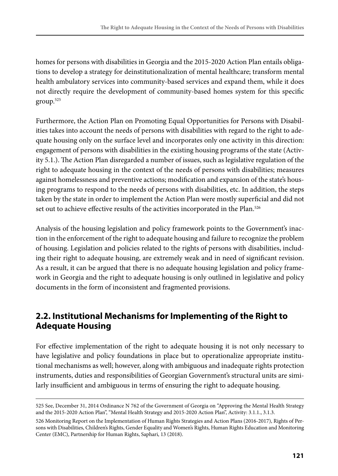homes for persons with disabilities in Georgia and the 2015-2020 Action Plan entails obligations to develop a strategy for deinstitutionalization of mental healthcare; transform mental health ambulatory services into community-based services and expand them, while it does not directly require the development of community-based homes system for this specific group.525

Furthermore, the Action Plan on Promoting Equal Opportunities for Persons with Disabilities takes into account the needs of persons with disabilities with regard to the right to adequate housing only on the surface level and incorporates only one activity in this direction: engagement of persons with disabilities in the existing housing programs of the state (Activity 5.1.). The Action Plan disregarded a number of issues, such as legislative regulation of the right to adequate housing in the context of the needs of persons with disabilities; measures against homelessness and preventive actions; modification and expansion of the state's housing programs to respond to the needs of persons with disabilities, etc. In addition, the steps taken by the state in order to implement the Action Plan were mostly superficial and did not set out to achieve effective results of the activities incorporated in the Plan.<sup>526</sup>

Analysis of the housing legislation and policy framework points to the Government's inaction in the enforcement of the right to adequate housing and failure to recognize the problem of housing. Legislation and policies related to the rights of persons with disabilities, including their right to adequate housing, are extremely weak and in need of significant revision. As a result, it can be argued that there is no adequate housing legislation and policy framework in Georgia and the right to adequate housing is only outlined in legislative and policy documents in the form of inconsistent and fragmented provisions.

## **2.2. Institutional Mechanisms for Implementing of the Right to Adequate Housing**

For effective implementation of the right to adequate housing it is not only necessary to have legislative and policy foundations in place but to operationalize appropriate institutional mechanisms as well; however, along with ambiguous and inadequate rights protection instruments, duties and responsibilities of Georgian Government's structural units are similarly insufficient and ambiguous in terms of ensuring the right to adequate housing.

<sup>525</sup> See, December 31, 2014 Ordinance N 762 of the Government of Georgia on "Approving the Mental Health Strategy and the 2015-2020 Action Plan", "Mental Health Strategy and 2015-2020 Action Plan", Activity: 3.1.1., 3.1.3.

<sup>526</sup> Monitoring Report on the Implementation of Human Rights Strategies and Action Plans (2016-2017), Rights of Persons with Disabilities, Children's Rights, Gender Equality and Women's Rights, Human Rights Education and Monitoring Center (EMC), Partnership for Human Rights, Saphari, 13 (2018).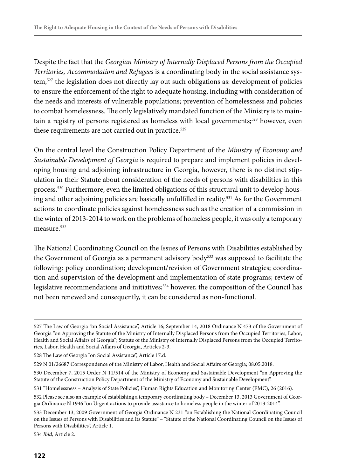Despite the fact that the *Georgian Ministry of Internally Displaced Persons from the Occupied Territories, Accommodation and Refugees* is a coordinating body in the social assistance system,527 the legislation does not directly lay out such obligations as: development of policies to ensure the enforcement of the right to adequate housing, including with consideration of the needs and interests of vulnerable populations; prevention of homelessness and policies to combat homelessness. The only legislatively mandated function of the Ministry is to maintain a registry of persons registered as homeless with local governments;<sup>528</sup> however, even these requirements are not carried out in practice.<sup>529</sup>

On the central level the Construction Policy Department of the *Ministry of Economy and Sustainable Development of Georgia* is required to prepare and implement policies in developing housing and adjoining infrastructure in Georgia, however, there is no distinct stipulation in their Statute about consideration of the needs of persons with disabilities in this process.530 Furthermore, even the limited obligations of this structural unit to develop housing and other adjoining policies are basically unfulfilled in reality.531 As for the Government actions to coordinate policies against homelessness such as the creation of a commission in the winter of 2013-2014 to work on the problems of homeless people, it was only a temporary measure<sup>532</sup>

The National Coordinating Council on the Issues of Persons with Disabilities established by the Government of Georgia as a permanent advisory body533 was supposed to facilitate the following: policy coordination; development/revision of Government strategies; coordination and supervision of the development and implementation of state programs; review of legislative recommendations and initiatives;534 however, the composition of the Council has not been renewed and consequently, it can be considered as non-functional.

534 *Ibid,* Article 2.

<sup>527</sup> The Law of Georgia "on Social Assistance", Article 16; September 14, 2018 Ordinance N 473 of the Government of Georgia "on Approving the Statute of the Ministry of Internally Displaced Persons from the Occupied Territories, Labor, Health and Social Affairs of Georgia"; Statute of the Ministry of Internally Displaced Persons from the Occupied Territories, Labor, Health and Social Affairs of Georgia, Articles 2-3.

<sup>528</sup> The Law of Georgia "on Social Assistance", Article 17.d.

<sup>529</sup> N 01/26687 Correspondence of the Ministry of Labor, Health and Social Affairs of Georgia; 08.05.2018.

<sup>530</sup> December 7, 2015 Order N 11/514 of the Ministry of Economy and Sustainable Development "on Approving the Statute of the Construction Policy Department of the Ministry of Economy and Sustainable Development".

<sup>531 &</sup>quot;Homelessness – Analysis of State Policies", Human Rights Education and Monitoring Center (EMC), 26 (2016).

<sup>532</sup> Please see also an example of establishing a temporary coordinating body – December 13, 2013 Government of Georgia Ordinance N 1946 "on Urgent actions to provide assistance to homeless people in the winter of 2013-2014".

<sup>533</sup> December 13, 2009 Government of Georgia Ordinance N 231 "on Establishing the National Coordinating Council on the Issues of Persons with Disabilities and Its Statute" – "Statute of the National Coordinating Council on the Issues of Persons with Disabilities", Article 1.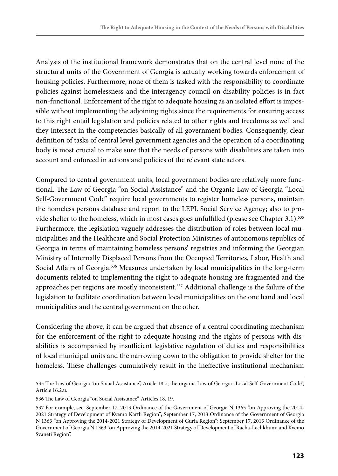Analysis of the institutional framework demonstrates that on the central level none of the structural units of the Government of Georgia is actually working towards enforcement of housing policies. Furthermore, none of them is tasked with the responsibility to coordinate policies against homelessness and the interagency council on disability policies is in fact non-functional. Enforcement of the right to adequate housing as an isolated effort is impossible without implementing the adjoining rights since the requirements for ensuring access to this right entail legislation and policies related to other rights and freedoms as well and they intersect in the competencies basically of all government bodies. Consequently, clear definition of tasks of central level government agencies and the operation of a coordinating body is most crucial to make sure that the needs of persons with disabilities are taken into account and enforced in actions and policies of the relevant state actors.

Compared to central government units, local government bodies are relatively more functional. The Law of Georgia "on Social Assistance" and the Organic Law of Georgia "Local Self-Government Code" require local governments to register homeless persons, maintain the homeless persons database and report to the LEPL Social Service Agency; also to provide shelter to the homeless, which in most cases goes unfulfilled (please see Chapter 3.1).<sup>535</sup> Furthermore, the legislation vaguely addresses the distribution of roles between local municipalities and the Healthcare and Social Protection Ministries of autonomous republics of Georgia in terms of maintaining homeless persons' registries and informing the Georgian Ministry of Internally Displaced Persons from the Occupied Territories, Labor, Health and Social Affairs of Georgia.536 Measures undertaken by local municipalities in the long-term documents related to implementing the right to adequate housing are fragmented and the approaches per regions are mostly inconsistent.<sup>537</sup> Additional challenge is the failure of the legislation to facilitate coordination between local municipalities on the one hand and local municipalities and the central government on the other.

Considering the above, it can be argued that absence of a central coordinating mechanism for the enforcement of the right to adequate housing and the rights of persons with disabilities is accompanied by insufficient legislative regulation of duties and responsibilities of local municipal units and the narrowing down to the obligation to provide shelter for the homeless. These challenges cumulatively result in the ineffective institutional mechanism

<sup>535</sup> The Law of Georgia "on Social Assistance", Aricle 18.o; the organic Law of Georgia "Local Self-Government Code", Article 16.2.u.

<sup>536</sup> The Law of Georgia "on Social Assistance", Articles 18, 19.

<sup>537</sup> For example, see: September 17, 2013 Ordinance of the Government of Georgia N 1365 "on Approving the 2014- 2021 Strategy of Development of Kvemo Kartli Region"; September 17, 2013 Ordinance of the Government of Georgia N 1363 "on Approving the 2014-2021 Strategy of Development of Guria Region"; September 17, 2013 Ordinance of the Government of Georgia N 1363 "on Approving the 2014-2021 Strategy of Development of Racha-Lechkhumi and Kvemo Svaneti Region".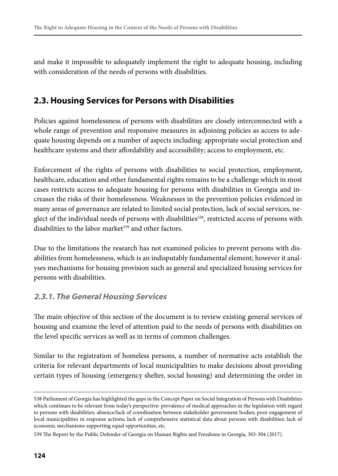and make it impossible to adequately implement the right to adequate housing, including with consideration of the needs of persons with disabilities.

## **2.3. Housing Services for Persons with Disabilities**

Policies against homelessness of persons with disabilities are closely interconnected with a whole range of prevention and responsive measures in adjoining policies as access to adequate housing depends on a number of aspects including: appropriate social protection and healthcare systems and their affordability and accessibility; access to employment, etc.

Enforcement of the rights of persons with disabilities to social protection, employment, healthcare, education and other fundamental rights remains to be a challenge which in most cases restricts access to adequate housing for persons with disabilities in Georgia and increases the risks of their homelessness. Weaknesses in the prevention policies evidenced in many areas of governance are related to limited social protection, lack of social services, neglect of the individual needs of persons with disabilities<sup>538</sup>, restricted access of persons with disabilities to the labor market<sup>539</sup> and other factors.

Due to the limitations the research has not examined policies to prevent persons with disabilities from homelessness, which is an indisputably fundamental element; however it analyses mechanisms for housing provision such as general and specialized housing services for persons with disabilities.

#### **2.3.1. The General Housing Services**

The main objective of this section of the document is to review existing general services of housing and examine the level of attention paid to the needs of persons with disabilities on the level specific services as well as in terms of common challenges.

Similar to the registration of homeless persons, a number of normative acts establish the criteria for relevant departments of local municipalities to make decisions about providing certain types of housing (emergency shelter, social housing) and determining the order in

<sup>538</sup> Parliament of Georgia has highlighted the gaps in the Concept Paper on Social Integration of Persons with Disabilities which continues to be relevant from today's perspective: prevalence of medical approaches in the legislation with regard to persons with disabilities; absence/lack of coordination between stakeholder government bodies; poor engagement of local municipalities in response actions; lack of comprehensive statistical data about persons with disabilities; lack of economic mechanisms supporting equal opportunities, etc.

<sup>539</sup> The Report by the Public Defender of Georgia on Human Rights and Freedoms in Georgia, 303-304 (2017).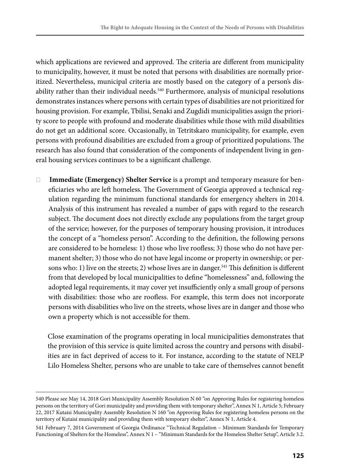which applications are reviewed and approved. The criteria are different from municipality to municipality, however, it must be noted that persons with disabilities are normally prioritized. Nevertheless, municipal criteria are mostly based on the category of a person's disability rather than their individual needs.<sup>540</sup> Furthermore, analysis of municipal resolutions demonstrates instances where persons with certain types of disabilities are not prioritized for housing provision. For example, Tbilisi, Senaki and Zugdidi municipalities assign the priority score to people with profound and moderate disabilities while those with mild disabilities do not get an additional score. Occasionally, in Tetritskaro municipality, for example, even persons with profound disabilities are excluded from a group of prioritized populations. The research has also found that consideration of the components of independent living in general housing services continues to be a significant challenge.

❏ **Immediate (Emergency) Shelter Service** is a prompt and temporary measure for beneficiaries who are left homeless. The Government of Georgia approved a technical regulation regarding the minimum functional standards for emergency shelters in 2014. Analysis of this instrument has revealed a number of gaps with regard to the research subject. The document does not directly exclude any populations from the target group of the service; however, for the purposes of temporary housing provision, it introduces the concept of a "homeless person". According to the definition, the following persons are considered to be homeless: 1) those who live roofless; 3) those who do not have permanent shelter; 3) those who do not have legal income or property in ownership; or persons who: 1) live on the streets; 2) whose lives are in danger.<sup>541</sup> This definition is different from that developed by local municipalities to define "homelessness" and, following the adopted legal requirements, it may cover yet insufficiently only a small group of persons with disabilities: those who are roofless. For example, this term does not incorporate persons with disabilities who live on the streets, whose lives are in danger and those who own a property which is not accessible for them.

Close examination of the programs operating in local municipalities demonstrates that the provision of this service is quite limited across the country and persons with disabilities are in fact deprived of access to it. For instance, according to the statute of NELP Lilo Homeless Shelter, persons who are unable to take care of themselves cannot benefit

<sup>540</sup> Please see May 14, 2018 Gori Municipality Assembly Resolution N 60 "on Approving Rules for registering homeless persons on the territory of Gori municipality and providing them with temporary shelter", Annex N 1, Article 5; February 22, 2017 Kutaisi Municipality Assembly Resolution N 160 "on Approving Rules for registering homeless persons on the territory of Kutaisi municipality and providing them with temporary shelter", Annex N 1, Article 4.

<sup>541</sup> February 7, 2014 Government of Georgia Ordinance "Technical Regulation – Minimum Standards for Temporary Functioning of Shelters for the Homeless", Annex N 1 – "Minimum Standards for the Homeless Shelter Setup", Article 3.2.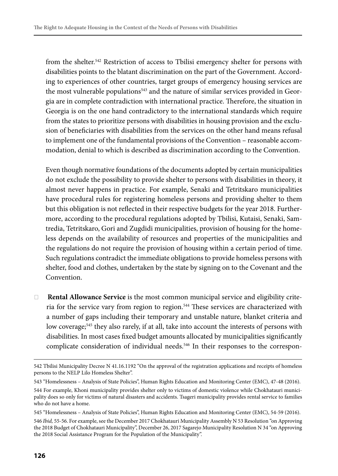from the shelter.542 Restriction of access to Tbilisi emergency shelter for persons with disabilities points to the blatant discrimination on the part of the Government. According to experiences of other countries, target groups of emergency housing services are the most vulnerable populations<sup>543</sup> and the nature of similar services provided in Georgia are in complete contradiction with international practice. Therefore, the situation in Georgia is on the one hand contradictory to the international standards which require from the states to prioritize persons with disabilities in housing provision and the exclusion of beneficiaries with disabilities from the services on the other hand means refusal to implement one of the fundamental provisions of the Convention – reasonable accommodation, denial to which is described as discrimination according to the Convention.

Even though normative foundations of the documents adopted by certain municipalities do not exclude the possibility to provide shelter to persons with disabilities in theory, it almost never happens in practice. For example, Senaki and Tetritskaro municipalities have procedural rules for registering homeless persons and providing shelter to them but this obligation is not reflected in their respective budgets for the year 2018. Furthermore, according to the procedural regulations adopted by Tbilisi, Kutaisi, Senaki, Samtredia, Tetritskaro, Gori and Zugdidi municipalities, provision of housing for the homeless depends on the availability of resources and properties of the municipalities and the regulations do not require the provision of housing within a certain period of time. Such regulations contradict the immediate obligations to provide homeless persons with shelter, food and clothes, undertaken by the state by signing on to the Covenant and the Convention.

❏ **Rental Allowance Service** is the most common municipal service and eligibility criteria for the service vary from region to region.<sup>544</sup> These services are characterized with a number of gaps including their temporary and unstable nature, blanket criteria and low coverage;<sup>545</sup> they also rarely, if at all, take into account the interests of persons with disabilities. In most cases fixed budget amounts allocated by municipalities significantly complicate consideration of individual needs.<sup>546</sup> In their responses to the correspon-

545 "Homelessness – Analysis of State Policies", Human Rights Education and Monitoring Center (EMC), 54-59 (2016).

546 *Ibid,* 55-56. For example, see the December 2017 Chokhatauri Municipality Assembly N 53 Resolution "on Approving the 2018 Budget of Chokhatauri Municipality", December 26, 2017 Sagarejo Municipality Resolution N 34 "on Approving the 2018 Social Assistance Program for the Population of the Municipality".

<sup>542</sup> Tbilisi Municipality Decree N 41.16.1192 "On the approval of the registration applications and receipts of homeless persons to the NELP Lilo Homeless Shelter".

<sup>543 &</sup>quot;Homelessness – Analysis of State Policies", Human Rights Education and Monitoring Center (EMC), 47-48 (2016).

<sup>544</sup> For example, Khoni municipality provides shelter only to victims of domestic violence while Chokhatauri municipality does so only for victims of natural disasters and accidents. Tsageri municipality provides rental service to families who do not have a home.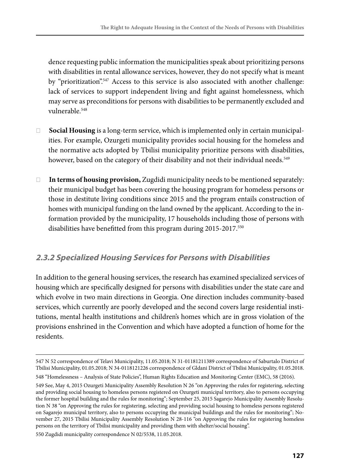dence requesting public information the municipalities speak about prioritizing persons with disabilities in rental allowance services, however, they do not specify what is meant by "prioritization".<sup>547</sup> Access to this service is also associated with another challenge: lack of services to support independent living and fight against homelessness, which may serve as preconditions for persons with disabilities to be permanently excluded and vulnerable 548

- ❏ **Social Housing** is a long-term service, which is implemented only in certain municipalities. For example, Ozurgeti municipality provides social housing for the homeless and the normative acts adopted by Tbilisi municipality prioritize persons with disabilities, however, based on the category of their disability and not their individual needs.<sup>549</sup>
- ❏ **In terms of housing provision,** Zugdidi municipality needs to be mentioned separately: their municipal budget has been covering the housing program for homeless persons or those in destitute living conditions since 2015 and the program entails construction of homes with municipal funding on the land owned by the applicant. According to the information provided by the municipality, 17 households including those of persons with disabilities have benefitted from this program during 2015-2017.550

#### **2.3.2 Specialized Housing Services for Persons with Disabilities**

In addition to the general housing services, the research has examined specialized services of housing which are specifically designed for persons with disabilities under the state care and which evolve in two main directions in Georgia. One direction includes community-based services, which currently are poorly developed and the second covers large residential institutions, mental health institutions and children's homes which are in gross violation of the provisions enshrined in the Convention and which have adopted a function of home for the residents.

550 Zugdidi municipality correspondence N 02/5538, 11.05.2018.

<sup>547</sup> N 52 correspondence of Telavi Municipality, 11.05.2018; N 31-01181211389 correspondence of Saburtalo District of Tbilisi Municipality, 01.05.2018; N 34-0118121226 correspondence of Gldani District of Tbilisi Municipality, 01.05.2018.

<sup>548 &</sup>quot;Homelessness – Analysis of State Policies", Human Rights Education and Monitoring Center (EMC), 58 (2016).

<sup>549</sup> See, May 4, 2015 Ozurgeti Municipality Assembly Resolution N 26 "on Approving the rules for registering, selecting and providing social housing to homeless persons registered on Ozurgeti municipal territory, also to persons occupying the former hospital building and the rules for monitoring"; September 25, 2015 Sagarejo Municipality Assembly Resolution N 38 "on Approving the rules for registering, selecting and providing social housing to homeless persons registered on Sagarejo municipal territory, also to persons occupying the municipal buildings and the rules for monitoring"; November 27, 2015 Tbilisi Municipality Assembly Resolution N 28-116 "on Approving the rules for registering homeless persons on the territory of Tbilisi municipality and providing them with shelter/social housing".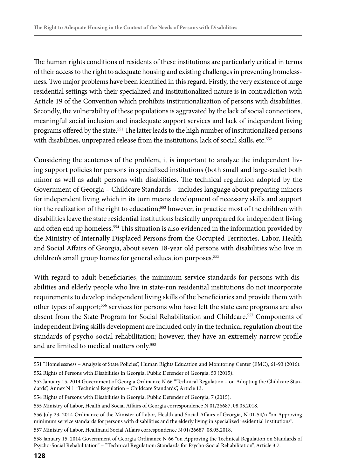The human rights conditions of residents of these institutions are particularly critical in terms of their access to the right to adequate housing and existing challenges in preventing homelessness. Two major problems have been identified in this regard. Firstly, the very existence of large residential settings with their specialized and institutionalized nature is in contradiction with Article 19 of the Convention which prohibits institutionalization of persons with disabilities. Secondly, the vulnerability of these populations is aggravated by the lack of social connections, meaningful social inclusion and inadequate support services and lack of independent living programs offered by the state.551 The latter leads to the high number of institutionalized persons with disabilities, unprepared release from the institutions, lack of social skills, etc.<sup>552</sup>

Considering the acuteness of the problem, it is important to analyze the independent living support policies for persons in specialized institutions (both small and large-scale) both minor as well as adult persons with disabilities. The technical regulation adopted by the Government of Georgia – Childcare Standards – includes language about preparing minors for independent living which in its turn means development of necessary skills and support for the realization of the right to education;<sup>553</sup> however, in practice most of the children with disabilities leave the state residential institutions basically unprepared for independent living and often end up homeless.<sup>554</sup> This situation is also evidenced in the information provided by the Ministry of Internally Displaced Persons from the Occupied Territories, Labor, Health and Social Affairs of Georgia, about seven 18-year old persons with disabilities who live in children's small group homes for general education purposes.<sup>555</sup>

With regard to adult beneficiaries, the minimum service standards for persons with disabilities and elderly people who live in state-run residential institutions do not incorporate requirements to develop independent living skills of the beneficiaries and provide them with other types of support;556 services for persons who have left the state care programs are also absent from the State Program for Social Rehabilitation and Childcare.557 Components of independent living skills development are included only in the technical regulation about the standards of psycho-social rehabilitation; however, they have an extremely narrow profile and are limited to medical matters only.<sup>558</sup>

<sup>551 &</sup>quot;Homelessness – Analysis of State Policies", Human Rights Education and Monitoring Center (EMC), 61-93 (2016). 552 Rights of Persons with Disabilities in Georgia, Public Defender of Georgia, 53 (2015).

<sup>553</sup> January 15, 2014 Government of Georgia Ordinance N 66 "Technical Regulation – on Adopting the Childcare Standards", Annex N 1 "Technical Regulation – Childcare Standards", Article 13.

<sup>554</sup> Rights of Persons with Disabilities in Georgia, Public Defender of Georgia, 7 (2015).

<sup>555</sup> Ministry of Labor, Health and Social Affairs of Georgia correspondence N 01/26687, 08.05.2018.

<sup>556</sup> July 23, 2014 Ordinance of the Minister of Labor, Health and Social Affairs of Georgia, N 01-54/n "on Approving minimum service standards for persons with disabilities and the elderly living in specialized residential institutions".

<sup>557</sup> Ministry of Labor, Healthand Social Affairs correspondence N 01/26687, 08.05.2018.

<sup>558</sup> January 15, 2014 Government of Georgia Ordinance N 66 "on Approving the Technical Regulation on Standards of Psycho-Social Rehabilitation" – "Technical Regulation: Standards for Psycho-Social Rehabilitation", Article 3.7.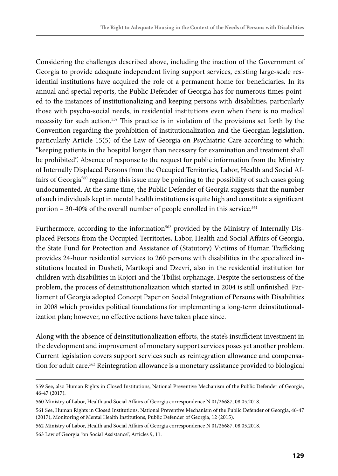Considering the challenges described above, including the inaction of the Government of Georgia to provide adequate independent living support services, existing large-scale residential institutions have acquired the role of a permanent home for beneficiaries. In its annual and special reports, the Public Defender of Georgia has for numerous times pointed to the instances of institutionalizing and keeping persons with disabilities, particularly those with psycho-social needs, in residential institutions even when there is no medical necessity for such action.559 This practice is in violation of the provisions set forth by the Convention regarding the prohibition of institutionalization and the Georgian legislation, particularly Article 15(5) of the Law of Georgia on Psychiatric Care according to which: "keeping patients in the hospital longer than necessary for examination and treatment shall be prohibited". Absence of response to the request for public information from the Ministry of Internally Displaced Persons from the Occupied Territories, Labor, Health and Social Affairs of Georgia<sup>560</sup> regarding this issue may be pointing to the possibility of such cases going undocumented. At the same time, the Public Defender of Georgia suggests that the number of such individuals kept in mental health institutions is quite high and constitute a significant portion – 30-40% of the overall number of people enrolled in this service.<sup>561</sup>

Furthermore, according to the information<sup>562</sup> provided by the Ministry of Internally Displaced Persons from the Occupied Territories, Labor, Health and Social Affairs of Georgia, the State Fund for Protection and Assistance of (Statutory) Victims of Human Trafficking provides 24-hour residential services to 260 persons with disabilities in the specialized institutions located in Dusheti, Martkopi and Dzevri, also in the residential institution for children with disabilities in Kojori and the Tbilisi orphanage. Despite the seriousness of the problem, the process of deinstitutionalization which started in 2004 is still unfinished. Parliament of Georgia adopted Concept Paper on Social Integration of Persons with Disabilities in 2008 which provides political foundations for implementing a long-term deinstitutionalization plan; however, no effective actions have taken place since.

Along with the absence of deinstitutionalization efforts, the state's insufficient investment in the development and improvement of monetary support services poses yet another problem. Current legislation covers support services such as reintegration allowance and compensation for adult care.<sup>563</sup> Reintegration allowance is a monetary assistance provided to biological

<sup>559</sup> See, also Human Rights in Closed Institutions, National Preventive Mechanism of the Public Defender of Georgia, 46-47 (2017).

<sup>560</sup> Ministry of Labor, Health and Social Affairs of Georgia correspondence N 01/26687, 08.05.2018.

<sup>561</sup> See, Human Rights in Closed Institutions, National Preventive Mechanism of the Public Defender of Georgia, 46-47 (2017); Monitoring of Mental Health Institutions, Public Defender of Georgia, 12 (2015).

<sup>562</sup> Ministry of Labor, Health and Social Affairs of Georgia correspondence N 01/26687, 08.05.2018.

<sup>563</sup> Law of Georgia "on Social Assistance", Articles 9, 11.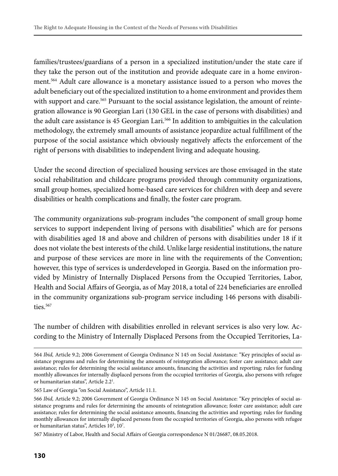families/trustees/guardians of a person in a specialized institution/under the state care if they take the person out of the institution and provide adequate care in a home environment.564 Adult care allowance is a monetary assistance issued to a person who moves the adult beneficiary out of the specialized institution to a home environment and provides them with support and care.<sup>565</sup> Pursuant to the social assistance legislation, the amount of reintegration allowance is 90 Georgian Lari (130 GEL in the case of persons with disabilities) and the adult care assistance is 45 Georgian Lari.566 In addition to ambiguities in the calculation methodology, the extremely small amounts of assistance jeopardize actual fulfillment of the purpose of the social assistance which obviously negatively affects the enforcement of the right of persons with disabilities to independent living and adequate housing.

Under the second direction of specialized housing services are those envisaged in the state social rehabilitation and childcare programs provided through community organizations, small group homes, specialized home-based care services for children with deep and severe disabilities or health complications and finally, the foster care program.

The community organizations sub-program includes "the component of small group home services to support independent living of persons with disabilities" which are for persons with disabilities aged 18 and above and children of persons with disabilities under 18 if it does not violate the best interests of the child. Unlike large residential institutions, the nature and purpose of these services are more in line with the requirements of the Convention; however, this type of services is underdeveloped in Georgia. Based on the information provided by Ministry of Internally Displaced Persons from the Occupied Territories, Labor, Health and Social Affairs of Georgia, as of May 2018, a total of 224 beneficiaries are enrolled in the community organizations sub-program service including 146 persons with disabilities.<sup>567</sup>

The number of children with disabilities enrolled in relevant services is also very low. According to the Ministry of Internally Displaced Persons from the Occupied Territories, La-

567 Ministry of Labor, Health and Social Affairs of Georgia correspondence N 01/26687, 08.05.2018.

<sup>564</sup> *Ibid,* Article 9.2; 2006 Government of Georgia Ordinance N 145 on Social Assistance: "Key principles of social assistance programs and rules for determining the amounts of reintegration allowance; foster care assistance; adult care assistance; rules for determining the social assistance amounts, financing the activities and reporting; rules for funding monthly allowances for internally displaced persons from the occupied territories of Georgia, also persons with refugee or humanitarian status", Article 2.2<sup>1</sup>.

<sup>565</sup> Law of Georgia "on Social Assistance", Article 11.1.

<sup>566</sup> *Ibid,* Article 9.2; 2006 Government of Georgia Ordinance N 145 on Social Assistance: "Key principles of social assistance programs and rules for determining the amounts of reintegration allowance; foster care assistance; adult care assistance; rules for determining the social assistance amounts, financing the activities and reporting; rules for funding monthly allowances for internally displaced persons from the occupied territories of Georgia, also persons with refugee or humanitarian status", Articles 10<sup>3</sup>, 10<sup>7</sup>.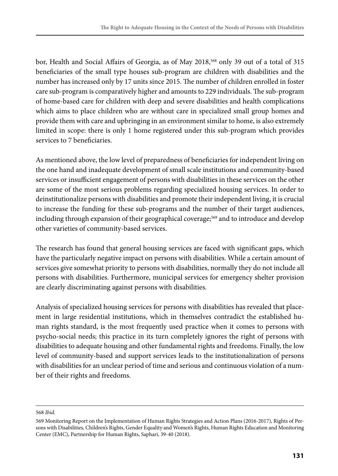bor, Health and Social Affairs of Georgia, as of May 2018,568 only 39 out of a total of 315 beneficiaries of the small type houses sub-program are children with disabilities and the number has increased only by 17 units since 2015. The number of children enrolled in foster care sub-program is comparatively higher and amounts to 229 individuals. The sub-program of home-based care for children with deep and severe disabilities and health complications which aims to place children who are without care in specialized small group homes and provide them with care and upbringing in an environment similar to home, is also extremely limited in scope: there is only 1 home registered under this sub-program which provides services to 7 beneficiaries.

As mentioned above, the low level of preparedness of beneficiaries for independent living on the one hand and inadequate development of small scale institutions and community-based services or insufficient engagement of persons with disabilities in these services on the other are some of the most serious problems regarding specialized housing services. In order to deinstitutionalize persons with disabilities and promote their independent living, it is crucial to increase the funding for these sub-programs and the number of their target audiences, including through expansion of their geographical coverage;<sup>569</sup> and to introduce and develop other varieties of community-based services.

The research has found that general housing services are faced with significant gaps, which have the particularly negative impact on persons with disabilities. While a certain amount of services give somewhat priority to persons with disabilities, normally they do not include all persons with disabilities. Furthermore, municipal services for emergency shelter provision are clearly discriminating against persons with disabilities.

Analysis of specialized housing services for persons with disabilities has revealed that placement in large residential institutions, which in themselves contradict the established human rights standard, is the most frequently used practice when it comes to persons with psycho-social needs; this practice in its turn completely ignores the right of persons with disabilities to adequate housing and other fundamental rights and freedoms. Finally, the low level of community-based and support services leads to the institutionalization of persons with disabilities for an unclear period of time and serious and continuous violation of a number of their rights and freedoms.

<sup>568</sup> *Ibid*.

<sup>569</sup> Monitoring Report on the Implementation of Human Rights Strategies and Action Plans (2016-2017), Rights of Persons with Disabilities, Children's Rights, Gender Equality and Women's Rights, Human Rights Education and Monitoring Center (EMC), Partnership for Human Rights, Saphari, 39-40 (2018).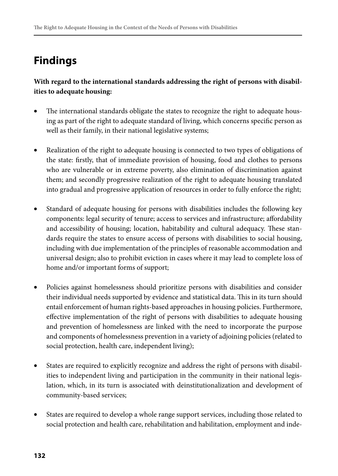# **Findings**

**With regard to the international standards addressing the right of persons with disabilities to adequate housing:** 

- The international standards obligate the states to recognize the right to adequate housing as part of the right to adequate standard of living, which concerns specific person as well as their family, in their national legislative systems;
- • Realization of the right to adequate housing is connected to two types of obligations of the state: firstly, that of immediate provision of housing, food and clothes to persons who are vulnerable or in extreme poverty, also elimination of discrimination against them; and secondly progressive realization of the right to adequate housing translated into gradual and progressive application of resources in order to fully enforce the right;
- Standard of adequate housing for persons with disabilities includes the following key components: legal security of tenure; access to services and infrastructure; affordability and accessibility of housing; location, habitability and cultural adequacy. These standards require the states to ensure access of persons with disabilities to social housing, including with due implementation of the principles of reasonable accommodation and universal design; also to prohibit eviction in cases where it may lead to complete loss of home and/or important forms of support;
- Policies against homelessness should prioritize persons with disabilities and consider their individual needs supported by evidence and statistical data. This in its turn should entail enforcement of human rights-based approaches in housing policies. Furthermore, effective implementation of the right of persons with disabilities to adequate housing and prevention of homelessness are linked with the need to incorporate the purpose and components of homelessness prevention in a variety of adjoining policies (related to social protection, health care, independent living);
- • States are required to explicitly recognize and address the right of persons with disabilities to independent living and participation in the community in their national legislation, which, in its turn is associated with deinstitutionalization and development of community-based services;
- States are required to develop a whole range support services, including those related to social protection and health care, rehabilitation and habilitation, employment and inde-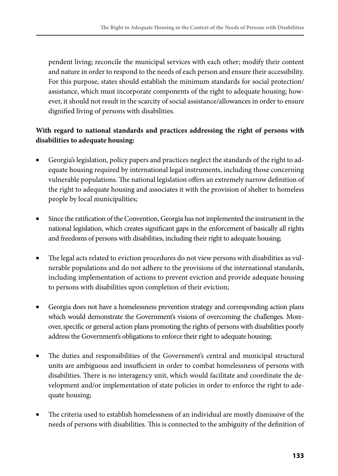pendent living; reconcile the municipal services with each other; modify their content and nature in order to respond to the needs of each person and ensure their accessibility. For this purpose, states should establish the minimum standards for social protection/ assistance, which must incorporate components of the right to adequate housing; however, it should not result in the scarcity of social assistance/allowances in order to ensure dignified living of persons with disabilities.

#### **With regard to national standards and practices addressing the right of persons with disabilities to adequate housing:**

- Georgia's legislation, policy papers and practices neglect the standards of the right to adequate housing required by international legal instruments, including those concerning vulnerable populations. The national legislation offers an extremely narrow definition of the right to adequate housing and associates it with the provision of shelter to homeless people by local municipalities;
- Since the ratification of the Convention, Georgia has not implemented the instrument in the national legislation, which creates significant gaps in the enforcement of basically all rights and freedoms of persons with disabilities, including their right to adequate housing;
- The legal acts related to eviction procedures do not view persons with disabilities as vulnerable populations and do not adhere to the provisions of the international standards, including implementation of actions to prevent eviction and provide adequate housing to persons with disabilities upon completion of their eviction;
- Georgia does not have a homelessness prevention strategy and corresponding action plans which would demonstrate the Government's visions of overcoming the challenges. Moreover, specific or general action plans promoting the rights of persons with disabilities poorly address the Government's obligations to enforce their right to adequate housing;
- The duties and responsibilities of the Government's central and municipal structural units are ambiguous and insufficient in order to combat homelessness of persons with disabilities. There is no interagency unit, which would facilitate and coordinate the development and/or implementation of state policies in order to enforce the right to adequate housing;
- The criteria used to establish homelessness of an individual are mostly dismissive of the needs of persons with disabilities. This is connected to the ambiguity of the definition of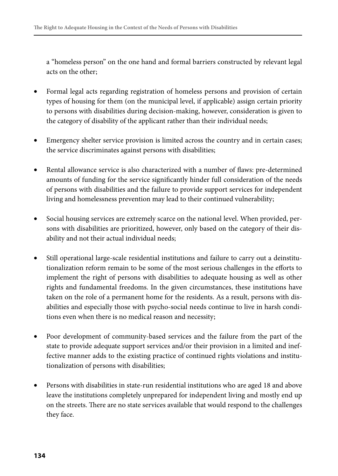a "homeless person" on the one hand and formal barriers constructed by relevant legal acts on the other;

- Formal legal acts regarding registration of homeless persons and provision of certain types of housing for them (on the municipal level, if applicable) assign certain priority to persons with disabilities during decision-making, however, consideration is given to the category of disability of the applicant rather than their individual needs;
- Emergency shelter service provision is limited across the country and in certain cases; the service discriminates against persons with disabilities;
- Rental allowance service is also characterized with a number of flaws: pre-determined amounts of funding for the service significantly hinder full consideration of the needs of persons with disabilities and the failure to provide support services for independent living and homelessness prevention may lead to their continued vulnerability;
- Social housing services are extremely scarce on the national level. When provided, persons with disabilities are prioritized, however, only based on the category of their disability and not their actual individual needs;
- Still operational large-scale residential institutions and failure to carry out a deinstitutionalization reform remain to be some of the most serious challenges in the efforts to implement the right of persons with disabilities to adequate housing as well as other rights and fundamental freedoms. In the given circumstances, these institutions have taken on the role of a permanent home for the residents. As a result, persons with disabilities and especially those with psycho-social needs continue to live in harsh conditions even when there is no medical reason and necessity;
- Poor development of community-based services and the failure from the part of the state to provide adequate support services and/or their provision in a limited and ineffective manner adds to the existing practice of continued rights violations and institutionalization of persons with disabilities;
- Persons with disabilities in state-run residential institutions who are aged 18 and above leave the institutions completely unprepared for independent living and mostly end up on the streets. There are no state services available that would respond to the challenges they face.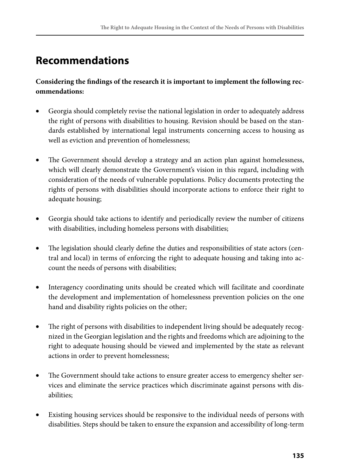# **Recommendations**

**Considering the findings of the research it is important to implement the following recommendations:**

- Georgia should completely revise the national legislation in order to adequately address the right of persons with disabilities to housing. Revision should be based on the standards established by international legal instruments concerning access to housing as well as eviction and prevention of homelessness;
- The Government should develop a strategy and an action plan against homelessness, which will clearly demonstrate the Government's vision in this regard, including with consideration of the needs of vulnerable populations. Policy documents protecting the rights of persons with disabilities should incorporate actions to enforce their right to adequate housing;
- Georgia should take actions to identify and periodically review the number of citizens with disabilities, including homeless persons with disabilities;
- The legislation should clearly define the duties and responsibilities of state actors (central and local) in terms of enforcing the right to adequate housing and taking into account the needs of persons with disabilities;
- Interagency coordinating units should be created which will facilitate and coordinate the development and implementation of homelessness prevention policies on the one hand and disability rights policies on the other;
- The right of persons with disabilities to independent living should be adequately recognized in the Georgian legislation and the rights and freedoms which are adjoining to the right to adequate housing should be viewed and implemented by the state as relevant actions in order to prevent homelessness;
- The Government should take actions to ensure greater access to emergency shelter services and eliminate the service practices which discriminate against persons with disabilities;
- Existing housing services should be responsive to the individual needs of persons with disabilities. Steps should be taken to ensure the expansion and accessibility of long-term